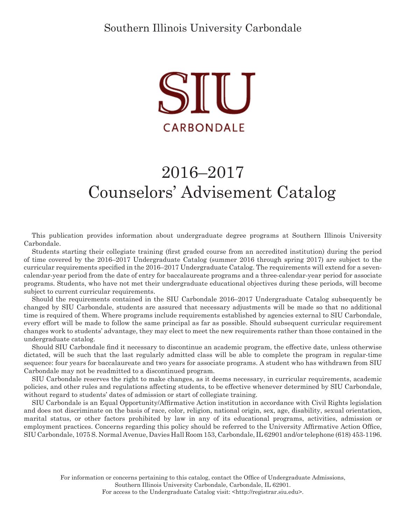

# 2016–2017 Counselors' Advisement Catalog

This publication provides information about undergraduate degree programs at Southern Illinois University Carbondale.

Students starting their collegiate training (first graded course from an accredited institution) during the period of time covered by the 2016–2017 Undergraduate Catalog (summer 2016 through spring 2017) are subject to the curricular requirements specified in the 2016–2017 Undergraduate Catalog. The requirements will extend for a sevencalendar-year period from the date of entry for baccalaureate programs and a three-calendar-year period for associate programs. Students, who have not met their undergraduate educational objectives during these periods, will become subject to current curricular requirements.

Should the requirements contained in the SIU Carbondale 2016–2017 Undergraduate Catalog subsequently be changed by SIU Carbondale, students are assured that necessary adjustments will be made so that no additional time is required of them. Where programs include requirements established by agencies external to SIU Carbondale, every effort will be made to follow the same principal as far as possible. Should subsequent curricular requirement changes work to students' advantage, they may elect to meet the new requirements rather than those contained in the undergraduate catalog.

Should SIU Carbondale find it necessary to discontinue an academic program, the effective date, unless otherwise dictated, will be such that the last regularly admitted class will be able to complete the program in regular-time sequence: four years for baccalaureate and two years for associate programs. A student who has withdrawn from SIU Carbondale may not be readmitted to a discontinued program.

SIU Carbondale reserves the right to make changes, as it deems necessary, in curricular requirements, academic policies, and other rules and regulations affecting students, to be effective whenever determined by SIU Carbondale, without regard to students' dates of admission or start of collegiate training.

SIU Carbondale is an Equal Opportunity/Affirmative Action institution in accordance with Civil Rights legislation and does not discriminate on the basis of race, color, religion, national origin, sex, age, disability, sexual orientation, marital status, or other factors prohibited by law in any of its educational programs, activities, admission or employment practices. Concerns regarding this policy should be referred to the University Affirmative Action Office, SIU Carbondale, 1075 S. Normal Avenue, Davies Hall Room 153, Carbondale, IL 62901 and/or telephone (618) 453-1196.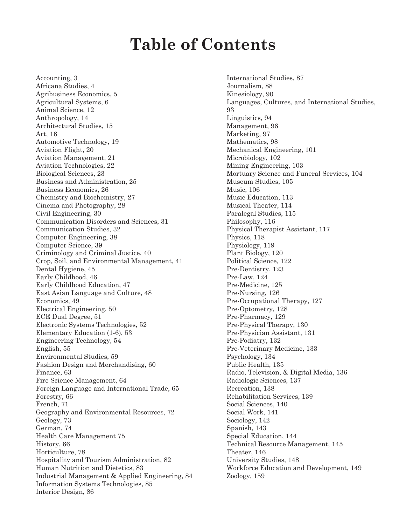## **Table of Contents**

Accounting, 3 Africana Studies, 4 Agribusiness Economics, 5 Agricultural Systems, 6 Animal Science, 12 Anthropology, 14 Architectural Studies, 15 Art, 16 Automotive Technology, 19 Aviation Flight, 20 Aviation Management, 21 Aviation Technologies, 22 Biological Sciences, 23 Business and Administration, 25 Business Economics, 26 Chemistry and Biochemistry, 27 Cinema and Photography, 28 Civil Engineering, 30 Communication Disorders and Sciences, 31 Communication Studies, 32 Computer Engineering, 38 Computer Science, 39 Criminology and Criminal Justice, 40 Crop, Soil, and Environmental Management, 41 Dental Hygiene, 45 Early Childhood, 46 Early Childhood Education, 47 East Asian Language and Culture, 48 Economics, 49 Electrical Engineering, 50 ECE Dual Degree, 51 Electronic Systems Technologies, 52 Elementary Education (1-6), 53 Engineering Technology, 54 English, 55 Environmental Studies, 59 Fashion Design and Merchandising, 60 Finance, 63 Fire Science Management, 64 Foreign Language and International Trade, 65 Forestry, 66 French, 71 Geography and Environmental Resources, 72 Geology, 73 German, 74 Health Care Management 75 History, 66 Horticulture, 78 Hospitality and Tourism Administration, 82 Human Nutrition and Dietetics, 83 Industrial Management & Applied Engineering, 84 Information Systems Technologies, 85 Interior Design, 86

International Studies, 87 Journalism, 88 Kinesiology, 90 Languages, Cultures, and International Studies, 93 Linguistics, 94 Management, 96 Marketing, 97 Mathematics, 98 Mechanical Engineering, 101 Microbiology, 102 Mining Engineering, 103 Mortuary Science and Funeral Services, 104 Museum Studies, 105 Music, 106 Music Education, 113 Musical Theater, 114 Paralegal Studies, 115 Philosophy, 116 Physical Therapist Assistant, 117 Physics, 118 Physiology, 119 Plant Biology, 120 Political Science, 122 Pre-Dentistry, 123 Pre-Law, 124 Pre-Medicine, 125 Pre-Nursing, 126 Pre-Occupational Therapy, 127 Pre-Optometry, 128 Pre-Pharmacy, 129 Pre-Physical Therapy, 130 Pre-Physician Assistant, 131 Pre-Podiatry, 132 Pre-Veterinary Medicine, 133 Psychology, 134 Public Health, 135 Radio, Television, & Digital Media, 136 Radiologic Sciences, 137 Recreation, 138 Rehabilitation Services, 139 Social Sciences, 140 Social Work, 141 Sociology, 142 Spanish, 143 Special Education, 144 Technical Resource Management, 145 Theater, 146 University Studies, 148 Workforce Education and Development, 149 Zoology, 159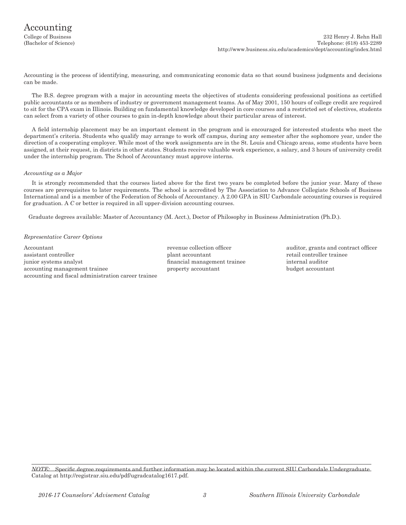Accounting is the process of identifying, measuring, and communicating economic data so that sound business judgments and decisions can be made.

The B.S. degree program with a major in accounting meets the objectives of students considering professional positions as certified public accountants or as members of industry or government management teams. As of May 2001, 150 hours of college credit are required to sit for the CPA exam in Illinois. Building on fundamental knowledge developed in core courses and a restricted set of electives, students can select from a variety of other courses to gain in-depth knowledge about their particular areas of interest.

A field internship placement may be an important element in the program and is encouraged for interested students who meet the department's criteria. Students who qualify may arrange to work off campus, during any semester after the sophomore year, under the direction of a cooperating employer. While most of the work assignments are in the St. Louis and Chicago areas, some students have been assigned, at their request, in districts in other states. Students receive valuable work experience, a salary, and 3 hours of university credit under the internship program. The School of Accountancy must approve interns.

#### *Accounting as a Major*

It is strongly recommended that the courses listed above for the first two years be completed before the junior year. Many of these courses are prerequisites to later requirements. The school is accredited by The Association to Advance Collegiate Schools of Business International and is a member of the Federation of Schools of Accountancy. A 2.00 GPA in SIU Carbondale accounting courses is required for graduation. A *C* or better is required in all upper-division accounting courses.

Graduate degrees available: Master of Accountancy (M. Acct.), Doctor of Philosophy in Business Administration (Ph.D.).

#### *Representative Career Options*

Accountant revenue collection officer auditor, grants and contract officer<br>assistant controller contract officer<br>assistant controller assistant controller plant accountant retail controller training  $\mathbf{p}$ junior systems analyst financial management trainee internal auditor accounting management trainee property accountant budget accountant accounting and fiscal administration career trainee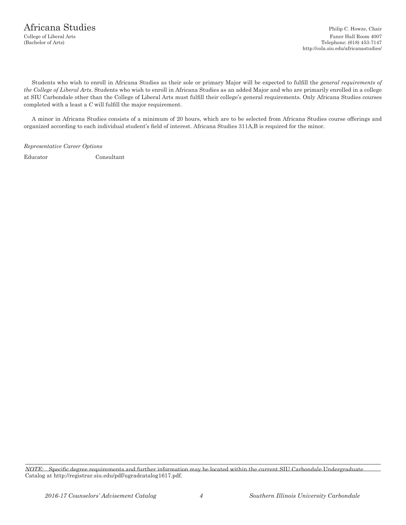Students who wish to enroll in Africana Studies as their sole or primary Major will be expected to fulfill the *general requirements of the College of Liberal Arts*. Students who wish to enroll in Africana Studies as an added Major and who are primarily enrolled in a college at SIU Carbondale other than the College of Liberal Arts must fulfill their college's general requirements. Only Africana Studies courses completed with a least a *C* will fulfill the major requirement.

A minor in Africana Studies consists of a minimum of 20 hours, which are to be selected from Africana Studies course offerings and organized according to each individual student's field of interest. Africana Studies 311A,B is required for the minor.

*Representative Career Options*

Educator Consultant

*NOTE:* Specific degree requirements and further information may be located within the current SIU Carbondale Undergraduate Catalog at http://registrar.siu.edu/pdf/ugradcatalog1617.pdf.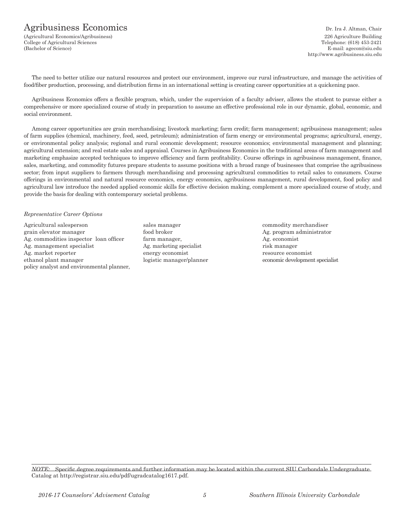### Agribusiness Economics Dr. Ira J. Altman, Chair

(Agricultural Economics/Agribusiness) 226 Agriculture Building College of Agricultural Sciences (Bachelor of Science) E-mail: agecon@siu.edu

http://www.agribusiness.siu.edu

The need to better utilize our natural resources and protect our environment, improve our rural infrastructure, and manage the activities of food/fiber production, processing, and distribution firms in an international setting is creating career opportunities at a quickening pace.

Agribusiness Economics offers a flexible program, which, under the supervision of a faculty adviser, allows the student to pursue either a comprehensive or more specialized course of study in preparation to assume an effective professional role in our dynamic, global, economic, and social environment.

Among career opportunities are grain merchandising; livestock marketing; farm credit; farm management; agribusiness management; sales of farm supplies (chemical, machinery, feed, seed, petroleum); administration of farm energy or environmental programs; agricultural, energy, or environmental policy analysis; regional and rural economic development; resource economics; environmental management and planning; agricultural extension; and real estate sales and appraisal. Courses in Agribusiness Economics in the traditional areas of farm management and marketing emphasize accepted techniques to improve efficiency and farm profitability. Course offerings in agribusiness management, finance, sales, marketing, and commodity futures prepare students to assume positions with a broad range of businesses that comprise the agribusiness sector; from input suppliers to farmers through merchandising and processing agricultural commodities to retail sales to consumers. Course offerings in environmental and natural resource economics, energy economics, agribusiness management, rural development, food policy and agricultural law introduce the needed applied economic skills for effective decision making, complement a more specialized course of study, and provide the basis for dealing with contemporary societal problems.

#### *Representative Career Options*

Agricultural salesperson sales manager commodity merchandiser grain elevator manager food broker food broker Ag. program administrator Ag. commodities inspector loan officer farm manager, Ag. economist Ag. management specialist Ag. marketing specialist risk manager Ag. market reporter example are resource example to the energy economist resource economist ethanol plant manager logistic manager/planner economic development specialist policy analyst and environmental planner,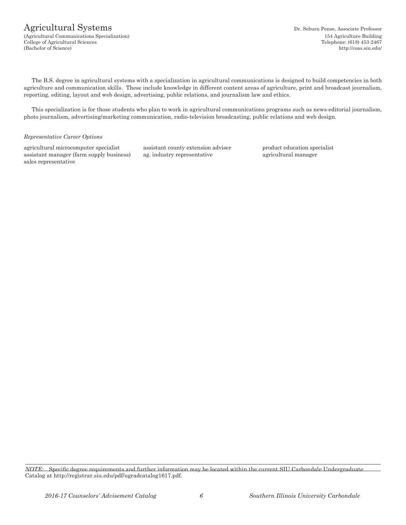### Agricultural Systems Dr. Seburn Pense, Associate Professor

(Agricultural Communications Specialization) 154 Agriculture Building College of Agricultural Sciences Telephone: (618) 453-2467 (Bachelor of Science) http://coas.siu.edu/

The B.S. degree in agricultural systems with a specialization in agricultural communications is designed to build competencies in both agriculture and communication skills. These include knowledge in different content areas of agriculture, print and broadcast journalism, reporting, editing, layout and web design, advertising, public relations, and journalism law and ethics.

This specialization is for those students who plan to work in agricultural communications programs such as news-editorial journalism, photo journalism, advertising/marketing communication, radio-television broadcasting, public relations and web design.

#### *Representative Career Options*

agricultural microcomputer specialist assistant county extension adviser product education specialist assistant manager (farm supply business) ag. industry representative agricultural manager sales representative

*NOTE:* Specific degree requirements and further information may be located within the current SIU Carbondale Undergraduate Catalog at http://registrar.siu.edu/pdf/ugradcatalog1617.pdf.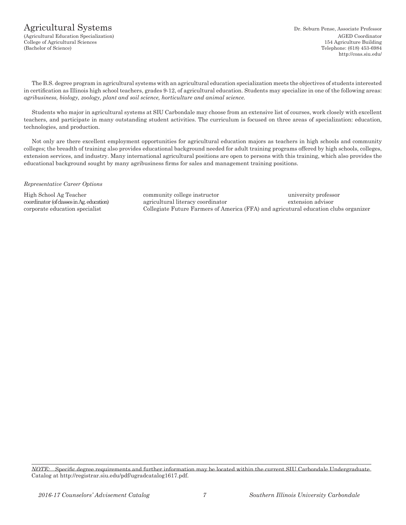### Agricultural Systems Dr. Seburn Pense, Associate Professor

The B.S. degree program in agricultural systems with an agricultural education specialization meets the objectives of students interested in certification as Illinois high school teachers, grades 9-12, of agricultural education. Students may specialize in one of the following areas: *agribusiness, biology, zoology, plant and soil science, horticulture and animal science.*

Students who major in agricultural systems at SIU Carbondale may choose from an extensive list of courses, work closely with excellent teachers, and participate in many outstanding student activities. The curriculum is focused on three areas of specialization: education, technologies, and production.

Not only are there excellent employment opportunities for agricultural education majors as teachers in high schools and community colleges; the breadth of training also provides educational background needed for adult training programs offered by high schools, colleges, extension services, and industry. Many international agricultural positions are open to persons with this training, which also provides the educational background sought by many agribusiness firms for sales and management training positions.

#### *Representative Career Options*

High School Ag Teacher community college instructor university professor coordinator (of classes in Ag. education) agricultural literacy coordinator extension advisor corporate education specialist Collegiate Future Farmers of America (FFA) and agricutural education clubs organizer

*NOTE:* Specific degree requirements and further information may be located within the current SIU Carbondale Undergraduate Catalog at http://registrar.siu.edu/pdf/ugradcatalog1617.pdf.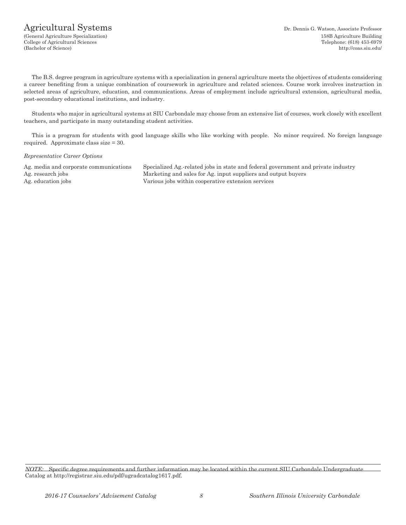### Agricultural Systems Dr. Dennis G. Watson, Associate Professor

The B.S. degree program in agriculture systems with a specialization in general agriculture meets the objectives of students considering a career benefiting from a unique combination of coursework in agriculture and related sciences. Course work involves instruction in selected areas of agriculture, education, and communications. Areas of employment include agricultural extension, agricultural media, post-secondary educational institutions, and industry.

Students who major in agricultural systems at SIU Carbondale may choose from an extensive list of courses, work closely with excellent teachers, and participate in many outstanding student activities.

This is a program for students with good language skills who like working with people. No minor required. No foreign language required. Approximate class size = 30.

#### *Representative Career Options*

Ag. media and corporate communications Specialized Ag.-related jobs in state and federal government and private industry Ag. research jobs Marketing and sales for Ag. input suppliers and output buyers Ag. education jobs Various jobs within cooperative extension services

*NOTE:* Specific degree requirements and further information may be located within the current SIU Carbondale Undergraduate Catalog at http://registrar.siu.edu/pdf/ugradcatalog1617.pdf.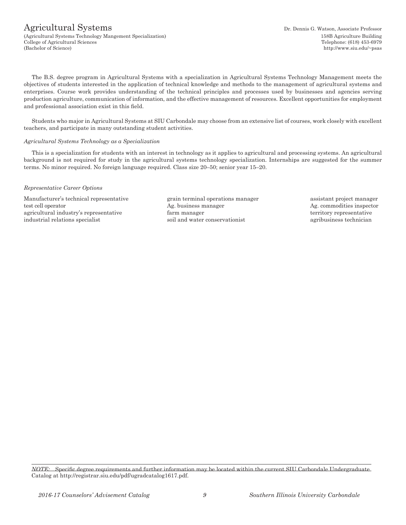### Agricultural Systems Dr. Dennis G. Watson, Associate Professor

(Agricultural Systems Technology Mangement Specialization) 158B Agriculture Building College of Agricultural Sciences Telephone: (618) 453-6979 (Bachelor of Science) http://www.siu.edu/~psas

The B.S. degree program in Agricultural Systems with a specialization in Agricultural Systems Technology Management meets the objectives of students interested in the application of technical knowledge and methods to the management of agricultural systems and enterprises. Course work provides understanding of the technical principles and processes used by businesses and agencies serving production agriculture, communication of information, and the effective management of resources. Excellent opportunities for employment and professional association exist in this field.

Students who major in Agricultural Systems at SIU Carbondale may choose from an extensive list of courses, work closely with excellent teachers, and participate in many outstanding student activities.

#### *Agricultural Systems Technology as a Specialization*

This is a specialization for students with an interest in technology as it applies to agricultural and processing systems. An agricultural background is not required for study in the agricultural systems technology specialization. Internships are suggested for the summer terms. No minor required. No foreign language required. Class size 20–50; senior year 15–20.

#### *Representative Career Options*

Manufacturer's technical representative grain terminal operations manager assistant project manager test cell operator and the Ag. business manager Ag. commodities inspector Ag. commodities inspector agricultural industry's representative farm manager farm territory representative industrial relations specialist soil and water conservationist agribusiness technician

*NOTE:* Specific degree requirements and further information may be located within the current SIU Carbondale Undergraduate Catalog at http://registrar.siu.edu/pdf/ugradcatalog1617.pdf.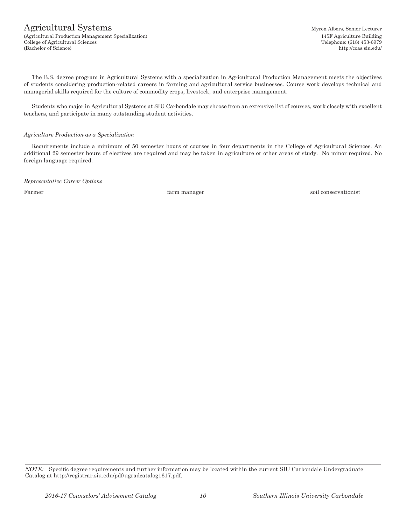### Agricultural Systems Myron Albers, Senior Lecturer

(Agricultural Production Management Specialization) 145F Agriculture Building College of Agricultural Sciences Telephone: (618) 453-6979 (Bachelor of Science) http://coas.siu.edu/

The B.S. degree program in Agricultural Systems with a specialization in Agricultural Production Management meets the objectives of students considering production-related careers in farming and agricultural service businesses. Course work develops technical and managerial skills required for the culture of commodity crops, livestock, and enterprise management.

Students who major in Agricultural Systems at SIU Carbondale may choose from an extensive list of courses, work closely with excellent teachers, and participate in many outstanding student activities.

#### *Agriculture Production as a Specialization*

Requirements include a minimum of 50 semester hours of courses in four departments in the College of Agricultural Sciences. An additional 29 semester hours of electives are required and may be taken in agriculture or other areas of study. No minor required. No foreign language required.

*Representative Career Options*

Farmer **Farmer** soil conservationist **farm** manager **soil** conservationist

*NOTE:* Specific degree requirements and further information may be located within the current SIU Carbondale Undergraduate Catalog at http://registrar.siu.edu/pdf/ugradcatalog1617.pdf.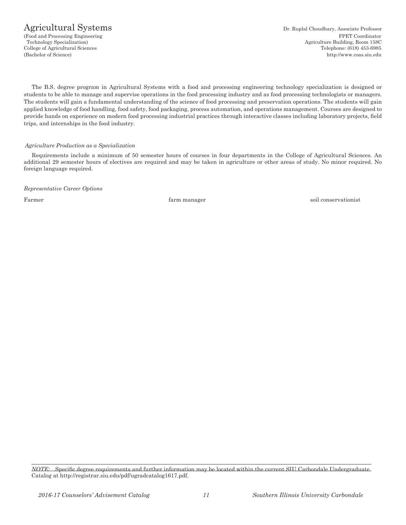### Agricultural Systems Dr. Ruplal Choudhary, Associate Professor

The B.S. degree program in Agricultural Systems with a food and processing engineering technology specialization is designed or students to be able to manage and supervise operations in the food processing industry and as food processing technologists or managers. The students will gain a fundamental understanding of the science of food processing and preservation operations. The students will gain applied knowledge of food handling, food safety, food packaging, process automation, and operations management. Courses are designed to provide hands on experience on modern food processing industrial practices through interactive classes including laboratory projects, field trips, and internships in the food industry.

#### *Agriculture Production as a Specialization*

Requirements include a minimum of 50 semester hours of courses in four departments in the College of Agricultural Sciences. An additional 29 semester hours of electives are required and may be taken in agriculture or other areas of study. No minor required. No foreign language required.

*Representative Career Options*

Farmer **Farmer** soil conservation is the solution of the solution of the solution of the solution of the solution of the solution of the solution of the solution of the solution of the solution of the solution of the solut

*NOTE:* Specific degree requirements and further information may be located within the current SIU Carbondale Undergraduate Catalog at http://registrar.siu.edu/pdf/ugradcatalog1617.pdf.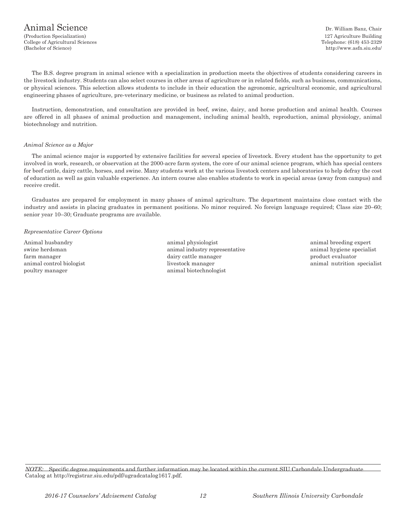The B.S. degree program in animal science with a specialization in production meets the objectives of students considering careers in the livestock industry. Students can also select courses in other areas of agriculture or in related fields, such as business, communications, or physical sciences. This selection allows students to include in their education the agronomic, agricultural economic, and agricultural engineering phases of agriculture, pre-veterinary medicine, or business as related to animal production.

Instruction, demonstration, and consultation are provided in beef, swine, dairy, and horse production and animal health. Courses are offered in all phases of animal production and management, including animal health, reproduction, animal physiology, animal biotechnology and nutrition.

#### *Animal Science as a Major*

The animal science major is supported by extensive facilities for several species of livestock. Every student has the opportunity to get involved in work, research, or observation at the 2000-acre farm system, the core of our animal science program, which has special centers for beef cattle, dairy cattle, horses, and swine. Many students work at the various livestock centers and laboratories to help defray the cost of education as well as gain valuable experience. An intern course also enables students to work in special areas (away from campus) and receive credit.

Graduates are prepared for employment in many phases of animal agriculture. The department maintains close contact with the industry and assists in placing graduates in permanent positions. No minor required. No foreign language required; Class size 20–60; senior year 10–30; Graduate programs are available.

#### *Representative Career Options*

poultry manager animal biotechnologist

Animal husbandry animal physiologist animal physiologist animal breeding expert swine herdsman animal industry representative animal hygiene specialist farm manager **dairy cattle manager** product evaluator **product** evaluator animal control biologist animal control biologist animal nutrition specialist animal nutrition specialist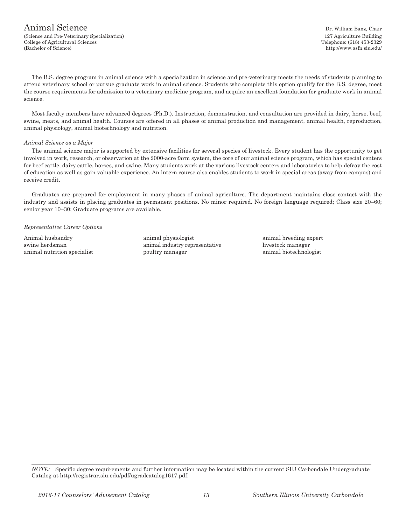#### Animal Science Dr. William Banz, Chair (Science and Pre-Veterinary Specialization) 127 Agriculture Building College of Agricultural Sciences Telephone: (618) 453-2329 (Bachelor of Science) http://www.asfn.siu.edu/

The B.S. degree program in animal science with a specialization in science and pre-veterinary meets the needs of students planning to attend veterinary school or pursue graduate work in animal science. Students who complete this option qualify for the B.S. degree, meet the course requirements for admission to a veterinary medicine program, and acquire an excellent foundation for graduate work in animal science.

Most faculty members have advanced degrees (Ph.D.). Instruction, demonstration, and consultation are provided in dairy, horse, beef, swine, meats, and animal health. Courses are offered in all phases of animal production and management, animal health, reproduction, animal physiology, animal biotechnology and nutrition.

#### *Animal Science as a Major*

The animal science major is supported by extensive facilities for several species of livestock. Every student has the opportunity to get involved in work, research, or observation at the 2000-acre farm system, the core of our animal science program, which has special centers for beef cattle, dairy cattle, horses, and swine. Many students work at the various livestock centers and laboratories to help defray the cost of education as well as gain valuable experience. An intern course also enables students to work in special areas (away from campus) and receive credit.

Graduates are prepared for employment in many phases of animal agriculture. The department maintains close contact with the industry and assists in placing graduates in permanent positions. No minor required. No foreign language required; Class size 20–60; senior year 10–30; Graduate programs are available.

#### *Representative Career Options*

Animal husbandry animal physiologist animal physiologist animal breeding expert swine herdsman animal industry representative livestock manager animal nutrition specialist poultry manager animal biotechnologist poultry manager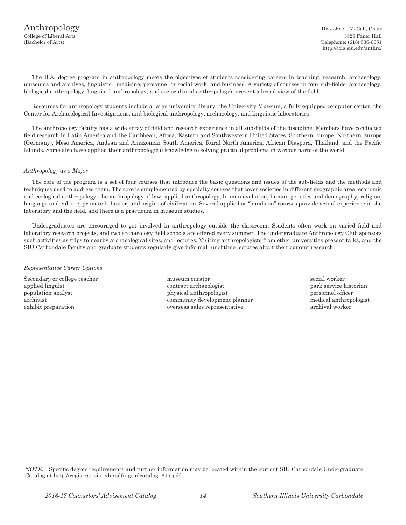College of Liberal Arts 3525 Faner Hall (Bachelor of Arts) Telephone: (618) 536-6651 http://cola.siu.edu/anthro/

The B.A. degree program in anthropology meets the objectives of students considering careers in teaching, research, archaeology, museums and archives, linguistic , medicine, personnel or social work, and business. A variety of courses in four sub-fields- archaeology, biological anthropology, linguistil anthropology, and sociocultural anthropology)–present a broad view of the field.

Resources for anthropology students include a large university library, the University Museum, a fully equipped computer center, the Center for Archaeological Investigations, and biological anthropology, archaeology, and linguistic laboratories.

The anthropology faculty has a wide array of field and research experience in all sub-fields of the discipline. Members have conducted field research in Latin America and the Caribbean, Africa, Eastern and Southwestern United States, Southern Europe, Northern Europe (Germany), Meso America, Andean and Amazonian South America, Rural North America, African Diaspora, Thailand, and the Pacific Islands. Some also have applied their anthropological knowledge to solving practical problems in various parts of the world.

#### *Anthropology as a Major*

The core of the program is a set of four courses that introduce the basic questions and issues of the sub-fields and the methods and techniques used to address them. The core is supplemented by specialty courses that cover societies in different geographic area: economic and ecological anthropology, the anthropology of law, applied anthropology, human evolution, human genetics and demography, religion, language and culture, primate behavior, and origins of civilization. Several applied or "hands-on" courses provide actual experience in the laboratory and the field, and there is a practicum in museum studies.

Undergraduates are encouraged to get involved in anthropology outside the classroom. Students often work on varied field and laboratory research projects, and two archaeology field schools are offered every summer. The undergraduate Anthropology Club sponsors such activities as trips to nearby archaeological sites, and lectures. Visiting anthropologists from other universities present talks, and the SIU Carbondale faculty and graduate students regularly give informal lunchtime lectures about their current research.

#### *Representative Career Options*

Secondary or college teacher museum curator museum curator social worker applied linguist and the contract archaeologist contract archaeologist park service historian population analyst physical anthropologist personnel officer archivist community development planner medical anthropologist exhibit preparation overseas sales representative archival worker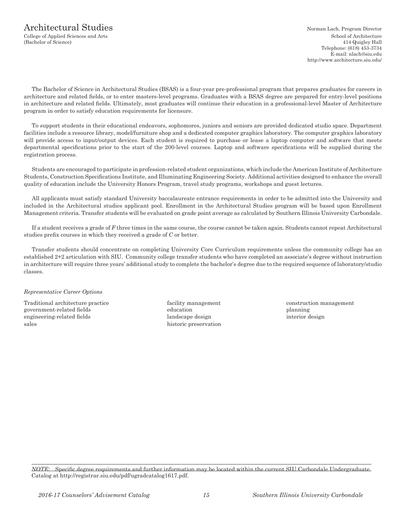## Architectural Studies Norman Lach, Program Director

(Bachelor of Science) 414 Quigley Hall

College of Applied Sciences and Arts School of Architecture Telephone: (618) 453-3734 E-mail: nlach*@*siu.edu http://www.architecture.siu.edu/

The Bachelor of Science in Architectural Studies (BSAS) is a four-year pre-professional program that prepares graduates for careers in architecture and related fields, or to enter masters-level programs. Graduates with a BSAS degree are prepared for entry-level positions in architecture and related fields. Ultimately, most graduates will continue their education in a professional-level Master of Architecture program in order to satisfy education requirements for licensure.

To support students in their educational endeavors, sophomores, juniors and seniors are provided dedicated studio space. Department facilities include a resource library, model/furniture shop and a dedicated computer graphics laboratory. The computer graphics laboratory will provide access to input/output devices. Each student is required to purchase or lease a laptop computer and software that meets departmental specifications prior to the start of the 200-level courses. Laptop and software specifications will be supplied during the registration process.

Students are encouraged to participate in profession-related student organizations, which include the American Institute of Architecture Students, Construction Specifications Institute, and Illuminating Engineering Society. Additional activities designed to enhance the overall quality of education include the University Honors Program, travel study programs, workshops and guest lectures.

All applicants must satisfy standard University baccalaureate entrance requirements in order to be admitted into the University and included in the Architectural studies applicant pool. Enrollment in the Architectural Studies program will be based upon Enrollment Management criteria. Transfer students will be evaluated on grade point average as calculated by Southern Illinois University Carbondale.

If a student receives a grade of *F* three times in the same course, the course cannot be taken again. Students cannot repeat Architectural studies prefix courses in which they received a grade of *C* or better.

Transfer students should concentrate on completing University Core Curriculum requirements unless the community college has an established 2+2 articulation with SIU. Community college transfer students who have completed an associate's degree without instruction in architecture will require three years' additional study to complete the bachelor's degree due to the required sequence of laboratory/studio classes.

#### *Representative Career Options*

Traditional architecture practice facility management construction management government-related fields **education** education **education** planning engineering-related fields and states and states are design interior design interior design sales historic preservation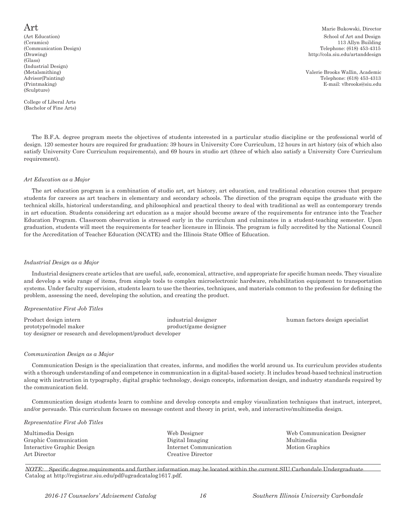(Glass) (Industrial Design) (Sculpture)

College of Liberal Arts (Bachelor of Fine Arts)

 $\operatorname{Art}$  Marie Bukowski, Director (Art Education) School of Art and Design School of Art and Design School of Art and Design (Ceramics) (3.113 Allyn Building 113 Allyn Building (Communication Design) Telephone: (618) 453-4315<br>
(Drawing) Telephone: (618) 453-4315<br>
(Drawing) Telephone: (618) 453-4315 http://cola.siu.edu/artanddesign

(Metalsmithing) Valerie Brooks Wallin, Academic Advisor(Painting) Telephone: (618) 453-4313 (Printmaking) E-mail: vlbrooks@siu.edu

The B.F.A. degree program meets the objectives of students interested in a particular studio discipline or the professional world of design. 120 semester hours are required for graduation: 39 hours in University Core Curriculum, 12 hours in art history (six of which also satisfy University Core Curriculum requirements), and 69 hours in studio art (three of which also satisfy a University Core Curriculum requirement).

#### *Art Education as a Major*

The art education program is a combination of studio art, art history, art education, and traditional education courses that prepare students for careers as art teachers in elementary and secondary schools. The direction of the program equips the graduate with the technical skills, historical understanding, and philosophical and practical theory to deal with traditional as well as contemporary trends in art education. Students considering art education as a major should become aware of the requirements for entrance into the Teacher Education Program. Classroom observation is stressed early in the curriculum and culminates in a student-teaching semester. Upon graduation, students will meet the requirements for teacher licensure in Illinois. The program is fully accredited by the National Council for the Accreditation of Teacher Education (NCATE) and the Illinois State Office of Education.

#### *Industrial Design as a Major*

Industrial designers create articles that are useful, safe, economical, attractive, and appropriate for specific human needs. They visualize and develop a wide range of items, from simple tools to complex microelectronic hardware, rehabilitation equipment to transportation systems. Under faculty supervision, students learn to use the theories, techniques, and materials common to the profession for defining the problem, assessing the need, developing the solution, and creating the product.

#### *Representative First Job Titles*

| Product design intern                                      | industrial designer   | human factors design specialist |
|------------------------------------------------------------|-----------------------|---------------------------------|
| prototype/model maker                                      | product/game designer |                                 |
| toy designer or research and development/product developer |                       |                                 |

#### *Communication Design as a Major*

Communication Design is the specialization that creates, informs, and modifies the world around us. Its curriculum provides students with a thorough understanding of and competence in communication in a digital-based society. It includes broad-based technical instruction along with instruction in typography, digital graphic technology, design concepts, information design, and industry standards required by the communication field.

Communication design students learn to combine and develop concepts and employ visualization techniques that instruct, interpret, and/or persuade. This curriculum focuses on message content and theory in print, web, and interactive/multimedia design.

#### *Representative First Job Titles*

| Multimedia Design          | Web Designer           | Web Communication Designer |
|----------------------------|------------------------|----------------------------|
| Graphic Communication      | Digital Imaging        | Multimedia                 |
| Interactive Graphic Design | Internet Communication | Motion Graphics            |
| Art Director               | Creative Director      |                            |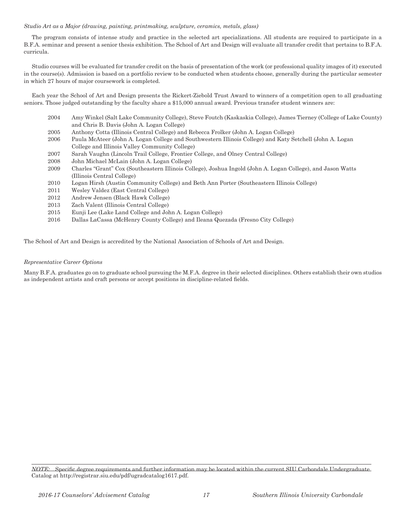#### *Studio Art as a Major (drawing, painting, printmaking, sculpture, ceramics, metals, glass)*

The program consists of intense study and practice in the selected art specializations. All students are required to participate in a B.F.A. seminar and present a senior thesis exhibition. The School of Art and Design will evaluate all transfer credit that pertains to B.F.A. curricula.

Studio courses will be evaluated for transfer credit on the basis of presentation of the work (or professional quality images of it) executed in the course(s). Admission is based on a portfolio review to be conducted when students choose, generally during the particular semester in which 27 hours of major coursework is completed.

Each year the School of Art and Design presents the Rickert-Ziebold Trust Award to winners of a competition open to all graduating seniors. Those judged outstanding by the faculty share a \$15,000 annual award. Previous transfer student winners are:

- 2004 Amy Winkel (Salt Lake Community College), Steve Foutch (Kaskaskia College), James Tierney (College of Lake County) and Chris B. Davis (John A. Logan College)
- 2005 Anthony Cotta (Illinois Central College) and Rebecca Frolker (John A. Logan College)
- 2006 Paula McAteer (John A. Logan College and Southwestern Illinois College) and Katy Setchell (John A. Logan College and Illinois Valley Community College)
- 2007 Sarah Vaughn (Lincoln Trail College, Frontier College, and Olney Central College)
- 2008 John Michael McLain (John A. Logan College)
- 2009 Charles "Grant" Cox (Southeastern Illinois College), Joshua Ingold (John A. Logan College), and Jason Watts (Illinois Central College)
- 2010 Logan Hirsh (Austin Community College) and Beth Ann Porter (Southeastern Illinois College)
- 2011 Wesley Valdez (East Central College)
- 2012 Andrew Jensen (Black Hawk College)
- 2013 Zach Valent (Illinois Central College)
- 2015 Eunji Lee (Lake Land College and John A. Logan College)
- 2016 Dallas LaCassa (McHenry County College) and Ileana Quezada (Fresno City College)

The School of Art and Design is accredited by the National Association of Schools of Art and Design.

#### *Representative Career Options*

Many B.F.A. graduates go on to graduate school pursuing the M.F.A. degree in their selected disciplines. Others establish their own studios as independent artists and craft persons or accept positions in discipline-related fields.

*NOTE:* Specific degree requirements and further information may be located within the current SIU Carbondale Undergraduate Catalog at http://registrar.siu.edu/pdf/ugradcatalog1617.pdf.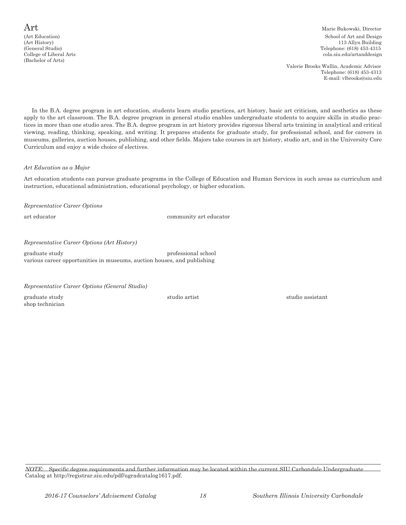$\operatorname{Art}$  Marie Bukowski, Director (Art Education) School of Art and Design School of Art and Design School of Art and Design School of Art and Design  $\frac{113 \text{ Allyn Building}}{113 \text{ Allyn Building}}$ 113 Allyn Building (General Studio) Telephone: (618) 453-4315 cola.siu.edu/artanddesign

> Valerie Brooks Wallin, Academic Advisor Telephone: (618) 453-4313 E-mail: vlbrooks@siu.edu

In the B.A. degree program in art education, students learn studio practices, art history, basic art criticism, and aesthetics as these apply to the art classroom. The B.A. degree program in general studio enables undergraduate students to acquire skills in studio practices in more than one studio area. The B.A. degree program in art history provides rigorous liberal arts training in analytical and critical viewing, reading, thinking, speaking, and writing. It prepares students for graduate study, for professional school, and for careers in museums, galleries, auction houses, publishing, and other fields. Majors take courses in art history, studio art, and in the University Core Curriculum and enjoy a wide choice of electives.

#### *Art Education as a Major*

Art education students can pursue graduate programs in the College of Education and Human Services in such areas as curriculum and instruction, educational administration, educational psychology, or higher education.

*Representative Career Options*

art educator community art educator

### *Representative Career Options (Art History)*

graduate study professional school various career opportunities in museums, auction houses, and publishing

*Representative Career Options (General Studio)*

shop technician

graduate study studio artist studio artist studio artist studio assistant studio assistant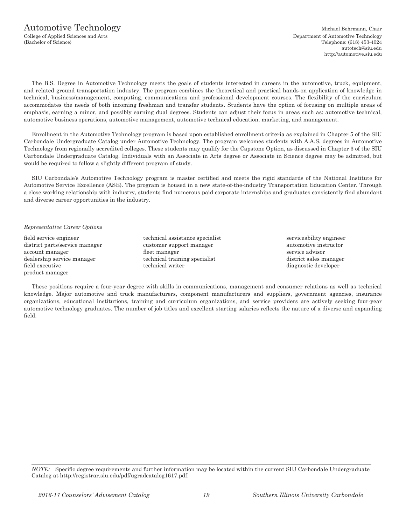### Automotive Technology Michael Behrmann, Chair

The B.S. Degree in Automotive Technology meets the goals of students interested in careers in the automotive, truck, equipment, and related ground transportation industry. The program combines the theoretical and practical hands-on application of knowledge in technical, business/management, computing, communications and professional development courses. The flexibility of the curriculum accommodates the needs of both incoming freshman and transfer students. Students have the option of focusing on multiple areas of emphasis, earning a minor, and possibly earning dual degrees. Students can adjust their focus in areas such as: automotive technical, automotive business operations, automotive management, automotive technical education, marketing, and management.

Enrollment in the Automotive Technology program is based upon established enrollment criteria as explained in Chapter 5 of the SIU Carbondale Undergraduate Catalog under Automotive Technology. The program welcomes students with A.A.S. degrees in Automotive Technology from regionally accredited colleges. These students may qualify for the Capstone Option, as discussed in Chapter 3 of the SIU Carbondale Undergraduate Catalog. Individuals with an Associate in Arts degree or Associate in Science degree may be admitted, but would be required to follow a slightly different program of study.

SIU Carbondale's Automotive Technology program is master certified and meets the rigid standards of the National Institute for Automotive Service Excellence (ASE). The program is housed in a new state-of-the-industry Transportation Education Center. Through a close working relationship with industry, students find numerous paid corporate internships and graduates consistently find abundant and diverse career opportunities in the industry.

#### *Representative Career Options*

field service engineer technical assistance specialist serviceability engineer district parts/service manager customer support manager automotive instructor account manager fleet manager fleet manager service advisor dealership service manager technical training specialist district sales manager field executive technical writer diagnostic developer product manager

These positions require a four-year degree with skills in communications, management and consumer relations as well as technical knowledge. Major automotive and truck manufacturers, component manufacturers and suppliers, government agencies, insurance organizations, educational institutions, training and curriculum organizations, and service providers are actively seeking four-year automotive technology graduates. The number of job titles and excellent starting salaries reflects the nature of a diverse and expanding field.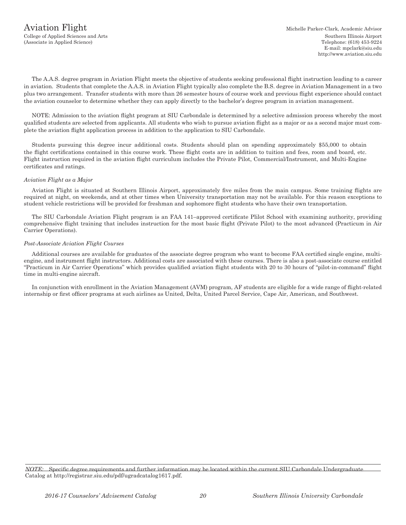The A.A.S. degree program in Aviation Flight meets the objective of students seeking professional flight instruction leading to a career in aviation. Students that complete the A.A.S. in Aviation Flight typically also complete the B.S. degree in Aviation Management in a two plus two arrangement. Transfer students with more than 26 semester hours of course work and previous flight experience should contact the aviation counselor to determine whether they can apply directly to the bachelor's degree program in aviation management.

NOTE: Admission to the aviation flight program at SIU Carbondale is determined by a selective admission process whereby the most qualified students are selected from applicants. All students who wish to pursue aviation flight as a major or as a second major must complete the aviation flight application process in addition to the application to SIU Carbondale.

Students pursuing this degree incur additional costs. Students should plan on spending approximately \$55,000 to obtain the flight certifications contained in this course work. These flight costs are in addition to tuition and fees, room and board, etc. Flight instruction required in the aviation flight curriculum includes the Private Pilot, Commercial/Instrument, and Multi-Engine certificates and ratings.

#### *Aviation Flight as a Major*

Aviation Flight is situated at Southern Illinois Airport, approximately five miles from the main campus. Some training flights are required at night, on weekends, and at other times when University transportation may not be available. For this reason exceptions to student vehicle restrictions will be provided for freshman and sophomore flight students who have their own transportation.

The SIU Carbondale Aviation Flight program is an FAA 141–approved certificate Plilot School with examining authority, providing comprehensive flight training that includes instruction for the most basic flight (Private Pilot) to the most advanced (Practicum in Air Carrier Operations).

#### *Post-Associate Aviation Flight Courses*

Additional courses are available for graduates of the associate degree program who want to become FAA certified single engine, multiengine, and instrument flight instructors. Additional costs are associated with these courses. There is also a post-associate course entitled "Practicum in Air Carrier Operations" which provides qualified aviation flight students with 20 to 30 hours of "pilot-in-command" flight time in multi-engine aircraft.

In conjunction with enrollment in the Aviation Management (AVM) program, AF students are eligible for a wide range of flight-related internship or first officer programs at such airlines as United, Delta, United Parcel Service, Cape Air, American, and Southwest.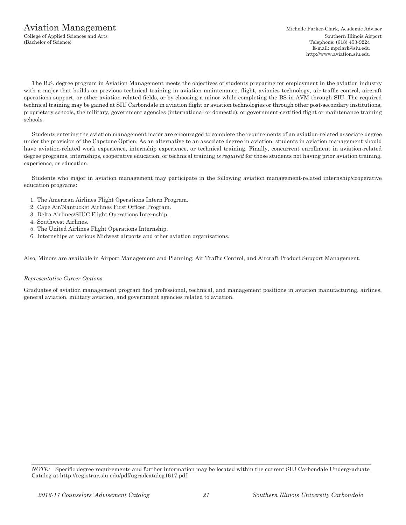### Aviation Management Michelle Parker-Clark, Academic Advisor

The B.S. degree program in Aviation Management meets the objectives of students preparing for employment in the aviation industry with a major that builds on previous technical training in aviation maintenance, flight, avionics technology, air traffic control, aircraft operations support, or other aviation-related fields, or by choosing a minor while completing the BS in AVM through SIU. The required technical training may be gained at SIU Carbondale in aviation flight or aviation technologies or through other post-secondary institutions, proprietary schools, the military, government agencies (international or domestic), or government-certified flight or maintenance training schools.

Students entering the aviation management major are encouraged to complete the requirements of an aviation-related associate degree under the provision of the Capstone Option. As an alternative to an associate degree in aviation, students in aviation management should have aviation-related work experience, internship experience, or technical training. Finally, concurrent enrollment in aviation-related degree programs, internships, cooperative education, or technical training *is required* for those students not having prior aviation training, experience, or education.

Students who major in aviation management may participate in the following aviation management-related internship/cooperative education programs:

- 1. The American Airlines Flight Operations Intern Program.
- 2. Cape Air/Nantucket Airlines First Officer Program.
- 3. Delta Airlines/SIUC Flight Operations Internship.
- 4. Southwest Airlines.
- 5. The United Airlines Flight Operations Internship.
- 6. Internships at various Midwest airports and other aviation organizations.

Also, Minors are available in Airport Management and Planning; Air Traffic Control, and Aircraft Product Support Management.

#### *Representative Career Options*

Graduates of aviation management program find professional, technical, and management positions in aviation manufacturing, airlines, general aviation, military aviation, and government agencies related to aviation.

*NOTE:* Specific degree requirements and further information may be located within the current SIU Carbondale Undergraduate Catalog at http://registrar.siu.edu/pdf/ugradcatalog1617.pdf.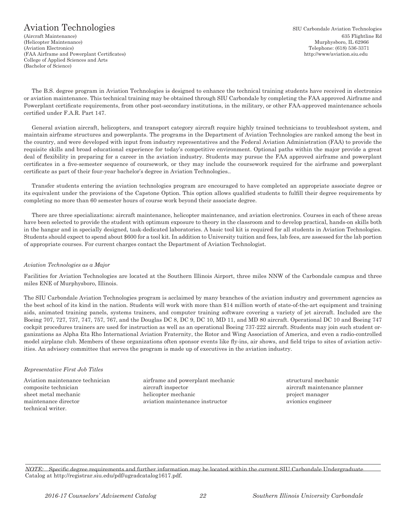### Aviation Technologies SIU Carbondale Aviation Technologies

(Aircraft Maintenance) 635 Flightline Rd (Helicopter Maintenance) Murphysboro, IL 62966 (Aviation Electronics) Telephone: (618) 536-3371 (FAA Airframe and Powerplant Certificates) http://www/aviation.siu.edu College of Applied Sciences and Arts (Bachelor of Science)

The B.S. degree program in Aviation Technologies is designed to enhance the technical training students have received in electronics or aviation maintenance. This technical training may be obtained through SIU Carbondale by completing the FAA approved Airframe and Powerplant certificate requirements, from other post-secondary institutions, in the military, or other FAA-approved maintenance schools certified under F.A.R. Part 147.

General aviation aircraft, helicopters, and transport category aircraft require highly trained technicians to troubleshoot system, and maintain airframe structures and powerplants. The programs in the Department of Aviation Technologies are ranked among the best in the country, and were developed with input from industry representatives and the Federal Aviation Administration (FAA) to provide the requisite skills and broad educational experience for today's competitive environment. Optional paths within the major provide a great deal of flexibility in preparing for a career in the aviation industry. Students may pursue the FAA approved airframe and powerplant certificates in a five-semester sequence of coursework, or they may include the coursework required for the airframe and powerplant certificate as part of their four-year bachelor's degree in Aviation Technologies..

Transfer students entering the aviation technologies program are encouraged to have completed an appropriate associate degree or its equivalent under the provisions of the Capstone Option. This option allows qualified students to fulfill their degree requirements by completing no more than 60 semester hours of course work beyond their associate degree.

There are three specializations: aircraft maintenance, helicopter maintenance, and aviation electronics. Courses in each of these areas have been selected to provide the student with optimum exposure to theory in the classroom and to develop practical, hands-on skills both in the hangar and in specially designed, task-dedicated laboratories. A basic tool kit is required for all students in Aviation Technologies. Students should expect to spend about \$600 for a tool kit. In addition to University tuition and fees, lab fees, are assessed for the lab portion of appropriate courses. For current charges contact the Department of Aviation Technologist.

#### *Aviation Technologies as a Major*

Facilities for Aviation Technologies are located at the Southern Illinois Airport, three miles NNW of the Carbondale campus and three miles ENE of Murphysboro, Illinois.

The SIU Carbondale Aviation Technologies program is acclaimed by many branches of the aviation industry and government agencies as the best school of its kind in the nation. Students will work with more than \$14 million worth of state-of-the-art equipment and training aids, animated training panels, systems trainers, and computer training software covering a variety of jet aircraft. Included are the Boeing 707, 727, 737, 747, 757, 767, and the Douglas DC 8, DC 9, DC 10, MD 11, and MD 80 aircraft. Operational DC 10 and Boeing 747 cockpit procedures trainers are used for instruction as well as an operational Boeing 737-222 aircraft. Students may join such student organizations as Alpha Eta Rho International Aviation Fraternity, the Rotor and Wing Association of America, and even a radio-controlled model airplane club. Members of these organizations often sponsor events like fly-ins, air shows, and field trips to sites of aviation activities. An advisory committee that serves the program is made up of executives in the aviation industry.

#### *Representative First Job Titles*

technical writer.

Aviation maintenance technician airframe and powerplant mechanic structural mechanic composite technician aircraft inspector aircraft maintenance planner sheet metal mechanic helicopter mechanic project manager maintenance director aviation maintenance instructor avionics engineer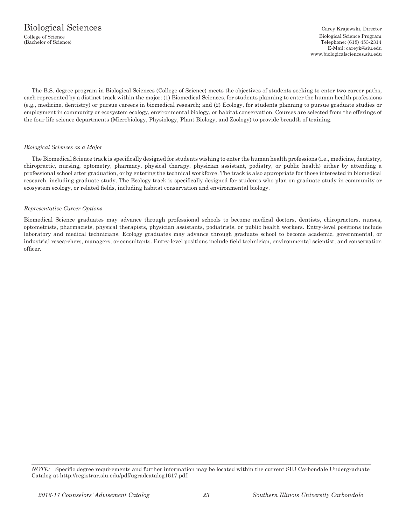Telephone: (618) 453-2314 E-Mail: careyk@siu.edu www.biologicalsciences.siu.edu

The B.S. degree program in Biological Sciences (College of Science) meets the objectives of students seeking to enter two career paths, each represented by a distinct track within the major: (1) Biomedical Sciences, for students planning to enter the human health professions (e.g., medicine, dentistry) or pursue careers in biomedical research; and (2) Ecology, for students planning to pursue graduate studies or employment in community or ecosystem ecology, environmental biology, or habitat conservation. Courses are selected from the offerings of the four life science departments (Microbiology, Physiology, Plant Biology, and Zoology) to provide breadth of training.

#### *Biological Sciences as a Major*

The Biomedical Science track is specifically designed for students wishing to enter the human health professions (i.e., medicine, dentistry, chiropractic, nursing, optometry, pharmacy, physical therapy, physician assistant, podiatry, or public health) either by attending a professional school after graduation, or by entering the technical workforce. The track is also appropriate for those interested in biomedical research, including graduate study. The Ecology track is specifically designed for students who plan on graduate study in community or ecosystem ecology, or related fields, including habitat conservation and environmental biology.

#### *Representative Career Options*

Biomedical Science graduates may advance through professional schools to become medical doctors, dentists, chiropractors, nurses, optometrists, pharmacists, physical therapists, physician assistants, podiatrists, or public health workers. Entry-level positions include laboratory and medical technicians. Ecology graduates may advance through graduate school to become academic, governmental, or industrial researchers, managers, or consultants. Entry-level positions include field technician, environmental scientist, and conservation officer.

*NOTE:* Specific degree requirements and further information may be located within the current SIU Carbondale Undergraduate Catalog at http://registrar.siu.edu/pdf/ugradcatalog1617.pdf.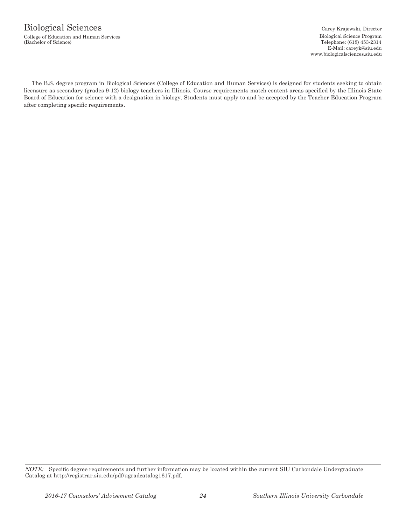### Biological Sciences Carey Krajewski, Director

College of Education and Human Services and Services and European college of Science Program (Bachelor of Science)<br>Cachelor of Science)

Telephone: (618) 453-2314 E-Mail: careyk@siu.edu www.biologicalsciences.siu.edu

The B.S. degree program in Biological Sciences (College of Education and Human Services) is designed for students seeking to obtain licensure as secondary (grades 9-12) biology teachers in Illinois. Course requirements match content areas specified by the Illinois State Board of Education for science with a designation in biology. Students must apply to and be accepted by the Teacher Education Program after completing specific requirements.

*NOTE:* Specific degree requirements and further information may be located within the current SIU Carbondale Undergraduate Catalog at http://registrar.siu.edu/pdf/ugradcatalog1617.pdf.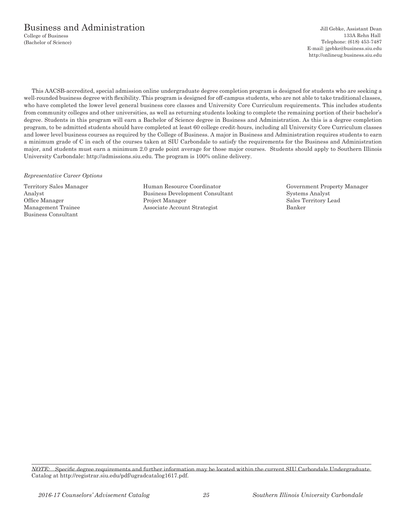### Business and Administration Jill Gebke, Assistant Dean

College of Business 133A Rehn Hall (Bachelor of Science) Telephone: (618) 453-7487 E-mail: jgebke@business.siu.edu http://onlineug.business.siu.edu

This AACSB-accredited, special admission online undergraduate degree completion program is designed for students who are seeking a well-rounded business degree with flexibility. This program is designed for off-campus students, who are not able to take traditional classes, who have completed the lower level general business core classes and University Core Curriculum requirements. This includes students from community colleges and other universities, as well as returning students looking to complete the remaining portion of their bachelor's degree. Students in this program will earn a Bachelor of Science degree in Business and Administration. As this is a degree completion program, to be admitted students should have completed at least 60 college credit-hours, including all University Core Curriculum classes and lower level business courses as required by the College of Business. A major in Business and Administration requires students to earn a minimum grade of C in each of the courses taken at SIU Carbondale to satisfy the requirements for the Business and Administration major, and students must earn a minimum 2.0 grade point average for those major courses. Students should apply to Southern Illinois University Carbondale: http://admissions.siu.edu. The program is 100% online delivery.

#### *Representative Career Options*

Business Consultant

Territory Sales Manager Human Resource Coordinator Government Property Manager Analyst Business Development Consultant Systems Analyst Systems Analyst Business Development Consultant Systems Analyst Sales Territory L Project Manager Sales Territory Lead Management Trainee Associate Account Strategist Banker

*NOTE:* Specific degree requirements and further information may be located within the current SIU Carbondale Undergraduate Catalog at http://registrar.siu.edu/pdf/ugradcatalog1617.pdf.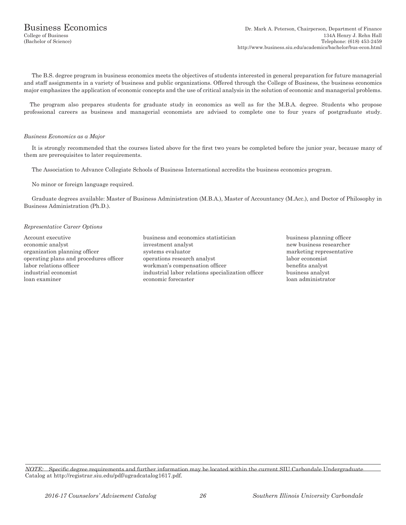The B.S. degree program in business economics meets the objectives of students interested in general preparation for future managerial and staff assignments in a variety of business and public organizations. Offered through the College of Business, the business economics major emphasizes the application of economic concepts and the use of critical analysis in the solution of economic and managerial problems.

The program also prepares students for graduate study in economics as well as for the M.B.A. degree. Students who propose professional careers as business and managerial economists are advised to complete one to four years of postgraduate study.

#### *Business Economics as a Major*

It is strongly recommended that the courses listed above for the first two years be completed before the junior year, because many of them are prerequisites to later requirements.

The Association to Advance Collegiate Schools of Business International accredits the business economics program.

No minor or foreign language required.

Graduate degrees available: Master of Business Administration (M.B.A.), Master of Accountancy (M.Acc.), and Doctor of Philosophy in Business Administration (Ph.D.).

#### *Representative Career Options*

- Account executive business and economics statistician business planning officer economic analyst investment analyst new business researcher organization planning officer systems evaluator marketing representative operating plans and procedures officer operations research analyst labor economist labor relations officer workman's compensation officer benefits analyst industrial economist industrial labor relations specialization officer business analyst loan examiner economic forecaster loan administrator
	-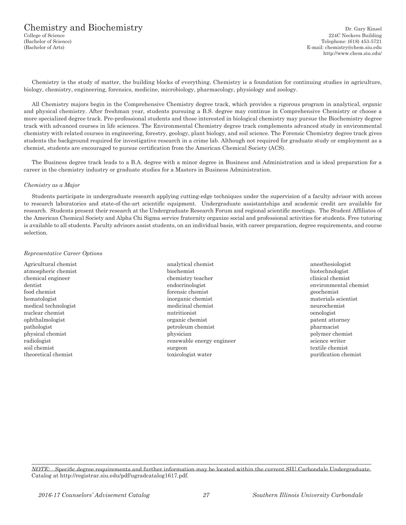## Chemistry and Biochemistry Dr. Gary Kinsel (College of Science 224C Neckers Building

224C Neckers Building (Bachelor of Science) Telephone: (618) 453-5721 (Bachelor of Arts) E-mail: chemistry@chem.siu.edu http://www.chem.siu.edu/

Chemistry is the study of matter, the building blocks of everything. Chemistry is a foundation for continuing studies in agriculture, biology, chemistry, engineering, forensics, medicine, microbiology, pharmacology, physiology and zoology.

All Chemistry majors begin in the Comprehensive Chemistry degree track, which provides a rigorous program in analytical, organic and physical chemistry. After freshman year, students pursuing a B.S. degree may continue in Comprehensive Chemistry or choose a more specialized degree track. Pre-professional students and those interested in biological chemistry may pursue the Biochemistry degree track with advanced courses in life sciences. The Environmental Chemistry degree track complements advanced study in environmental chemistry with related courses in engineering, forestry, geology, plant biology, and soil science. The Forensic Chemistry degree track gives students the background required for investigative research in a crime lab. Although not required for graduate study or employment as a chemist, students are encouraged to pursue certification from the American Chemical Society (ACS).

The Business degree track leads to a B.A. degree with a minor degree in Business and Administration and is ideal preparation for a career in the chemistry industry or graduate studies for a Masters in Business Administration.

#### *Chemistry as a Major*

Students participate in undergraduate research applying cutting-edge techniques under the supervision of a faculty advisor with access to research laboratories and state-of-the-art scientific equipment. Undergraduate assistantships and academic credit are available for research. Students present their research at the Undergraduate Research Forum and regional scientific meetings. The Student Affiliates of the American Chemical Society and Alpha Chi Sigma service fraternity organize social and professional activities for students. Free tutoring is available to all students. Faculty advisors assist students, on an individual basis, with career preparation, degree requirements, and course selection.

#### *Representative Career Options*

Agricultural chemist analytical chemist anesthesiologist

atmospheric chemist biochemist biotechnologist chemical engineer chemistry teacher clinical chemist dentist endocrinologist environmental chemist food chemist forensic chemist geochemist hematologist inorganic chemist materials scientist medical technologist medicinal chemist neurochemist nuclear chemist and the metric oenologist number of the metric oenologist of the metric oenologist of the metric oenologist of the metric oenologist of the metric oenologist of the metric oenologist of the metric oenologis ophthalmologist organic chemist patent attorney pathologist petroleum chemist pharmacist physical chemist physical chemist physical chemist physical chemist physical chemist physical chemist physical chemist physical chemist physical chemist physical chemist physical chemist physical chemist physical chemist p radiologist renewable energy engineer science writer soil chemist surgeon surgeon textile chemist surgeon

theoretical chemist toxicologist water purification chemist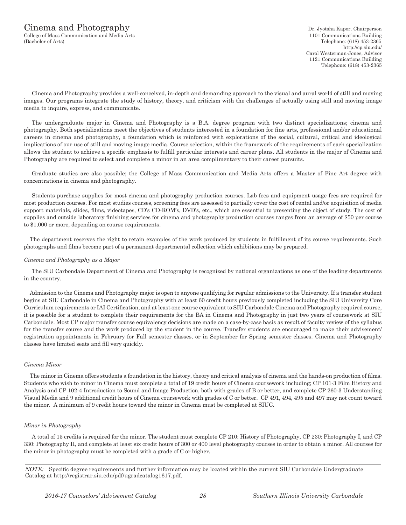### $C$ inema and  $Photography$  Dr. Jyotsha Kapor, Chairperson

College of Mass Communication and Media Arts 1101 Communications Building (Bachelor of Arts) Telephone: (618) 453-2365

http://cp.siu.edu/ Carol Westerman-Jones, Advisor 1121 Communications Building Telephone: (618) 453-2365

Cinema and Photography provides a well-conceived, in-depth and demanding approach to the visual and aural world of still and moving images. Our programs integrate the study of history, theory, and criticism with the challenges of actually using still and moving image media to inquire, express, and communicate.

The undergraduate major in Cinema and Photography is a B.A. degree program with two distinct specializations; cinema and photography. Both specializations meet the objectives of students interested in a foundation for fine arts, professional and/or educational careers in cinema and photography, a foundation which is reinforced with explorations of the social, cultural, critical and ideological implications of our use of still and moving image media. Course selection, within the framework of the requirements of each specialization allows the student to achieve a specific emphasis to fulfill particular interests and career plans. All students in the major of Cinema and Photography are required to select and complete a minor in an area complimentary to their career pursuits.

Graduate studies are also possible; the College of Mass Communication and Media Arts offers a Master of Fine Art degree with concentrations in cinema and photography.

Students purchase supplies for most cinema and photography production courses. Lab fees and equipment usage fees are required for most production courses. For most studies courses, screening fees are assessed to partially cover the cost of rental and/or acquisition of media support materials, slides, films, videotapes, CD's CD-ROM's, DVD's, etc., which are essential to presenting the object of study. The cost of supplies and outside laboratory finishing services for cinema and photography production courses ranges from an average of \$50 per course to \$1,000 or more, depending on course requirements.

The department reserves the right to retain examples of the work produced by students in fulfillment of its course requirements. Such photographs and films become part of a permanent departmental collection which exhibitions may be prepared.

#### *Cinema and Photography as a Major*

The SIU Carbondale Department of Cinema and Photography is recognized by national organizations as one of the leading departments in the country.

Admission to the Cinema and Photography major is open to anyone qualifying for regular admissions to the University. If a transfer student begins at SIU Carbondale in Cinema and Photography with at least 60 credit hours previously completed including the SIU University Core Curriculum requirements or IAI Certification, and at least one course equivalent to SIU Carbondale Cinema and Photography required course, it is possible for a student to complete their requirements for the BA in Cinema and Photography in just two years of coursework at SIU Carbondale. Most CP major transfer course equivalency decisions are made on a case-by-case basis as result of faculty review of the syllabus for the transfer course and the work produced by the student in the course. Transfer students are encouraged to make their advisement/ registration appointments in February for Fall semester classes, or in September for Spring semester classes. Cinema and Photography classes have limited seats and fill very quickly.

#### *Cinema Minor*

The minor in Cinema offers students a foundation in the history, theory and critical analysis of cinema and the hands-on production of films. Students who wish to minor in Cinema must complete a total of 19 credit hours of Cinema coursework including; CP 101-3 Film History and Analysis and CP 102-4 Introduction to Sound and Image Production, both with grades of B or better, and complete CP 260-3 Understanding Visual Media and 9 additional credit hours of Cinema coursework with grades of C or better. CP 491, 494, 495 and 497 may not count toward the minor. A minimum of 9 credit hours toward the minor in Cinema must be completed at SIUC.

#### *Minor in Photography*

A total of 15 credits is required for the minor. The student must complete CP 210: History of Photography, CP 230: Photography I, and CP 330: Photography II, and complete at least six credit hours of 300 or 400 level photography courses in order to obtain a minor. All courses for the minor in photography must be completed with a grade of C or higher.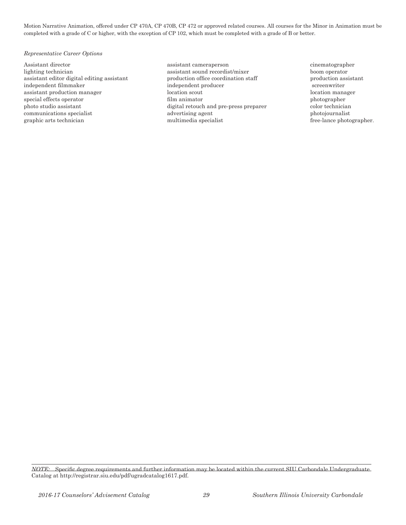Motion Narrative Animation, offered under CP 470A, CP 470B, CP 472 or approved related courses. All courses for the Minor in Animation must be completed with a grade of C or higher, with the exception of CP 102, which must be completed with a grade of B or better.

#### *Representative Career Options*

lighting technician assistant sound recordist/mixer boom operator assistant editor digital editing assistant production office coordination staff production assistant independent filmmaker independent producer screenwriter assistant production manager location scout location manager special effects operator film animator film animator photographer photo studio assistant digital retouch and pre-press preparer color technician communications specialist advertising agent photojournalist graphic arts technician multimedia specialist free-lance photographer.

Assistant director assistant cameraperson cinematographer

*NOTE:* Specific degree requirements and further information may be located within the current SIU Carbondale Undergraduate Catalog at http://registrar.siu.edu/pdf/ugradcatalog1617.pdf.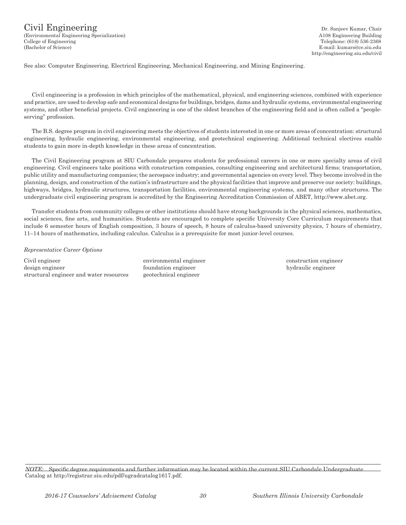http://engineering.siu.edu/civil

See also: Computer Engineering, Electrical Engineering, Mechanical Engineering, and Mining Engineering.

Civil engineering is a profession in which principles of the mathematical, physical, and engineering sciences, combined with experience and practice, are used to develop safe and economical designs for buildings, bridges, dams and hydraulic systems, environmental engineering systems, and other beneficial projects. Civil engineering is one of the oldest branches of the engineering field and is often called a "peopleserving" profession.

The B.S. degree program in civil engineering meets the objectives of students interested in one or more areas of concentration: structural engineering, hydraulic engineering, environmental engineering, and geotechnical engineering. Additional technical electives enable students to gain more in-depth knowledge in these areas of concentration.

The Civil Engineering program at SIU Carbondale prepares students for professional careers in one or more specialty areas of civil engineering. Civil engineers take positions with construction companies, consulting engineering and architectural firms; transportation, public utility and manufacturing companies; the aerospace industry; and governmental agencies on every level. They become involved in the planning, design, and construction of the nation's infrastructure and the physical facilities that improve and preserve our society: buildings, highways, bridges, hydraulic structures, transportation facilities, environmental engineering systems, and many other structures. The undergraduate civil engineering program is accredited by the Engineering Accreditation Commission of ABET, http://www.abet.org.

Transfer students from community colleges or other institutions should have strong backgrounds in the physical sciences, mathematics, social sciences, fine arts, and humanities. Students are encouraged to complete specific University Core Curriculum requirements that include 6 semester hours of English composition, 3 hours of speech, 8 hours of calculus-based university physics, 7 hours of chemistry, 11–14 hours of mathematics, including calculus. Calculus is a prerequisite for most junior-level courses.

#### *Representative Career Options*

Civil engineer environmental engineer construction engineer design engineer foundation engineer hydraulic engineer structural engineer and water resources geotechnical engineer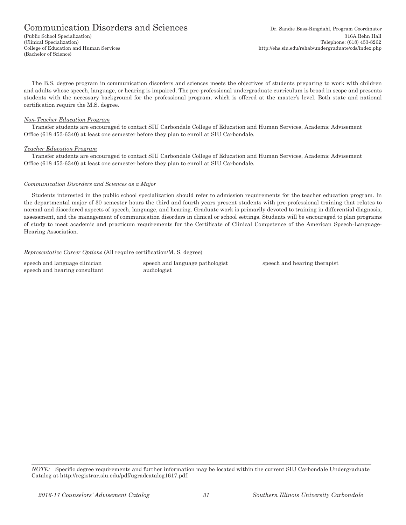### Communication Disorders and Sciences Dr. Sandie Bass-Ringdahl, Program Coordinator

(Bachelor of Science)

The B.S. degree program in communication disorders and sciences meets the objectives of students preparing to work with children and adults whose speech, language, or hearing is impaired. The pre-professional undergraduate curriculum is broad in scope and presents students with the necessary background for the professional program, which is offered at the master's level. Both state and national certification require the M.S. degree.

#### *Non-Teacher Education Program*

Transfer students are encouraged to contact SIU Carbondale College of Education and Human Services, Academic Advisement Office (618 453-6340) at least one semester before they plan to enroll at SIU Carbondale.

#### *Teacher Education Program*

Transfer students are encouraged to contact SIU Carbondale College of Education and Human Services, Academic Advisement Office (618 453-6340) at least one semester before they plan to enroll at SIU Carbondale.

#### *Communication Disorders and Sciences as a Major*

Students interested in the public school specialization should refer to admission requirements for the teacher education program. In the departmental major of 30 semester hours the third and fourth years present students with pre-professional training that relates to normal and disordered aspects of speech, language, and hearing. Graduate work is primarily devoted to training in differential diagnosis, assessment, and the management of communication disorders in clinical or school settings. Students will be encouraged to plan programs of study to meet academic and practicum requirements for the Certificate of Clinical Competence of the American Speech-Language-Hearing Association.

*Representative Career Options* (All require certification/M. S. degree)

speech and hearing consultant audiologist

speech and language clinician speech and language pathologist speech and hearing therapist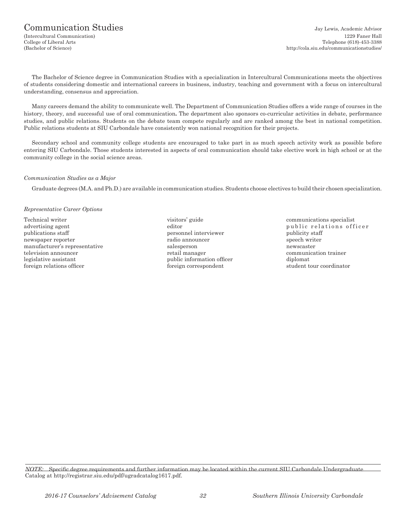The Bachelor of Science degree in Communication Studies with a specialization in Intercultural Communications meets the objectives of students considering domestic and international careers in business, industry, teaching and government with a focus on intercultural understanding, consensus and appreciation.

Many careers demand the ability to communicate well. The Department of Communication Studies offers a wide range of courses in the history, theory, and successful use of oral communication**.** The department also sponsors co-curricular activities in debate, performance studies, and public relations. Students on the debate team compete regularly and are ranked among the best in national competition. Public relations students at SIU Carbondale have consistently won national recognition for their projects.

Secondary school and community college students are encouraged to take part in as much speech activity work as possible before entering SIU Carbondale. Those students interested in aspects of oral communication should take elective work in high school or at the community college in the social science areas.

#### *Communication Studies as a Major*

Graduate degrees (M.A. and Ph.D.) are available in communication studies. Students choose electives to build their chosen specialization.

#### *Representative Career Options*

Technical writer **Technical writer** visitors' guide communications specialist publications staff **personnel interviewer** publicity staff **personnel** interviewer newspaper reporter and the radio announcer radio announcer speech writer manufacturer's representative salesperson newscaster television announcer retail manager communication trainer legislative assistant and public information officer diplomation of diplomation of the diplomation of the diplomation of the diplomation of the diplomation of the diplomation of the diplomation of the diplomation of the di foreign relations officer foreign correspondent student tour coordinator student tour coordinator

- 
- advertising agent editor editor public relations officer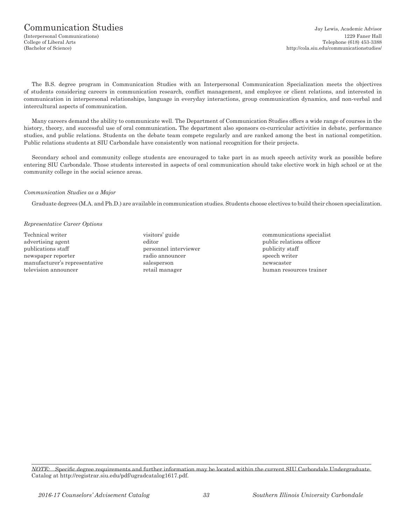The B.S. degree program in Communication Studies with an Interpersonal Communication Specialization meets the objectives of students considering careers in communication research, conflict management, and employee or client relations, and interested in communication in interpersonal relationships, language in everyday interactions, group communication dynamics, and non-verbal and intercultural aspects of communication.

Many careers demand the ability to communicate well. The Department of Communication Studies offers a wide range of courses in the history, theory, and successful use of oral communication**.** The department also sponsors co-curricular activities in debate, performance studies, and public relations. Students on the debate team compete regularly and are ranked among the best in national competition. Public relations students at SIU Carbondale have consistently won national recognition for their projects.

Secondary school and community college students are encouraged to take part in as much speech activity work as possible before entering SIU Carbondale. Those students interested in aspects of oral communication should take elective work in high school or at the community college in the social science areas.

#### *Communication Studies as a Major*

Graduate degrees (M.A. and Ph.D.) are available in communication studies. Students choose electives to build their chosen specialization.

#### *Representative Career Options*

Technical writer visitors' guide communications specialist advertising agent editor editor editor public relations officer publications staff **personnel interviewer** publicity staff newspaper reporter radio announcer radio announcer speech writer manufacturer's representative salesperson newscaster television announcer retail manager human resources trainer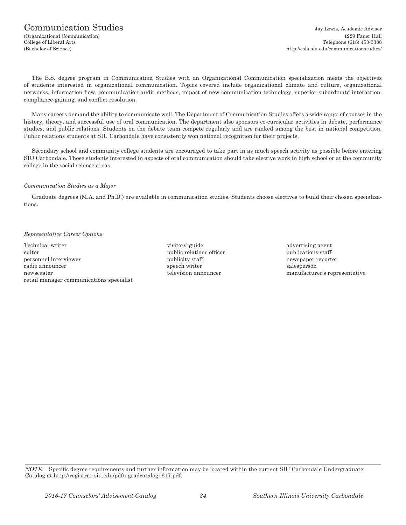The B.S. degree program in Communication Studies with an Organizational Communication specialization meets the objectives of students interested in organizational communication. Topics covered include organizational climate and culture, organizational networks, information flow, communication audit methods, impact of new communication technology, superior-subordinate interaction, compliance‑gaining, and conflict resolution.

Many careers demand the ability to communicate well. The Department of Communication Studies offers a wide range of courses in the history, theory, and successful use of oral communication. The department also sponsors co-curricular activities in debate, performance studies, and public relations. Students on the debate team compete regularly and are ranked among the best in national competition. Public relations students at SIU Carbondale have consistently won national recognition for their projects.

Secondary school and community college students are encouraged to take part in as much speech activity as possible before entering SIU Carbondale. Those students interested in aspects of oral communication should take elective work in high school or at the community college in the social science areas.

#### *Communication Studies as a Major*

Graduate degrees (M.A. and Ph.D.) are available in communication studies. Students choose electives to build their chosen specializations.

#### *Representative Career Options*

Technical writer the contract of the visitors' guide and advertising agent the visitors' guide advertising agent editor **public relations officer** publications staff personnel interviewer example interviewer publicity staff newspaper reporter radio announcer speech writer salesperson newscaster television announcer manufacturer's representative retail manager communications specialist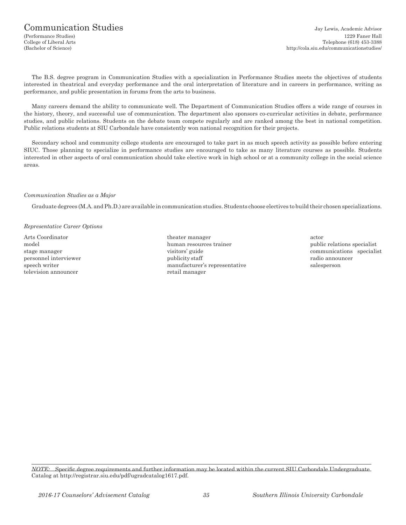### Communication Studies and the Communication Studies Jay Lewis, Academic Advisor

The B.S. degree program in Communication Studies with a specialization in Performance Studies meets the objectives of students interested in theatrical and everyday performance and the oral interpretation of literature and in careers in performance, writing as performance, and public presentation in forums from the arts to business.

Many careers demand the ability to communicate well. The Department of Communication Studies offers a wide range of courses in the history, theory, and successful use of communication. The department also sponsors co-curricular activities in debate, performance studies, and public relations. Students on the debate team compete regularly and are ranked among the best in national competition. Public relations students at SIU Carbondale have consistently won national recognition for their projects.

Secondary school and community college students are encouraged to take part in as much speech activity as possible before entering SIUC. Those planning to specialize in performance studies are encouraged to take as many literature courses as possible. Students interested in other aspects of oral communication should take elective work in high school or at a community college in the social science areas.

#### *Communication Studies as a Major*

Graduate degrees (M.A. and Ph.D.) are available in communication studies. Students choose electives to build their chosen specializations.

#### *Representative Career Options*

television announcer retail manager

Arts Coordinator **theater manager** actor actor model human resources trainer public relations specialist public relations specialist stage manager visitors' guide communications specialist personnel interviewer **publicity staff** radio announcer publicity staff radio announcer speech writer manufacturer's representative salesperson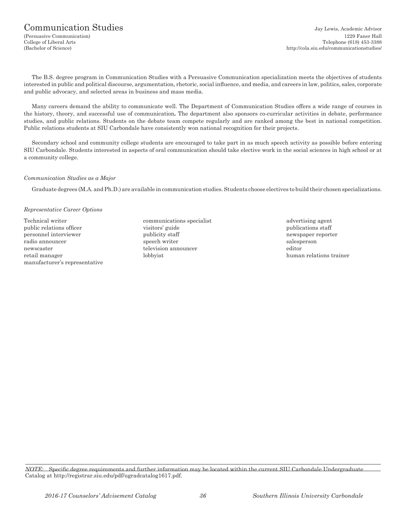The B.S. degree program in Communication Studies with a Persuasive Communication specialization meets the objectives of students interested in public and political discourse, argumentation, rhetoric, social influence, and media, and careers in law, politics, sales, corporate and public advocacy, and selected areas in business and mass media.

Many careers demand the ability to communicate well. The Department of Communication Studies offers a wide range of courses in the history, theory, and successful use of communication**.** The department also sponsors co-curricular activities in debate, performance studies, and public relations. Students on the debate team compete regularly and are ranked among the best in national competition. Public relations students at SIU Carbondale have consistently won national recognition for their projects.

Secondary school and community college students are encouraged to take part in as much speech activity as possible before entering SIU Carbondale. Students interested in aspects of oral communication should take elective work in the social sciences in high school or at a community college.

#### *Communication Studies as a Major*

Graduate degrees (M.A. and Ph.D.) are available in communication studies. Students choose electives to build their chosen specializations.

#### *Representative Career Options*

- Technical writer communications specialist advertising agent advertising agent public relations officer relations in the visitors' guide publications staff publications staff personnel interviewer example interviewer publicity staff newspaper reporter radio announcer speech writer salesperson speech writer salesperson newscaster television announcer editor retail manager and the lobbyist human relations trainer human relations trainer manufacturer's representative
-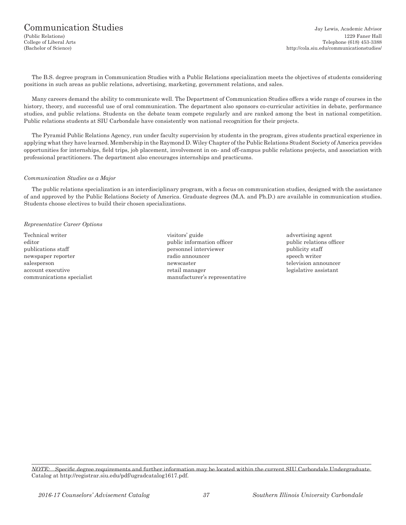# Communication Studies and Studies Jay Lewis, Academic Advisor

(Public Relations) 1229 Faner Hall College of Liberal Arts Telephone (618) 453-3388 (Bachelor of Science) http://cola.siu.edu/communicationstudies/

The B.S. degree program in Communication Studies with a Public Relations specialization meets the objectives of students considering positions in such areas as public relations, advertising, marketing, government relations, and sales.

Many careers demand the ability to communicate well. The Department of Communication Studies offers a wide range of courses in the history, theory, and successful use of oral communication. The department also sponsors co-curricular activities in debate, performance studies, and public relations. Students on the debate team compete regularly and are ranked among the best in national competition. Public relations students at SIU Carbondale have consistently won national recognition for their projects.

The Pyramid Public Relations Agency, run under faculty supervision by students in the program, gives students practical experience in applying what they have learned. Membership in the Raymond D. Wiley Chapter of the Public Relations Student Society of America provides opportunities for internships, field trips, job placement, involvement in on- and off-campus public relations projects, and association with professional practitioners. The department also encourages internships and practicums.

#### *Communication Studies as a Major*

The public relations specialization is an interdisciplinary program, with a focus on communication studies, designed with the assistance of and approved by the Public Relations Society of America. Graduate degrees (M.A. and Ph.D.) are available in communication studies. Students choose electives to build their chosen specializations.

#### *Representative Career Options*

newspaper reporter radio announcer

- Technical writer **Technical writer** visitors' guide advertising agent editor **public information officer** public relations officer public relations officer publications staff personnel interviewer publications staff personnel interviewer publicity staff personnel interviewer publicity staff personnel interviewer publicity staff personnel interviewer publicity staff personnel salesperson newscaster television announcer television announcer account executive retail manager account executive retail manager and retail manager communications specialist manufacturer's representative
	-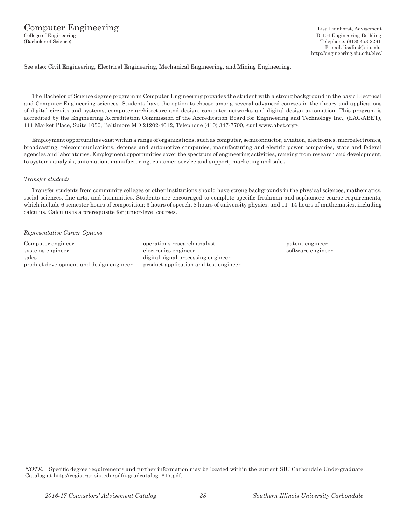See also: Civil Engineering, Electrical Engineering, Mechanical Engineering, and Mining Engineering.

The Bachelor of Science degree program in Computer Engineering provides the student with a strong background in the basic Electrical and Computer Engineering sciences. Students have the option to choose among several advanced courses in the theory and applications of digital circuits and systems, computer architecture and design, computer networks and digital design automation. This program is accredited by the Engineering Accreditation Commission of the Accreditation Board for Engineering and Technology Inc., (EAC/ABET), 111 Market Place, Suite 1050, Baltimore MD 21202-4012, Telephone (410) 347-7700, <url:www.abet.org>.

Employment opportunities exist within a range of organizations, such as computer, semiconductor, aviation, electronics, microelectronics, broadcasting, telecommunications, defense and automotive companies, manufacturing and electric power companies, state and federal agencies and laboratories. Employment opportunities cover the spectrum of engineering activities, ranging from research and development, to systems analysis, automation, manufacturing, customer service and support, marketing and sales.

#### *Transfer students*

Transfer students from community colleges or other institutions should have strong backgrounds in the physical sciences, mathematics, social sciences, fine arts, and humanities. Students are encouraged to complete specific freshman and sophomore course requirements, which include 6 semester hours of composition; 3 hours of speech, 8 hours of university physics; and 11–14 hours of mathematics, including calculus. Calculus is a prerequisite for junior-level courses.

#### *Representative Career Options*

Computer engineer operations research analyst patent engineer systems engineer electronics engineer electronics engineer software engineer sales digital signal processing engineer product development and design engineer product application and test engineer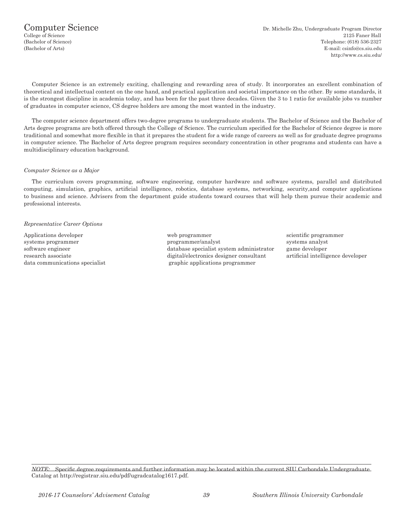Computer Science is an extremely exciting, challenging and rewarding area of study. It incorporates an excellent combination of theoretical and intellectual content on the one hand, and practical application and societal importance on the other. By some standards, it is the strongest discipline in academia today, and has been for the past three decades. Given the 3 to 1 ratio for available jobs vs number of graduates in computer science, CS degree holders are among the most wanted in the industry.

The computer science department offers two-degree programs to undergraduate students. The Bachelor of Science and the Bachelor of Arts degree programs are both offered through the College of Science. The curriculum specified for the Bachelor of Science degree is more traditional and somewhat more flexible in that it prepares the student for a wide range of careers as well as for graduate degree programs in computer science. The Bachelor of Arts degree program requires secondary concentration in other programs and students can have a multidisciplinary education background.

#### *Computer Science as a Major*

The curriculum covers programming, software engineering, computer hardware and software systems, parallel and distributed computing, simulation, graphics, artificial intelligence, robotics, database systems, networking, security,and computer applications to business and science. Advisers from the department guide students toward courses that will help them pursue their academic and professional interests.

#### *Representative Career Options*

Applications developer web programmer scientific programmer systems programmer programmer/analyst systems analyst systems analyst systems analyst software engineer and the database specialist system administrator game developer research associate digital/electronics designer consultant artificial intelligence developer data communications specialist graphic applications programmer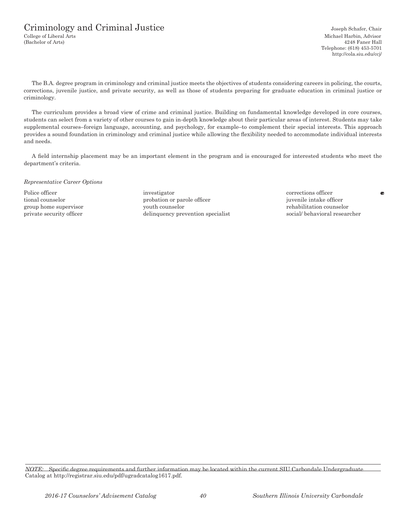College of Liberal Arts Michael Harbin, Advisor (Bachelor of Arts) 4248 Faner Hall Telephone: (618) 453-5701 http://cola.siu.edu/ccj/

The B.A. degree program in criminology and criminal justice meets the objectives of students considering careers in policing, the courts, corrections, juvenile justice, and private security, as well as those of students preparing for graduate education in criminal justice or criminology.

The curriculum provides a broad view of crime and criminal justice. Building on fundamental knowledge developed in core courses, students can select from a variety of other courses to gain in-depth knowledge about their particular areas of interest. Students may take supplemental courses–foreign language, accounting, and psychology, for example–to complement their special interests. This approach provides a sound foundation in criminology and criminal justice while allowing the flexibility needed to accommodate individual interests and needs.

A field internship placement may be an important element in the program and is encouraged for interested students who meet the department's criteria.

*Representative Career Options*

Police officer **investigator** investigator **corrections officer corrections** of **corrections** of **corrections** of **corrections** of **corrections** of **corrections** of **corrections** of **corrections** of **corrections** of **cor** tional counselor probation or parole officer juvenile intake officer group home supervisor youth counselor youth counselor rehabilitation counselor private security officer delinquency prevention specialist social/ behavioral researcher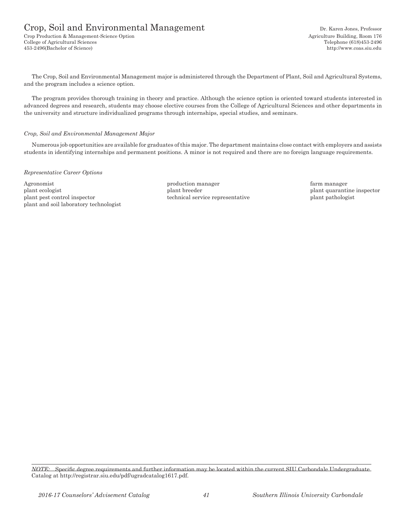# Crop, Soil and Environmental Management Dr. Karen Jones, Professor

Crop Production & Management-Science Option Agriculture Building, Room 176 College of Agricultural Sciences Telephone (618)453-2496 453-2496(Bachelor of Science) http://www.coas.siu.edu

The Crop, Soil and Environmental Management major is administered through the Department of Plant, Soil and Agricultural Systems, and the program includes a science option.

The program provides thorough training in theory and practice. Although the science option is oriented toward students interested in advanced degrees and research, students may choose elective courses from the College of Agricultural Sciences and other departments in the university and structure individualized programs through internships, special studies, and seminars.

#### *Crop, Soil and Environmental Management Major*

Numerous job opportunities are available for graduates of this major. The department maintains close contact with employers and assists students in identifying internships and permanent positions. A minor is not required and there are no foreign language requirements.

#### *Representative Career Options*

Agronomist **production manager** and the production manager farm manager farm manager plant ecologist plant breeder plant breeder plant to plant quarantine inspector plant pest control inspector technical service representative plant pathologist plant and soil laboratory technologist

*NOTE:* Specific degree requirements and further information may be located within the current SIU Carbondale Undergraduate Catalog at http://registrar.siu.edu/pdf/ugradcatalog1617.pdf.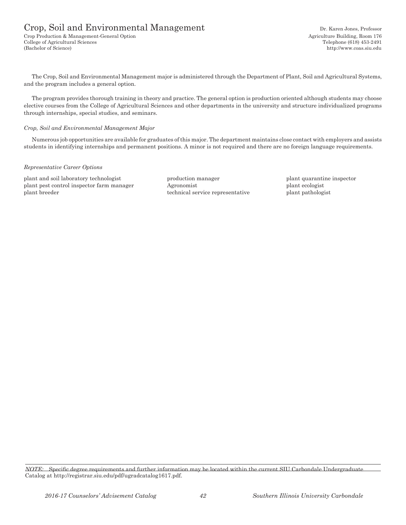# Crop, Soil and Environmental Management Dr. Karen Jones, Professor

Crop Production & Management-General Option (176) (1899) 2013 1991 1991 1992 2014 2015 2016 2017 2018 2019 201<br>College of Agricultural Sciences (618) 253-2491 College of Agricultural Sciences (Bachelor of Science) http://www.coas.siu.edu

The Crop, Soil and Environmental Management major is administered through the Department of Plant, Soil and Agricultural Systems, and the program includes a general option.

The program provides thorough training in theory and practice. The general option is production oriented although students may choose elective courses from the College of Agricultural Sciences and other departments in the university and structure individualized programs through internships, special studies, and seminars.

#### *Crop, Soil and Environmental Management Major*

Numerous job opportunities are available for graduates of this major. The department maintains close contact with employers and assists students in identifying internships and permanent positions. A minor is not required and there are no foreign language requirements.

#### *Representative Career Options*

plant and soil laboratory technologist production manager plant quarantine inspector plant pest control inspector farm manager Agronomist plant ecologist plant ecologist plant breeder technical service representative plant pathologist

*NOTE:* Specific degree requirements and further information may be located within the current SIU Carbondale Undergraduate Catalog at http://registrar.siu.edu/pdf/ugradcatalog1617.pdf.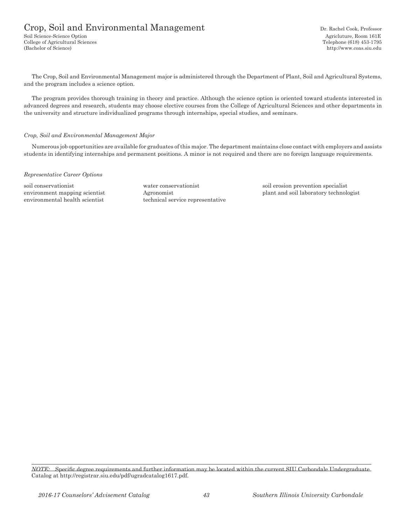# Crop, Soil and Environmental Management Dr. Rachel Cook, Professor

Soil Science-Science Option Agricluture, Room 161E College of Agricultural Sciences Telephone (618) 453-1795 (Bachelor of Science) http://www.coas.siu.edu

The Crop, Soil and Environmental Management major is administered through the Department of Plant, Soil and Agricultural Systems, and the program includes a science option.

The program provides thorough training in theory and practice. Although the science option is oriented toward students interested in advanced degrees and research, students may choose elective courses from the College of Agricultural Sciences and other departments in the university and structure individualized programs through internships, special studies, and seminars.

#### *Crop, Soil and Environmental Management Major*

Numerous job opportunities are available for graduates of this major. The department maintains close contact with employers and assists students in identifying internships and permanent positions. A minor is not required and there are no foreign language requirements.

#### *Representative Career Options*

environmental health scientist technical service representative

soil conservationist water conservationist soil erosion prevention specialist environment mapping scientist Agronomist plant and soil laboratory technologist

*NOTE:* Specific degree requirements and further information may be located within the current SIU Carbondale Undergraduate Catalog at http://registrar.siu.edu/pdf/ugradcatalog1617.pdf.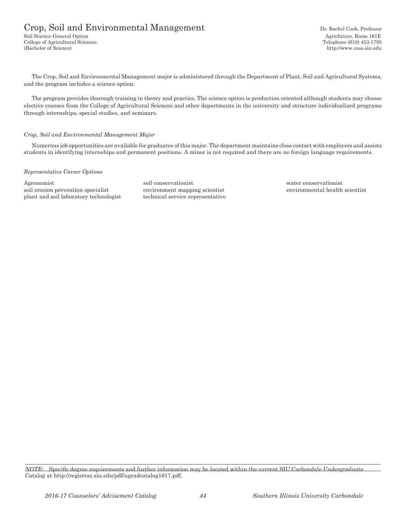# Crop, Soil and Environmental Management Dr. Rachel Cook, Professor

Soil Science-General Option **Agriculture, Room 161E** College of Agricultural Sciences Telephone (618) 453-1795 (Bachelor of Science) http://www.coas.siu.edu

The Crop, Soil and Environmental Management major is administered through the Department of Plant, Soil and Agricultural Systems, and the program includes a science option.

The program provides thorough training in theory and practice. The science option is production oriented although students may choose elective courses from the College of Agricultural Sciences and other departments in the university and structure individualized programs through internships, special studies, and seminars.

#### *Crop, Soil and Environmental Management Major*

Numerous job opportunities are available for graduates of this major. The department maintains close contact with employers and assists students in identifying internships and permanent positions. A minor is not required and there are no foreign language requirements.

#### *Representative Career Options*

Agronomist soil conservationist water conservationist soil erosion prevention specialist environment mapping scientist environmental health scientist plant and soil laboratory technologist technical service representative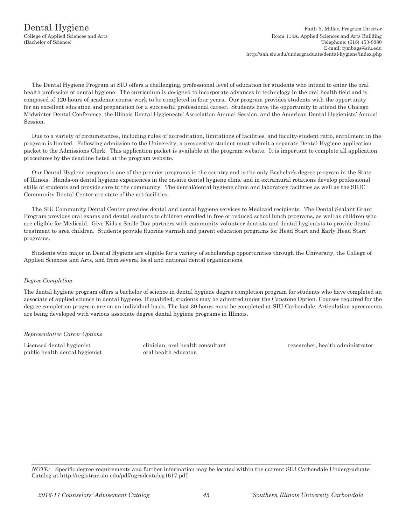The Dental Hygiene Program at SIU offers a challenging, professional level of education for students who intend to enter the oral health profession of dental hygiene. The curriculum is designed to incorporate advances in technology in the oral health field and is composed of 120 hours of academic course work to be completed in four years. Our program provides students with the opportunity for an excellent education and preparation for a successful professional career. Students have the opportunity to attend the Chicago Midwinter Dental Conference, the Illinois Dental Hygienests' Association Annual Session, and the American Dental Hygienists' Annual Session.

Due to a variety of circumstances, including rules of accreditation, limitations of facilities, and faculty-student ratio, enrollment in the program is limited. Following admission to the University, a prospective student must submit a separate Dental Hygiene application packet to the Admissions Clerk. This application packet is available at the program website. It is important to complete all application procedures by the deadline listed at the program website.

Our Dental Hygiene program is one of the premier programs in the country and is the only Bachelor's degree program in the State of Illinois. Hands-on dental hygiene experiences in the on-site dental hygiene clinic and in extramural rotations develop professional skills of students and provide care to the community. The dental/dental hygiene clinic and laboratory facilities as well as the SIUC Community Dental Center are state of the art facilities.

The SIU Community Dental Center provides dental and dental hygiene services to Medicaid recipients. The Dental Sealant Grant Program provides oral exams and dental sealants to children enrolled in free or reduced school lunch programs, as well as children who are eligible for Medicaid. Give Kids a Smile Day partners with community volunteer dentists and dental hygienists to provide dental treatment to area children. Students provide fluoride varnish and parent education programs for Head Start and Early Head Start programs.

Students who major in Dental Hygiene are eligible for a variety of scholarship opportunities through the University, the College of Applied Sciences and Arts, and from several local and national dental organizations.

## *Degree Completion*

The dental hygiene program offers a bachelor of science in dental hygiene degree completion program for students who have completed an associate of applied science in dental hygiene. If qualified, students may be admitted under the Capstone Option. Courses required for the degree completion program are on an individual basis. The last 30 hours must be completed at SIU Carbondale. Articulation agreements are being developed with various associate degree dental hygiene programs in Illinois.

#### *Representative Career Options*

public health dental hygienist oral health educator.

Licensed dental hygienist clinician, oral health consultant researcher, health administrator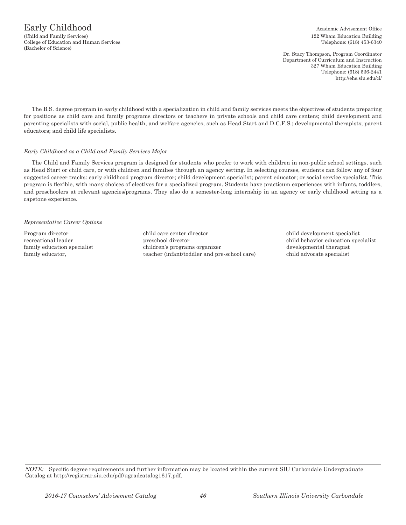Dr. Stacy Thompson, Program Coordinator Department of Curriculum and Instruction 327 Wham Education Building Telephone: (618) 536-2441 http://ehs.siu.edu/ci/

The B.S. degree program in early childhood with a specialization in child and family services meets the objectives of students preparing for positions as child care and family programs directors or teachers in private schools and child care centers; child development and parenting specialists with social, public health, and welfare agencies, such as Head Start and D.C.F.S.; developmental therapists; parent educators; and child life specialists.

#### *Early Childhood as a Child and Family Services Major*

The Child and Family Services program is designed for students who prefer to work with children in non-public school settings, such as Head Start or child care, or with children and families through an agency setting. In selecting courses, students can follow any of four suggested career tracks: early childhood program director; child development specialist; parent educator; or social service specialist. This program is flexible, with many choices of electives for a specialized program. Students have practicum experiences with infants, toddlers, and preschoolers at relevant agencies/programs. They also do a semester-long internship in an agency or early childhood setting as a capstone experience.

#### *Representative Career Options*

Program director child care center director child development specialist recreational leader preschool director child behavior education specialist family education specialist children's programs organizer developmental therapist family educator, the state of teacher (infant/toddler and pre-school care) child advocate specialist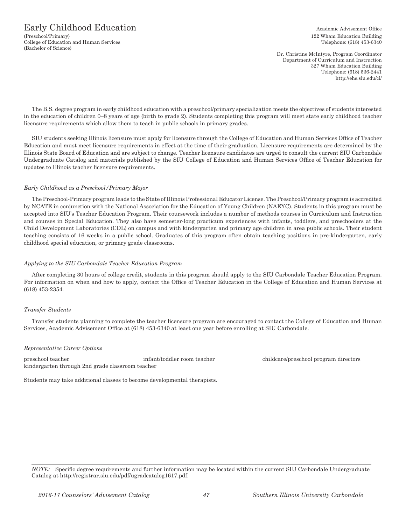(Preschool/Primary) 122 Wham Education Building College of Education and Human Services Telephone: (618) 453-6340 (Bachelor of Science)

Dr. Christine McIntyre, Program Coordinator Department of Curriculum and Instruction 327 Wham Education Building Telephone: (618) 536-2441 http://ehs.siu.edu/ci/

The B.S. degree program in early childhood education with a preschool/primary specialization meets the objectives of students interested in the education of children 0–8 years of age (birth to grade 2). Students completing this program will meet state early childhood teacher licensure requirements which allow them to teach in public schools in primary grades.

SIU students seeking Illinois licensure must apply for licensure through the College of Education and Human Services Office of Teacher Education and must meet licensure requirements in effect at the time of their graduation. Licensure requirements are determined by the Illinois State Board of Education and are subject to change. Teacher licensure candidates are urged to consult the current SIU Carbondale Undergraduate Catalog and materials published by the SIU College of Education and Human Services Office of Teacher Education for updates to Illinois teacher licensure requirements.

## *Early Childhood as a Preschool/Primary Major*

The Preschool-Primary program leads to the State of Illinois Professional Educator License. The Preschool/Primary program is accredited by NCATE in conjunction with the National Association for the Education of Young Children (NAEYC). Students in this program must be accepted into SIU's Teacher Education Program. Their coursework includes a number of methods courses in Curriculum and Instruction and courses in Special Education. They also have semester-long practicum experiences with infants, toddlers, and preschoolers at the Child Development Laboratories (CDL) on campus and with kindergarten and primary age children in area public schools. Their student teaching consists of 16 weeks in a public school. Graduates of this program often obtain teaching positions in pre-kindergarten, early childhood special education, or primary grade classrooms.

#### *Applying to the SIU Carbondale Teacher Education Program*

After completing 30 hours of college credit, students in this program should apply to the SIU Carbondale Teacher Education Program. For information on when and how to apply, contact the Office of Teacher Education in the College of Education and Human Services at (618) 453-2354.

## *Transfer Students*

Transfer students planning to complete the teacher licensure program are encouraged to contact the College of Education and Human Services, Academic Advisement Office at (618) 453-6340 at least one year before enrolling at SIU Carbondale.

#### *Representative Career Options*

preschool teacher infant/toddler room teacher childcare/preschool program directors kindergarten through 2nd grade classroom teacher

Students may take additional classes to become developmental therapists.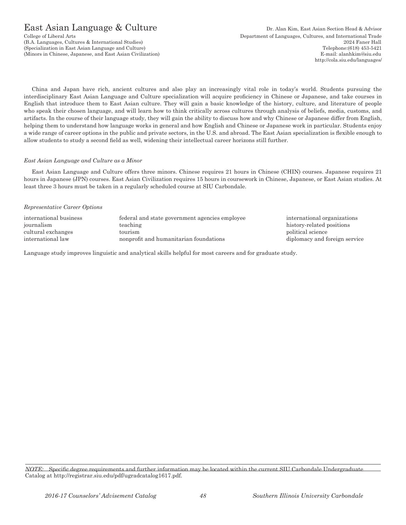# East Asian Language & Culture Dr. Alan Kim, East Asian Section Head & Advisor

China and Japan have rich, ancient cultures and also play an increasingly vital role in today's world. Students pursuing the interdisciplinary East Asian Language and Culture specialization will acquire proficiency in Chinese or Japanese, and take courses in English that introduce them to East Asian culture. They will gain a basic knowledge of the history, culture, and literature of people who speak their chosen language, and will learn how to think critically across cultures through analysis of beliefs, media, customs, and artifacts. In the course of their language study, they will gain the ability to discuss how and why Chinese or Japanese differ from English, helping them to understand how language works in general and how English and Chinese or Japanese work in particular. Students enjoy a wide range of career options in the public and private sectors, in the U.S. and abroad. The East Asian specialization is flexible enough to allow students to study a second field as well, widening their intellectual career horizons still further.

#### *East Asian Language and Culture as a Minor*

East Asian Language and Culture offers three minors. Chinese requires 21 hours in Chinese (CHIN) courses. Japanese requires 21 hours in Japanese (JPN) courses. East Asian Civilization requires 15 hours in coursework in Chinese, Japanese, or East Asian studies. At least three 3 hours must be taken in a regularly scheduled course at SIU Carbondale.

#### *Representative Career Options*

| international business | federal and state government agencies employee |
|------------------------|------------------------------------------------|
| journalism             | teaching                                       |
| cultural exchanges     | tourism                                        |
| international law      | nonprofit and humanitarian foundations         |

international organizations history-related positions political science diplomacy and foreign service

Language study improves linguistic and analytical skills helpful for most careers and for graduate study.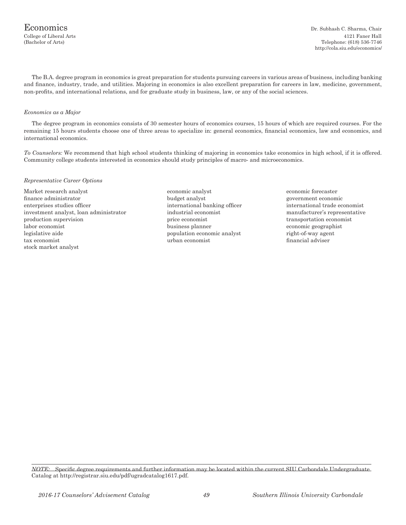The B.A. degree program in economics is great preparation for students pursuing careers in various areas of business, including banking and finance, industry, trade, and utilities. Majoring in economics is also excellent preparation for careers in law, medicine, government, non-profits, and international relations, and for graduate study in business, law, or any of the social sciences.

#### *Economics as a Major*

The degree program in economics consists of 30 semester hours of economics courses, 15 hours of which are required courses. For the remaining 15 hours students choose one of three areas to specialize in: general economics, financial economics, law and economics, and international economics.

*To Counselors:* We recommend that high school students thinking of majoring in economics take economics in high school, if it is offered. Community college students interested in economics should study principles of macro- and microeconomics.

#### *Representative Career Options*

Market research analyst economic analyst economic forecaster finance administrator budget analyst government economic enterprises studies officer international banking officer international trade economist investment analyst, loan administrator industrial economist manufacturer's representative production supervision price economist transportation economist labor economist business planner economic geographist legislative aide **population** economic analyst right-of-way agent tax economist urban economist financial adviser stock market analyst

- 
- 

*NOTE:* Specific degree requirements and further information may be located within the current SIU Carbondale Undergraduate Catalog at http://registrar.siu.edu/pdf/ugradcatalog1617.pdf.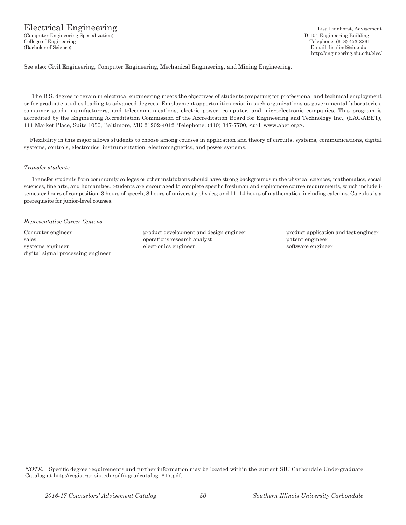# Electrical Engineering Lisa Lindhorst, Advisement

(Computer Engineering Specialization) D-104 Engineering Building College of Engineering Telephone: (618) 453-2261 (Bachelor of Science) E-mail: lisalind@siu.edu

http://engineering.siu.edu/elec/

See also: Civil Engineering, Computer Engineering, Mechanical Engineering, and Mining Engineering.

The B.S. degree program in electrical engineering meets the objectives of students preparing for professional and technical employment or for graduate studies leading to advanced degrees. Employment opportunities exist in such organizations as governmental laboratories, consumer goods manufacturers, and telecommunications, electric power, computer, and microelectronic companies. This program is accredited by the Engineering Accreditation Commission of the Accreditation Board for Engineering and Technology Inc., (EAC/ABET), 111 Market Place, Suite 1050, Baltimore, MD 21202-4012, Telephone: (410) 347-7700, <url: www.abet.org>.

Flexibility in this major allows students to choose among courses in application and theory of circuits, systems, communications, digital systems, controls, electronics, instrumentation, electromagnetics, and power systems.

#### *Transfer students*

Transfer students from community colleges or other institutions should have strong backgrounds in the physical sciences, mathematics, social sciences, fine arts, and humanities. Students are encouraged to complete specific freshman and sophomore course requirements, which include 6 semester hours of composition; 3 hours of speech, 8 hours of university physics; and 11–14 hours of mathematics, including calculus. Calculus is a prerequisite for junior-level courses.

#### *Representative Career Options*

digital signal processing engineer

Computer engineer product development and design engineer product application and test engineer sales operations research analyst patent engineer systems engineer electronics engineer electronics engineer software engineer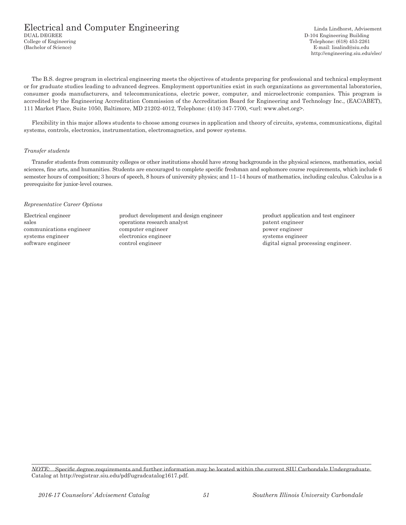## Electrical and Computer Engineering<br>
DUAL DEGREE Linda Lindhorst, Advisement<br>
D-104 Engineering Building College of Engineering Telephone: (618) 453-2261 (Bachelor of Science) E-mail: lisalind@siu.edu

D-104 Engineering Building http://engineering.siu.edu/elec/

The B.S. degree program in electrical engineering meets the objectives of students preparing for professional and technical employment or for graduate studies leading to advanced degrees. Employment opportunities exist in such organizations as governmental laboratories, consumer goods manufacturers, and telecommunications, electric power, computer, and microelectronic companies. This program is accredited by the Engineering Accreditation Commission of the Accreditation Board for Engineering and Technology Inc., (EAC/ABET), 111 Market Place, Suite 1050, Baltimore, MD 21202-4012, Telephone: (410) 347-7700, <url: www.abet.org>.

Flexibility in this major allows students to choose among courses in application and theory of circuits, systems, communications, digital systems, controls, electronics, instrumentation, electromagnetics, and power systems.

#### *Transfer students*

Transfer students from community colleges or other institutions should have strong backgrounds in the physical sciences, mathematics, social sciences, fine arts, and humanities. Students are encouraged to complete specific freshman and sophomore course requirements, which include 6 semester hours of composition; 3 hours of speech, 8 hours of university physics; and 11–14 hours of mathematics, including calculus. Calculus is a prerequisite for junior-level courses.

#### *Representative Career Options*

Electrical engineer product development and design engineer product application and test engineer sales operations research analyst patent engineer communications engineer computer engineer power engineer power engineer systems engineer electronics engineer electronics engineer systems engineer software engineer control engineer control engineer digital signal processing engineer.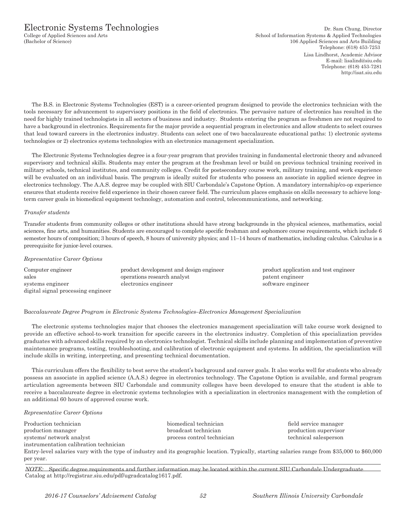The B.S. in Electronic Systems Technologies (EST) is a career-oriented program designed to provide the electronics technician with the tools necessary for advancement to supervisory positions in the field of electronics. The pervasive nature of electronics has resulted in the need for highly trained technologists in all sectors of business and industry. Students entering the program as freshmen are not required to have a background in electronics. Requirements for the major provide a sequential program in electronics and allow students to select courses that lead toward careers in the electronics industry. Students can select one of two baccalaureate educational paths: 1) electronic systems technologies or 2) electronics systems technologies with an electronics management specialization.

The Electronic Systems Technologies degree is a four-year program that provides training in fundamental electronic theory and advanced supervisory and technical skills. Students may enter the program at the freshman level or build on previous technical training received in military schools, technical institutes, and community colleges. Credit for postsecondary course work, military training, and work experience will be evaluated on an individual basis. The program is ideally suited for students who possess an associate in applied science degree in electronics technology. The A.A.S. degree may be coupled with SIU Carbondale's Capstone Option. A mandatory internship/co-op experience ensures that students receive field experience in their chosen career field. The curriculum places emphasis on skills necessary to achieve longterm career goals in biomedical equipment technology, automation and control, telecommunications, and networking.

## *Transfer students*

Transfer students from community colleges or other institutions should have strong backgrounds in the physical sciences, mathematics, social sciences, fine arts, and humanities. Students are encouraged to complete specific freshman and sophomore course requirements, which include 6 semester hours of composition; 3 hours of speech, 8 hours of university physics; and 11–14 hours of mathematics, including calculus. Calculus is a prerequisite for junior-level courses.

#### *Representative Career Options*

| Computer engineer                  | product development and design engineer |
|------------------------------------|-----------------------------------------|
| sales                              | operations research analyst             |
| systems engineer                   | electronics engineer                    |
| digital signal processing engineer |                                         |

product application and test engineer patent engineer software engineer

## B*accalaureate Degree Program in Electronic Systems Technologies–Electronics Management Specialization*

The electronic systems technologies major that chooses the electronics management specialization will take course work designed to provide an effective school-to-work transition for specific careers in the electronics industry. Completion of this specialization provides graduates with advanced skills required by an electronics technologist. Technical skills include planning and implementation of preventive maintenance programs, testing, troubleshooting, and calibration of electronic equipment and systems. In addition, the specialization will include skills in writing, interpreting, and presenting technical documentation.

This curriculum offers the flexibility to best serve the student's background and career goals. It also works well for students who already possess an associate in applied science (A.A.S.) degree in electronics technology. The Capstone Option is available, and formal program articulation agreements between SIU Carbondale and community colleges have been developed to ensure that the student is able to receive a baccalaureate degree in electronic systems technologies with a specialization in electronics management with the completion of an additional 60 hours of approved course work.

#### *Representative Career Options*

Production technician biomedical technician field service manager production manager broadcast technician production supervisor systems/ network analyst process control technical salesperson technical salesperson instrumentation calibration technician

Entry-level salaries vary with the type of industry and its geographic location. Typically, starting salaries range from \$35,000 to \$60,000 per year.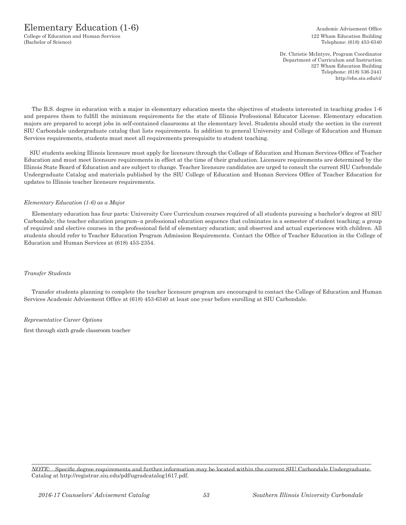College of Education and Human Services 122 Wham Education Building (Bachelor of Science) Telephone: (618) 453-6340

Dr. Christie McIntyre, Program Coordinator Department of Curriculum and Instruction 327 Wham Education Building Telephone: (618) 536-2441 http://ehs.siu.edu/ci/

The B.S. degree in education with a major in elementary education meets the objectives of students interested in teaching grades 1-6 and prepares them to fulfill the minimum requirements for the state of Illinois Professional Educator License. Elementary education majors are prepared to accept jobs in self-contained classrooms at the elementary level. Students should study the section in the current SIU Carbondale undergraduate catalog that lists requirements. In addition to general University and College of Education and Human Services requirements, students must meet all requirements prerequisite to student teaching.

SIU students seeking Illinois licensure must apply for licensure through the College of Education and Human Services Office of Teacher Education and must meet licensure requirements in effect at the time of their graduation. Licensure requirements are determined by the Illinois State Board of Education and are subject to change. Teacher licensure candidates are urged to consult the current SIU Carbondale Undergraduate Catalog and materials published by the SIU College of Education and Human Services Office of Teacher Education for updates to Illinois teacher licensure requirements.

## *Elementary Education (1-6) as a Major*

Elementary education has four parts: University Core Curriculum courses required of all students pursuing a bachelor's degree at SIU Carbondale; the teacher education program–a professional education sequence that culminates in a semester of student teaching; a group of required and elective courses in the professional field of elementary education; and observed and actual experiences with children. All students should refer to Teacher Education Program Admission Requirements. Contact the Office of Teacher Education in the College of Education and Human Services at (618) 453-2354.

## *Transfer Students*

Transfer students planning to complete the teacher licensure program are encouraged to contact the College of Education and Human Services Academic Advisement Office at (618) 453-6340 at least one year before enrolling at SIU Carbondale.

#### *Representative Career Options*

first through sixth grade classroom teacher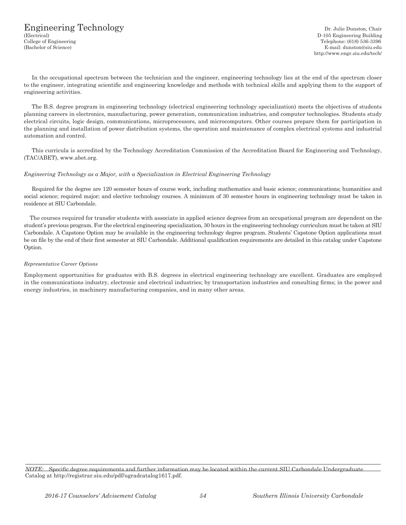In the occupational spectrum between the technician and the engineer, engineering technology lies at the end of the spectrum closer to the engineer, integrating scientific and engineering knowledge and methods with technical skills and applying them to the support of engineering activities.

The B.S. degree program in engineering technology (electrical engineering technology specialization) meets the objectives of students planning careers in electronics, manufacturing, power generation, communication industries, and computer technologies. Students study electrical circuits, logic design, communications, microprocessors, and microcomputers. Other courses prepare them for participation in the planning and installation of power distribution systems, the operation and maintenance of complex electrical systems and industrial automation and control.

This curricula is accredited by the Technology Accreditation Commission of the Accreditation Board for Engineering and Technology, (TAC/ABET), www.abet.org.

#### *Engineering Technology as a Major, with a Specialization in Electrical Engineering Technology*

Required for the degree are 120 semester hours of course work, including mathematics and basic science; communications; humanities and social science; required major; and elective technology courses. A minimum of 30 semester hours in engineering technology must be taken in residence at SIU Carbondale.

The courses required for transfer students with associate in applied science degrees from an occupational program are dependent on the student's previous program. For the electrical engineering specialization, 30 hours in the engineering technology curriculum must be taken at SIU Carbondale. A Capstone Option may be available in the engineering technology degree program. Students' Capstone Option applications must be on file by the end of their first semester at SIU Carbondale. Additional qualification requirements are detailed in this catalog under Capstone Option.

#### *Representative Career Options*

Employment opportunities for graduates with B.S. degrees in electrical engineering technology are excellent. Graduates are employed in the communications industry, electronic and electrical industries; by transportation industries and consulting firms; in the power and energy industries, in machinery manufacturing companies, and in many other areas.

*NOTE:* Specific degree requirements and further information may be located within the current SIU Carbondale Undergraduate Catalog at http://registrar.siu.edu/pdf/ugradcatalog1617.pdf.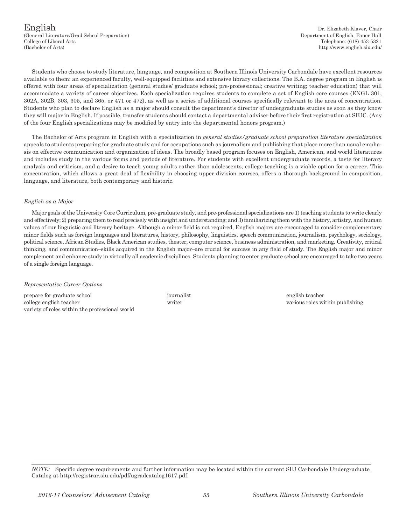English Dr. Elizabeth Klaver, Chair (General Literature/Grad School Preparation) Department of English, Faner Hall College of Liberal Arts Telephone: (618) 453-5321

Students who choose to study literature, language, and composition at Southern Illinois University Carbondale have excellent resources available to them: an experienced faculty, well-equipped facilities and extensive library collections. The B.A. degree program in English is offered with four areas of specialization (general studies/ graduate school; pre-professional; creative writing; teacher education) that will accommodate a variety of career objectives. Each specialization requires students to complete a set of English core courses (ENGL 301, 302A, 302B, 303, 305, and 365, or 471 or 472), as well as a series of additional courses specifically relevant to the area of concentration. Students who plan to declare English as a major should consult the department's director of undergraduate studies as soon as they know they will major in English. If possible, transfer students should contact a departmental adviser before their first registration at SIUC. (Any of the four English specializations may be modified by entry into the departmental honors program.)

The Bachelor of Arts program in English with a specialization in *general studies/graduate school preparation literature specialization* appeals to students preparing for graduate study and for occupations such as journalism and publishing that place more than usual emphasis on effective communication and organization of ideas. The broadly based program focuses on English, American, and world literatures and includes study in the various forms and periods of literature. For students with excellent undergraduate records, a taste for literary analysis and criticism, and a desire to teach young adults rather than adolescents, college teaching is a viable option for a career. This concentration, which allows a great deal of flexibility in choosing upper-division courses, offers a thorough background in composition, language, and literature, both contemporary and historic.

#### *English as a Major*

Major goals of the University Core Curriculum, pre-graduate study, and pre-professional specializations are 1) teaching students to write clearly and effectively; 2) preparing them to read precisely with insight and understanding; and 3) familiarizing them with the history, artistry, and human values of our linguistic and literary heritage. Although a minor field is not required, English majors are encouraged to consider complementary minor fields such as foreign languages and literatures, history, philosophy, linguistics, speech communication, journalism, psychology, sociology, political science, African Studies, Black American studies, theater, computer science, business administration, and marketing. Creativity, critical thinking, and communication–skills acquired in the English major–are crucial for success in any field of study. The English major and minor complement and enhance study in virtually all academic disciplines. Students planning to enter graduate school are encouraged to take two years of a single foreign language.

#### *Representative Career Options*

prepare for graduate school journalist english teacher college english teacher writer various roles within publishing variety of roles within the professional world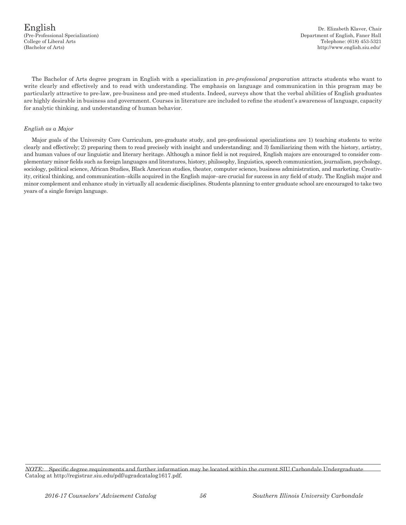The Bachelor of Arts degree program in English with a specialization in *pre-professional preparation* attracts students who want to write clearly and effectively and to read with understanding. The emphasis on language and communication in this program may be particularly attractive to pre-law, pre-business and pre-med students. Indeed, surveys show that the verbal abilities of English graduates are highly desirable in business and government. Courses in literature are included to refine the student's awareness of language, capacity for analytic thinking, and understanding of human behavior.

#### *English as a Major*

Major goals of the University Core Curriculum, pre-graduate study, and pre-professional specializations are 1) teaching students to write clearly and effectively; 2) preparing them to read precisely with insight and understanding; and 3) familiarizing them with the history, artistry, and human values of our linguistic and literary heritage. Although a minor field is not required, English majors are encouraged to consider complementary minor fields such as foreign languages and literatures, history, philosophy, linguistics, speech communication, journalism, psychology, sociology, political science, African Studies, Black American studies, theater, computer science, business administration, and marketing. Creativity, critical thinking, and communication–skills acquired in the English major–are crucial for success in any field of study. The English major and minor complement and enhance study in virtually all academic disciplines. Students planning to enter graduate school are encouraged to take two years of a single foreign language.

*NOTE:* Specific degree requirements and further information may be located within the current SIU Carbondale Undergraduate Catalog at http://registrar.siu.edu/pdf/ugradcatalog1617.pdf.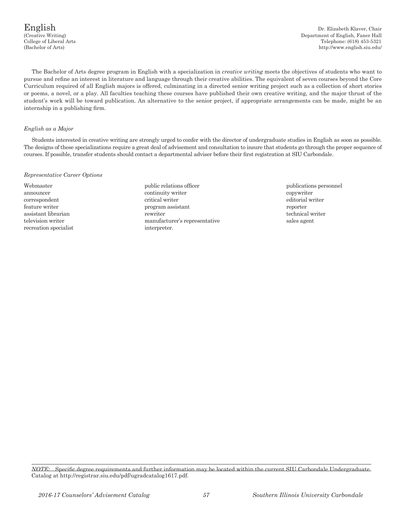English Dr. Elizabeth Klaver, Chair<br>Creative Writing) Department of English, Faner Hall Department of English, Faner Hall College of Liberal Arts Telephone: (618) 453-5321 (Bachelor of Arts) http://www.english.siu.edu/

The Bachelor of Arts degree program in English with a specialization in *creative writing* meets the objectives of students who want to pursue and refine an interest in literature and language through their creative abilities. The equivalent of seven courses beyond the Core Curriculum required of all English majors is offered, culminating in a directed senior writing project such as a collection of short stories or poems, a novel, or a play. All faculties teaching these courses have published their own creative writing, and the major thrust of the student's work will be toward publication. An alternative to the senior project, if appropriate arrangements can be made, might be an internship in a publishing firm.

#### *English as a Major*

Students interested in creative writing are strongly urged to confer with the director of undergraduate studies in English as soon as possible. The designs of these specializations require a great deal of advisement and consultation to insure that students go through the proper sequence of courses. If possible, transfer students should contact a departmental adviser before their first registration at SIU Carbondale.

#### *Representative Career Options*

- recreation specialist interpreter.
- Webmaster **public relations officer** public relations officer publications personnel announcer continuity writer continuity writer continuity writer continuity writer continuity writer continuity writer correspondent critical writer editorial writer feature writer program assistant reporter assistant librarian technical writer technical writer technical writer technical writer television writer manufacturer's representative sales agent
	-

*NOTE:* Specific degree requirements and further information may be located within the current SIU Carbondale Undergraduate Catalog at http://registrar.siu.edu/pdf/ugradcatalog1617.pdf.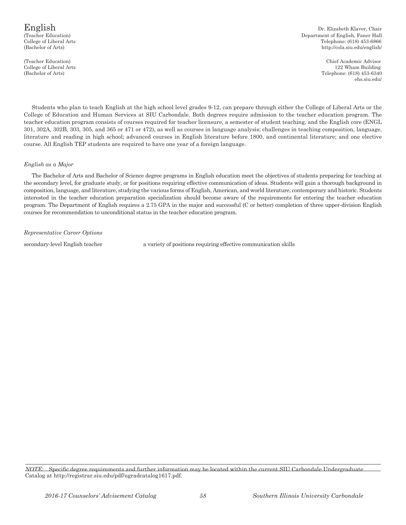# (Bachelor of Arts)

English Dr. Elizabeth Klaver, Chair (Teacher Education) **Department of English, Faner Hall** College of Liberal Arts Telephone: (618) 453-6866 http://cola.siu.edu/english/

(Teacher Education) Chief Academic Advisor College of Liberal Arts 122 Wham Building (Bachelor of Arts) Telephone: (618) 453-6340 ehs.siu.edu/

Students who plan to teach English at the high school level grades 9-12, can prepare through either the College of Liberal Arts or the College of Education and Human Services at SIU Carbondale. Both degrees require admission to the teacher education program. The teacher education program consists of courses required for teacher licensure, a semester of student teaching, and the English core (ENGL 301, 302A, 302B, 303, 305, and 365 or 471 or 472), as well as courses in language analysis; challenges in teaching composition, language, literature and reading in high school; advanced courses in English literature before 1800, and continental literature; and one elective course. All English TEP students are required to have one year of a foreign language.

#### *English as a Major*

The Bachelor of Arts and Bachelor of Science degree programs in English education meet the objectives of students preparing for teaching at the secondary level, for graduate study, or for positions requiring effective communication of ideas. Students will gain a thorough background in composition, language, and literature, studying the various forms of English, American, and world literature, contemporary and historic. Students interested in the teacher education preparation specialization should become aware of the requirements for entering the teacher education program. The Department of English requires a 2.75 GPA in the major and successful (C or better) completion of three upper-division English courses for recommendation to unconditional status in the teacher education program.

#### *Representative Career Options*

secondary-level English teacher a variety of positions requiring effective communication skills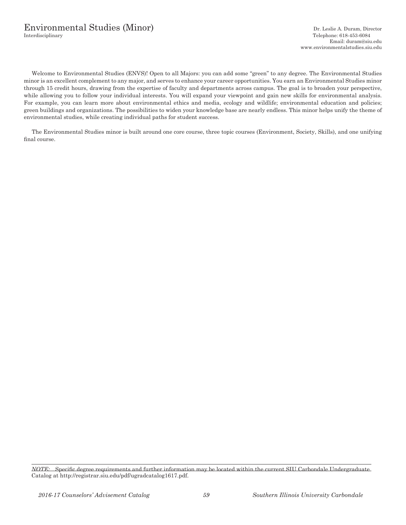# Environmental Studies (Minor) Dr. Leslie A. Duram, Director Dr. Leslie A. Duram, Director Telephone: 618-453-6084

Welcome to Environmental Studies (ENVS)! Open to all Majors: you can add some "green" to any degree. The Environmental Studies minor is an excellent complement to any major, and serves to enhance your career opportunities. You earn an Environmental Studies minor through 15 credit hours, drawing from the expertise of faculty and departments across campus. The goal is to broaden your perspective, while allowing you to follow your individual interests. You will expand your viewpoint and gain new skills for environmental analysis. For example, you can learn more about environmental ethics and media, ecology and wildlife; environmental education and policies; green buildings and organizations. The possibilities to widen your knowledge base are nearly endless. This minor helps unify the theme of environmental studies, while creating individual paths for student success.

The Environmental Studies minor is built around one core course, three topic courses (Environment, Society, Skills), and one unifying final course.

*NOTE:* Specific degree requirements and further information may be located within the current SIU Carbondale Undergraduate Catalog at http://registrar.siu.edu/pdf/ugradcatalog1617.pdf.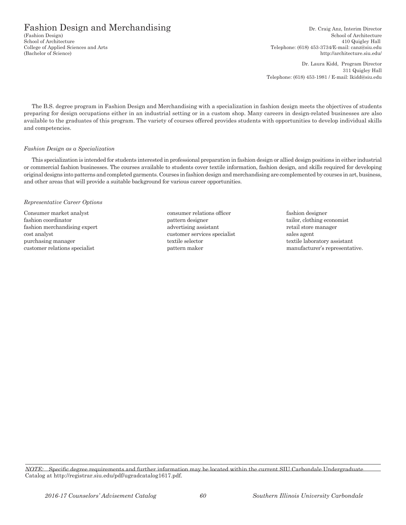# Fashion Design and Merchandising Dr. Craig Anz, Interim Director Crashion Design)

School of Architecture School of Architecture 410 Quigley Hall College of Applied Sciences and Arts Telephone: (618) 453-3734/E-mail: canz@siu.edu (Bachelor of Science) http://architecture.siu.edu/

> Dr. Laura Kidd, Program Director 311 Quigley Hall Telephone: (618) 453-1981 / E-mail: lkidd@siu.edu

The B.S. degree program in Fashion Design and Merchandising with a specialization in fashion design meets the objectives of students preparing for design occupations either in an industrial setting or in a custom shop. Many careers in design-related businesses are also available to the graduates of this program. The variety of courses offered provides students with opportunities to develop individual skills and competencies.

#### *Fashion Design as a Specialization*

This specialization is intended for students interested in professional preparation in fashion design or allied design positions in either industrial or commercial fashion businesses. The courses available to students cover textile information, fashion design, and skills required for developing original designs into patterns and completed garments. Courses in fashion design and merchandising are complemented by courses in art, business, and other areas that will provide a suitable background for various career opportunities.

#### *Representative Career Options*

Consumer market analyst consumer relations officer fashion designer fashion coordinator pattern designer tailor, clothing economist fashion merchandising expert advertising assistant retail store manager cost analyst customer services specialist sales agent purchasing manager textile selector textile selector textile laboratory assistant

- 
- customer relations specialist pattern maker manufacturer's representative.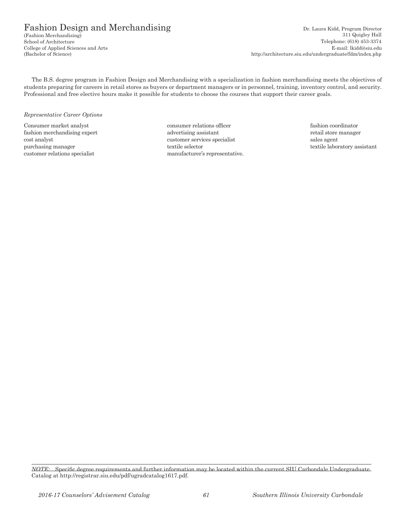$(Fashion Merchandisplay)$ College of Applied Sciences and Arts<br>(Bachelor of Science)

Fashion Design and Merchandising Dr. Laura Kidd, Program Director<br>
(Fashion Merchandising) Dr. Laura Kidd, Program Director<br>
311 Quigley Hall School of Architecture Telephone: (618) 453-3374<br>College of Applied Sciences and Arts E-mail: lkidd@siu.edu http://architecture.siu.edu/undergraduate/fdm/index.php

The B.S. degree program in Fashion Design and Merchandising with a specialization in fashion merchandising meets the objectives of students preparing for careers in retail stores as buyers or department managers or in personnel, training, inventory control, and security. Professional and free elective hours make it possible for students to choose the courses that support their career goals.

#### *Representative Career Options*

Consumer market analyst consumer relations officer fashion coordinator fashion merchandising expert and advertising assistant and retail store manager cost analyst customer services specialist sales agent purchasing manager textile selector textile selector textile selector textile laboratory assistant customer relations specialist manufacturer's representative.

*NOTE:* Specific degree requirements and further information may be located within the current SIU Carbondale Undergraduate Catalog at http://registrar.siu.edu/pdf/ugradcatalog1617.pdf.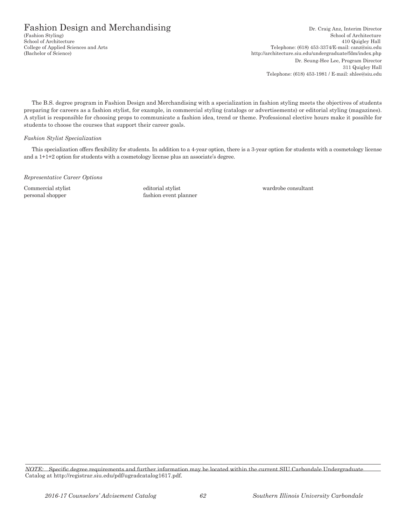Fashion Design and Merchandising Dr. Craig Anz, Interim Director Crashion Styling) Dr. Craig Anz, Interim Director School of Architecture School of Architecture 410 Quigley Hall<br>College of Applied Sciences and Arts (618) 453-3374/E-mail: canz@siu.edu Telephone: (618) 453-3374/E-mail: canz@siu.edu (Bachelor of Science) http://architecture.siu.edu/undergraduate/fdm/index.php Dr. Seung-Hee Lee, Program Director 311 Quigley Hall Telephone: (618) 453-1981 / E-mail: shlee@siu.edu

The B.S. degree program in Fashion Design and Merchandising with a specialization in fashion styling meets the objectives of students preparing for careers as a fashion stylist, for example, in commercial styling (catalogs or advertisements) or editorial styling (magazines). A stylist is responsible for choosing props to communicate a fashion idea, trend or theme. Professional elective hours make it possible for students to choose the courses that support their career goals.

#### *Fashion Stylist Specialization*

This specialization offers flexibility for students. In addition to a 4-year option, there is a 3-year option for students with a cosmetology license and a 1+1+2 option for students with a cosmetology license plus an associate's degree.

*Representative Career Options*

Commercial stylist editorial stylist wardrobe consultant personal shopper fashion event planner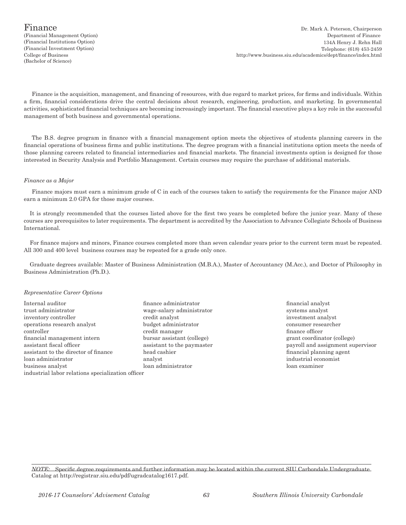(Financial Management Option) (Bachelor of Science)

Finance is the acquisition, management, and financing of resources, with due regard to market prices, for firms and individuals. Within a firm, financial considerations drive the central decisions about research, engineering, production, and marketing. In governmental activities, sophisticated financial techniques are becoming increasingly important. The financial executive plays a key role in the successful management of both business and governmental operations.

The B.S. degree program in finance with a financial management option meets the objectives of students planning careers in the financial operations of business firms and public institutions. The degree program with a financial institutions option meets the needs of those planning careers related to financial intermediaries and financial markets. The financial investments option is designed for those interested in Security Analysis and Portfolio Management. Certain courses may require the purchase of additional materials.

#### *Finance as a Major*

Finance majors must earn a minimum grade of C in each of the courses taken to satisfy the requirements for the Finance major AND earn a minimum 2.0 GPA for those major courses.

It is strongly recommended that the courses listed above for the first two years be completed before the junior year. Many of these courses are prerequisites to later requirements. The department is accredited by the Association to Advance Collegiate Schools of Business International.

For finance majors and minors, Finance courses completed more than seven calendar years prior to the current term must be repeated. All 300 and 400 level business courses may be repeated for a grade only once.

Graduate degrees available: Master of Business Administration (M.B.A.), Master of Accountancy (M.Acc.), and Doctor of Philosophy in Business Administration (Ph.D.).

#### *Representative Career Options*

- Internal auditor finance administrator financial analyst trust administrator wage-salary administrator systems analyst inventory controller credit analyst investment analyst operations research analyst budget administrator consumer researcher controller credit manager finance officer financial management intern bursar assistant (college) grant coordinator (college) assistant fiscal officer assistant to the paymaster payroll and assignment supervisor assistant to the director of finance head cashier financial planning agent loan administrator analyst industrial economist business analyst loan administrator loan examiner industrial labor relations specialization officer
	-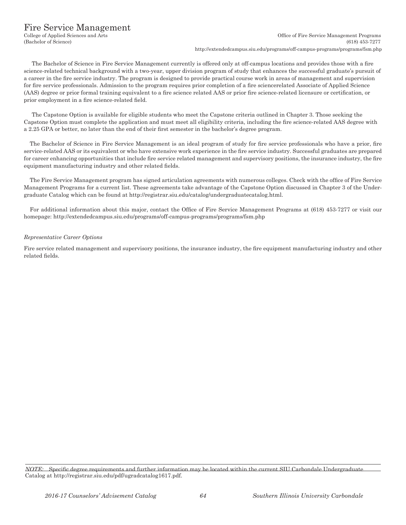## Fire Service Management

The Bachelor of Science in Fire Service Management currently is offered only at off-campus locations and provides those with a fire science-related technical background with a two-year, upper division program of study that enhances the successful graduate's pursuit of a career in the fire service industry. The program is designed to provide practical course work in areas of management and supervision for fire service professionals. Admission to the program requires prior completion of a fire sciencerelated Associate of Applied Science (AAS) degree or prior formal training equivalent to a fire science related AAS or prior fire science-related licensure or certification, or prior employment in a fire science-related field.

The Capstone Option is available for eligible students who meet the Capstone criteria outlined in Chapter 3. Those seeking the Capstone Option must complete the application and must meet all eligibility criteria, including the fire science-related AAS degree with a 2.25 GPA or better, no later than the end of their first semester in the bachelor's degree program.

The Bachelor of Science in Fire Service Management is an ideal program of study for fire service professionals who have a prior, fire service-related AAS or its equivalent or who have extensive work experience in the fire service industry. Successful graduates are prepared for career enhancing opportunities that include fire service related management and supervisory positions, the insurance industry, the fire equipment manufacturing industry and other related fields.

The Fire Service Management program has signed articulation agreements with numerous colleges. Check with the office of Fire Service Management Programs for a current list. These agreements take advantage of the Capstone Option discussed in Chapter 3 of the Undergraduate Catalog which can be found at http://registrar.siu.edu/catalog/undergraduatecatalog.html.

For additional information about this major, contact the Office of Fire Service Management Programs at (618) 453-7277 or visit our homepage: http://extendedcampus.siu.edu/programs/off-campus-programs/programs/fsm.php

## *Representative Career Options*

Fire service related management and supervisory positions, the insurance industry, the fire equipment manufacturing industry and other related fields.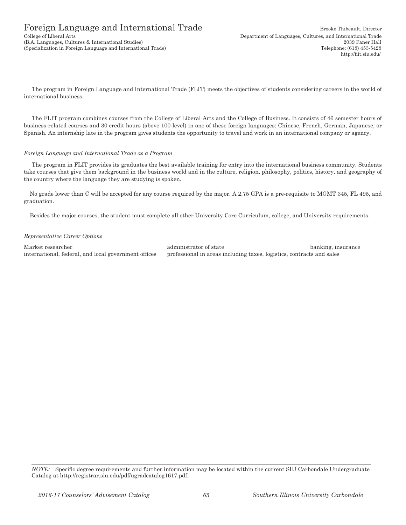# Foreign Language and International Trade Brooke Thibeault, Director

(B.A. Languages, Cultures & International Studies) 2039 Faner Hall (Specialization in Foreign Language and International Trade) Telephone: (618) 453-5428

The program in Foreign Language and International Trade (FLIT) meets the objectives of students considering careers in the world of international business.

The FLIT program combines courses from the College of Liberal Arts and the College of Business. It consists of 46 semester hours of business-related courses and 30 credit hours (above 100-level) in one of these foreign languages: Chinese, French, German, Japanese, or Spanish. An internship late in the program gives students the opportunity to travel and work in an international company or agency.

#### *Foreign Language and International Trade as a Program*

The program in FLIT provides its graduates the best available training for entry into the international business community. Students take courses that give them background in the business world and in the culture, religion, philosophy, politics, history, and geography of the country where the language they are studying is spoken.

No grade lower than C will be accepted for any course required by the major. A 2.75 GPA is a pre-requisite to MGMT 345, FL 495, and graduation.

Besides the major courses, the student must complete all other University Core Curriculum, college, and University requirements.

#### *Representative Career Options*

Market researcher administrator of state banking, insurance international, federal, and local government offices professional in areas including taxes, logistics, contracts and sales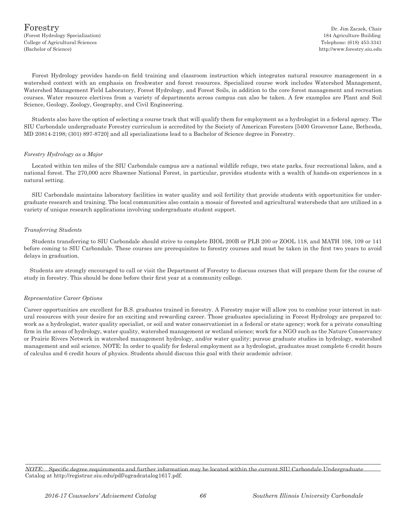Forest Hydrology provides hands-on field training and classroom instruction which integrates natural resource management in a watershed context with an emphasis on freshwater and forest resources. Specialized course work includes Watershed Management, Watershed Management Field Laboratory, Forest Hydrology, and Forest Soils, in addition to the core forest management and recreation courses. Water resource electives from a variety of departments across campus can also be taken. A few examples are Plant and Soil Science, Geology, Zoology, Geography, and Civil Engineering.

Students also have the option of selecting a course track that will qualify them for employment as a hydrologist in a federal agency. The SIU Carbondale undergraduate Forestry curriculum is accredited by the Society of American Foresters [5400 Grosvenor Lane, Bethesda, MD 20814-2198; (301) 897-8720] and all specializations lead to a Bachelor of Science degree in Forestry.

#### *Forestry Hydrology as a Major*

Located within ten miles of the SIU Carbondale campus are a national wildlife refuge, two state parks, four recreational lakes, and a national forest. The 270,000 acre Shawnee National Forest, in particular, provides students with a wealth of hands-on experiences in a natural setting.

SIU Carbondale maintains laboratory facilities in water quality and soil fertility that provide students with opportunities for undergraduate research and training. The local communities also contain a mosaic of forested and agricultural watersheds that are utilized in a variety of unique research applications involving undergraduate student support.

#### *Transferring Students*

Students transferring to SIU Carbondale should strive to complete BIOL 200B or PLB 200 or ZOOL 118, and MATH 108, 109 or 141 before coming to SIU Carbondale. These courses are prerequisites to forestry courses and must be taken in the first two years to avoid delays in graduation.

Students are strongly encouraged to call or visit the Department of Forestry to discuss courses that will prepare them for the course of study in forestry. This should be done before their first year at a community college.

#### *Representative Career Options*

Career opportunities are excellent for B.S. graduates trained in forestry. A Forestry major will allow you to combine your interest in natural resources with your desire for an exciting and rewarding career. Those graduates specializing in Forest Hydrology are prepared to: work as a hydrologist, water quality specialist, or soil and water conservationist in a federal or state agency; work for a private consulting firm in the areas of hydrology, water quality, watershed management or wetland science; work for a NGO such as the Nature Conservancy or Prairie Rivers Network in watershed management hydrology, and/or water quality; pursue graduate studies in hydrology, watershed management and soil science. NOTE: In order to qualify for federal employment as a hydrologist, graduates must complete 6 credit hours of calculus and 6 credit hours of physics. Students should discuss this goal with their academic advisor.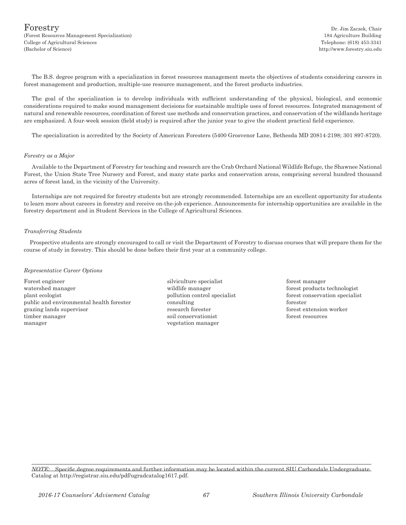$\rm{For} \rm{extry}$  Dr. Jim Zaczek, Chair (Forest Resources Management Specialization) 184 Agriculture Building College of Agricultural Sciences Telephone: (618) 453-3341 (Bachelor of Science) http://www.forestry.siu.edu

The B.S. degree program with a specialization in forest resources management meets the objectives of students considering careers in forest management and production, multiple-use resource management, and the forest products industries.

The goal of the specialization is to develop individuals with sufficient understanding of the physical, biological, and economic considerations required to make sound management decisions for sustainable multiple uses of forest resources. Integrated management of natural and renewable resources, coordination of forest use methods and conservation practices, and conservation of the wildlands heritage are emphasized. A four-week session (field study) is required after the junior year to give the student practical field experience.

The specialization is accredited by the Society of American Foresters (5400 Grosvenor Lane, Bethesda MD 20814-2198; 301 897-8720).

#### *Forestry as a Major*

Available to the Department of Forestry for teaching and research are the Crab Orchard National Wildlife Refuge, the Shawnee National Forest, the Union State Tree Nursery and Forest, and many state parks and conservation areas, comprising several hundred thousand acres of forest land, in the vicinity of the University.

Internships are not required for forestry students but are strongly recommended. Internships are an excellent opportunity for students to learn more about careers in forestry and receive on-the-job experience. Announcements for internship opportunities are available in the forestry department and in Student Services in the College of Agricultural Sciences.

#### *Transferring Students*

Prospective students are strongly encouraged to call or visit the Department of Forestry to discuss courses that will prepare them for the course of study in forestry. This should be done before their first year at a community college.

#### *Representative Career Options*

Forest engineer silviculture specialist forest manager forest manager watershed manager wildlife manager wildlife manager forest products technologist plant ecologist pollution control specialist forest conservation specialist public and environmental health forester consulting forester grazing lands supervisor research forester forester forester forest extension worker timber manager soil conservationist forest resources manager vegetation manager

- 
-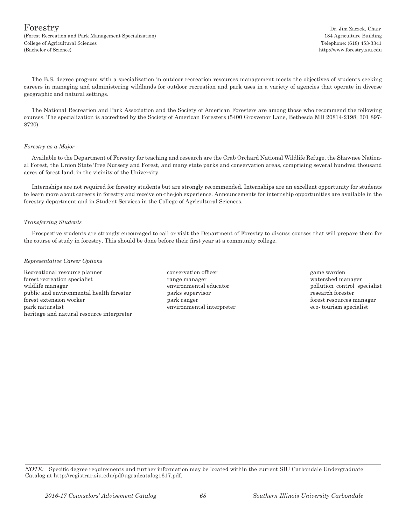$\rm{For} \rm{extry}$  Dr. Jim Zaczek, Chair (Forest Recreation and Park Management Specialization) 184 Agriculture Building College of Agricultural Sciences Telephone: (618) 453-3341 (Bachelor of Science) http://www.forestry.siu.edu

The B.S. degree program with a specialization in outdoor recreation resources management meets the objectives of students seeking careers in managing and administering wildlands for outdoor recreation and park uses in a variety of agencies that operate in diverse geographic and natural settings.

The National Recreation and Park Association and the Society of American Foresters are among those who recommend the following courses. The specialization is accredited by the Society of American Foresters (5400 Grosvenor Lane, Bethesda MD 20814-2198; 301 897- 8720).

#### *Forestry as a Major*

Available to the Department of Forestry for teaching and research are the Crab Orchard National Wildlife Refuge, the Shawnee National Forest, the Union State Tree Nursery and Forest, and many state parks and conservation areas, comprising several hundred thousand acres of forest land, in the vicinity of the University.

Internships are not required for forestry students but are strongly recommended. Internships are an excellent opportunity for students to learn more about careers in forestry and receive on-the-job experience. Announcements for internship opportunities are available in the forestry department and in Student Services in the College of Agricultural Sciences.

#### *Transferring Students*

Prospective students are strongly encouraged to call or visit the Department of Forestry to discuss courses that will prepare them for the course of study in forestry. This should be done before their first year at a community college.

#### *Representative Career Options*

Recreational resource planner conservation officer game warden game warden forest recreation specialist range manager watershed manager wildlife manager environmental educator and pollution control specialist public and environmental health forester parks supervisor parks supervisor parks in the parks supervisor parks supervisor forest extension worker park ranger forest resources manager park naturalist environmental interpreter eco- tourism specialist heritage and natural resource interpreter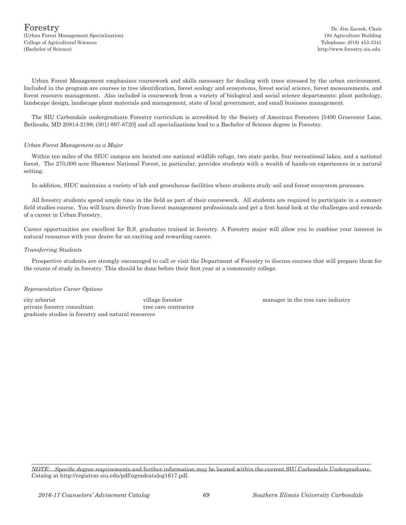http://www.forestry.siu.edu

Urban Forest Management emphasizes coursework and skills necessary for dealing with trees stressed by the urban environment. Included in the program are courses in tree identification, forest ecology and ecosystems, forest social science, forest measurements, and forest resource management. Also included is coursework from a variety of biological and social science departments: plant pathology, landscape design, landscape plant materials and management, state of local government, and small business management.

The SIU Carbondale undergraduate Forestry curriculum is accredited by the Society of American Foresters [5400 Grosvenor Lane, Bethesda, MD 20814-2198; (301) 897-8720] and all specializations lead to a Bachelor of Science degree in Forestry.

#### *Urban Forest Management as a Major*

Within ten miles of the SIUC campus are located one national wildlife refuge, two state parks, four recreational lakes, and a national forest. The 270,000 acre Shawnee National Forest, in particular, provides students with a wealth of hands-on experiences in a natural setting.

In addition, SIUC maintains a variety of lab and greenhouse facilities where students study soil and forest ecosystem processes.

All forestry students spend ample time in the field as part of their coursework. All students are required to participate in a summer field studies course. You will learn directly from forest management professionals and get a first hand look at the challenges and rewards of a career in Urban Forestry.

Career opportunities are excellent for B.S. graduates trained in forestry. A Forestry major will allow you to combine your interest in natural resources with your desire for an exciting and rewarding career.

#### *Transferring Students*

Prospective students are strongly encouraged to call or visit the Department of Forestry to discuss courses that will prepare them for the course of study in forestry. This should be done before their first year at a community college.

#### *Representative Career Options*

city arborist village forester manager in the tree care industry private forestry consultant tree care contractor graduate studies in forestry and natural resources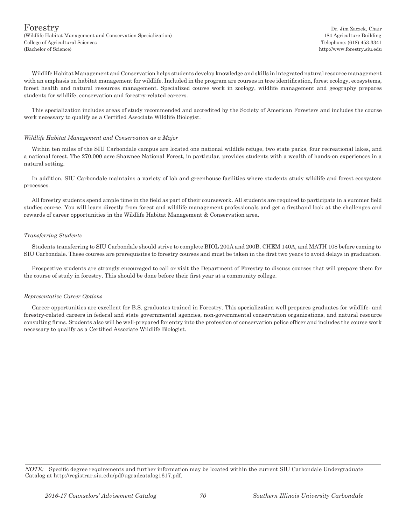$\rm{For} \rm{extry}$  Dr. Jim Zaczek, Chair (Wildlife Habitat Management and Conservation Specialization) 184 Agriculture Building College of Agricultural Sciences Telephone: (618) 453-3341 (Bachelor of Science) http://www.forestry.siu.edu

Wildlife Habitat Management and Conservation helps students develop knowledge and skills in integrated natural resource management with an emphasis on habitat management for wildlife. Included in the program are courses in tree identification, forest ecology, ecosystems, forest health and natural resources management. Specialized course work in zoology, wildlife management and geography prepares students for wildlife, conservation and forestry-related careers.

This specialization includes areas of study recommended and accredited by the Society of American Foresters and includes the course work necessary to qualify as a Certified Associate Wildlife Biologist.

#### *Wildlife Habitat Management and Conservation as a Major*

Within ten miles of the SIU Carbondale campus are located one national wildlife refuge, two state parks, four recreational lakes, and a national forest. The 270,000 acre Shawnee National Forest, in particular, provides students with a wealth of hands-on experiences in a natural setting.

In addition, SIU Carbondale maintains a variety of lab and greenhouse facilities where students study wildlife and forest ecosystem processes.

All forestry students spend ample time in the field as part of their coursework. All students are required to participate in a summer field studies course. You will learn directly from forest and wildlife management professionals and get a firsthand look at the challenges and rewards of career opportunities in the Wildlife Habitat Management & Conservation area.

#### *Transferring Students*

Students transferring to SIU Carbondale should strive to complete BIOL 200A and 200B, CHEM 140A, and MATH 108 before coming to SIU Carbondale. These courses are prerequisites to forestry courses and must be taken in the first two years to avoid delays in graduation.

Prospective students are strongly encouraged to call or visit the Department of Forestry to discuss courses that will prepare them for the course of study in forestry. This should be done before their first year at a community college.

#### *Representative Career Options*

Career opportunities are excellent for B.S. graduates trained in Forestry. This specialization well prepares graduates for wildlife- and forestry-related careers in federal and state governmental agencies, non-governmental conservation organizations, and natural resource consulting firms. Students also will be well-prepared for entry into the profession of conservation police officer and includes the course work necessary to qualify as a Certified Associate Wildlife Biologist.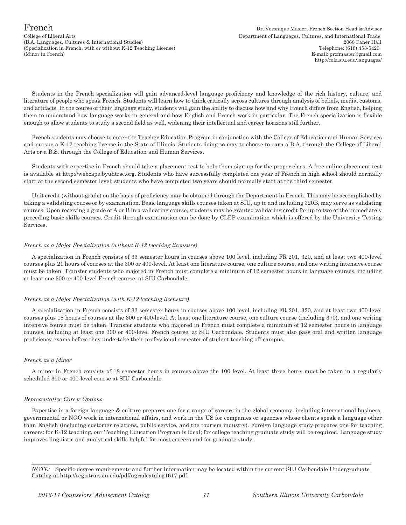College of Liberal Arts Department of Languages, Cultures, and International Trade (B.A. Languages, Cultures & International Studies) 2068 Faner Hall (Specialization in French, with or without K-12 Teaching License) Telephone: (618) 453-5423 (Minor in French) E-mail: profmasier*@*gmail.com

Students in the French specialization will gain advanced-level language proficiency and knowledge of the rich history, culture, and literature of people who speak French. Students will learn how to think critically across cultures through analysis of beliefs, media, customs, and artifacts. In the course of their language study, students will gain the ability to discuss how and why French differs from English, helping them to understand how language works in general and how English and French work in particular. The French specialization is flexible enough to allow students to study a second field as well, widening their intellectual and career horizons still further.

French students may choose to enter the Teacher Education Program in conjunction with the College of Education and Human Services and pursue a K-12 teaching license in the State of Illinois. Students doing so may to choose to earn a B.A. through the College of Liberal Arts or a B.S. through the College of Education and Human Services.

Students with expertise in French should take a placement test to help them sign up for the proper class. A free online placement test is available at http://webcape.byuhtrsc.org. Students who have successfully completed one year of French in high school should normally start at the second semester level; students who have completed two years should normally start at the third semester.

Unit credit (without grade) on the basis of proficiency may be obtained through the Department in French. This may be accomplished by taking a validating course or by examination. Basic language skills courses taken at SIU, up to and including 320B, may serve as validating courses. Upon receiving a grade of A or B in a validating course, students may be granted validating credit for up to two of the immediately preceding basic skills courses. Credit through examination can be done by CLEP examination which is offered by the University Testing Services.

#### *French as a Major Specialization (without K-12 teaching licensure)*

A specialization in French consists of 33 semester hours in courses above 100 level, including FR 201, 320, and at least two 400-level courses plus 21 hours of courses at the 300 or 400-level. At least one literature course, one culture course, and one writing intensive course must be taken. Transfer students who majored in French must complete a minimum of 12 semester hours in language courses, including at least one 300 or 400-level French course, at SIU Carbondale.

#### *French as a Major Specialization (with K-12 teaching licensure)*

A specialization in French consists of 33 semester hours in courses above 100 level, including FR 201, 320, and at least two 400-level courses plus 18 hours of courses at the 300 or 400-level. At least one literature course, one culture course (including 370), and one writing intensive course must be taken. Transfer students who majored in French must complete a minimum of 12 semester hours in language courses, including at least one 300 or 400-level French course, at SIU Carbondale. Students must also pass oral and written language proficiency exams before they undertake their professional semester of student teaching off-campus.

## *French as a Minor*

A minor in French consists of 18 semester hours in courses above the 100 level. At least three hours must be taken in a regularly scheduled 300 or 400-level course at SIU Carbondale.

#### *Representative Career Options*

Expertise in a foreign language & culture prepares one for a range of careers in the global economy, including international business, governmental or NGO work in international affairs, and work in the US for companies or agencies whose clients speak a language other than English (including customer relations, public service, and the tourism industry). Foreign language study prepares one for teaching careers: for K-12 teaching, our Teaching Education Program is ideal; for college teaching graduate study will be required. Language study improves linguistic and analytical skills helpful for most careers and for graduate study.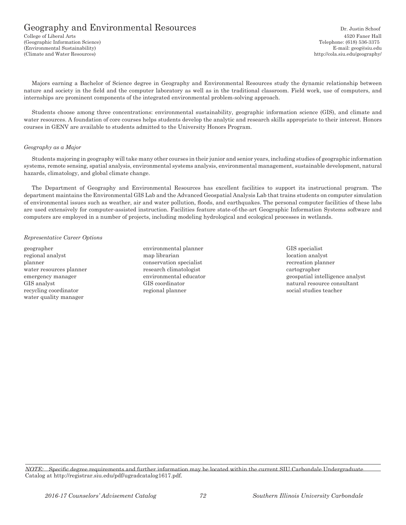# Geography and Environmental Resources Dr. Justin Schoof

College of Liberal Arts 4520 Faner Hall (Geographic Information Science) Telephone: (618) 536-3375 (Environmental Sustainability) E-mail: geog@siu.edu (Climate and Water Resources) http://cola.siu.edu/geography/

Majors earning a Bachelor of Science degree in Geography and Environmental Resources study the dynamic relationship between nature and society in the field and the computer laboratory as well as in the traditional classroom. Field work, use of computers, and internships are prominent components of the integrated environmental problem-solving approach.

Students choose among three concentrations: environmental sustainability, geographic information science (GIS), and climate and water resources. A foundation of core courses helps students develop the analytic and research skills appropriate to their interest. Honors courses in GENV are available to students admitted to the University Honors Program.

#### *Geography as a Major*

Students majoring in geography will take many other courses in their junior and senior years, including studies of geographic information systems, remote sensing, spatial analysis, environmental systems analysis, environmental management, sustainable development, natural hazards, climatology, and global climate change.

The Department of Geography and Environmental Resources has excellent facilities to support its instructional program. The department maintains the Environmental GIS Lab and the Advanced Geospatial Analysis Lab that trains students on computer simulation of environmental issues such as weather, air and water pollution, floods, and earthquakes. The personal computer facilities of these labs are used extensively for computer-assisted instruction. Facilities feature state-of-the-art Geographic Information Systems software and computers are employed in a number of projects, including modeling hydrological and ecological processes in wetlands.

#### *Representative Career Options*

regional analyst map librarian map librarian location analyst location analyst planner conservation specialist recreation planner water resources planner research climatologist cartographer recycling coordinator regional planner social studies teacher water quality manager

- geographer environmental planner GIS specialist
- emergency manager environmental educator environmental educator geospatial intelligence analyst GIS analyst GIS coordinator GIS coordinator and the natural resource consultant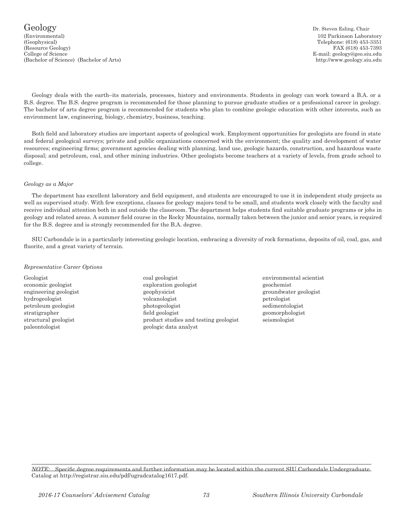#### Geology Dr. Steven Esling, Chair (Environmental) 102 Parkinson Laboratory (Geophysical) Telephone: (618) 453-3351 (Resource Geology) FAX (618) 453-7393 College of Science E-mail: geology@geo.siu.edu (Bachelor of Science) (Bachelor of Arts) http://www.geology.siu.edu

Geology deals with the earth–its materials, processes, history and environments. Students in geology can work toward a B.A. or a B.S. degree. The B.S. degree program is recommended for those planning to pursue graduate studies or a professional career in geology. The bachelor of arts degree program is recommended for students who plan to combine geologic education with other interests, such as environment law, engineering, biology, chemistry, business, teaching.

Both field and laboratory studies are important aspects of geological work. Employment opportunities for geologists are found in state and federal geological surveys; private and public organizations concerned with the environment; the quality and development of water resources; engineering firms; government agencies dealing with planning, land use, geologic hazards, construction, and hazardous waste disposal; and petroleum, coal, and other mining industries. Other geologists become teachers at a variety of levels, from grade school to college.

#### *Geology as a Major*

The department has excellent laboratory and field equipment, and students are encouraged to use it in independent study projects as well as supervised study. With few exceptions, classes for geology majors tend to be small, and students work closely with the faculty and receive individual attention both in and outside the classroom. The department helps students find suitable graduate programs or jobs in geology and related areas. A summer field course in the Rocky Mountains, normally taken between the junior and senior years, is required for the B.S. degree and is strongly recommended for the B.A. degree.

SIU Carbondale is in a particularly interesting geologic location, embracing a diversity of rock formations, deposits of oil, coal, gas, and fluorite, and a great variety of terrain.

#### *Representative Career Options*

paleontologist geologic data analyst

- Geologist coal geologist environmental scientist economic geologist exploration geologist geochemist engineering geologist geophysicist geophysicist groundwater geologist groundwater geologist hydrogeologist volcanologist petrologist petroleum geologist photogeologist sedimentologist stratigrapher field geologist geomorphologist structural geologist product studies and testing geologist seismologist
-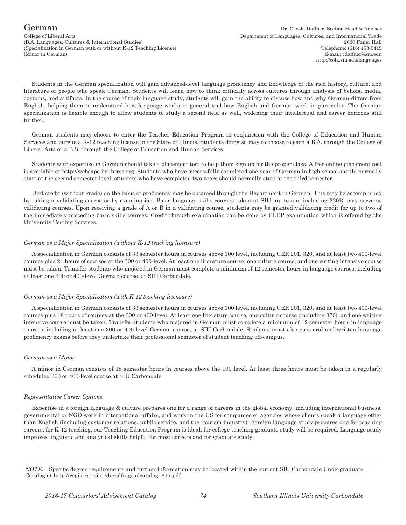College of Liberal Arts Department of Languages, Cultures, and International Trade (B.A. Languages, Cultures & International Studies) 2030 Faner Hall (Specialization in German with or without K-12 Teaching License) Telephone: (618) 453-5419 (Minor in German) E-mail: cdaffner@siu.edu

Students in the German specialization will gain advanced-level language proficiency and knowledge of the rich history, culture, and literature of people who speak German. Students will learn how to think critically across cultures through analysis of beliefs, media, customs, and artifacts. In the course of their language study, students will gain the ability to discuss how and why German differs from English, helping them to understand how language works in general and how English and German work in particular. The German specialization is flexible enough to allow students to study a second field as well, widening their intellectual and career horizons still further.

German students may choose to enter the Teacher Education Program in conjunction with the College of Education and Human Services and pursue a K-12 teaching license in the State of Illinois. Students doing so may to choose to earn a B.A. through the College of Liberal Arts or a B.S. through the College of Education and Human Services.

Students with expertise in German should take a placement test to help them sign up for the proper class. A free online placement test is available at http://webcape.byuhtrsc.org. Students who have successfully completed one year of German in high school should normally start at the second semester level; students who have completed two years should normally start at the third semester.

Unit credit (without grade) on the basis of proficiency may be obtained through the Department in German. This may be accomplished by taking a validating course or by examination. Basic language skills courses taken at SIU, up to and including 320B, may serve as validating courses. Upon receiving a grade of A or B in a validating course, students may be granted validating credit for up to two of the immediately preceding basic skills courses. Credit through examination can be done by CLEP examination which is offered by the University Testing Services.

#### *German as a Major Specialization (without K-12 teaching licensure)*

A specialization in German consists of 33 semester hours in courses above 100 level, including GER 201, 320, and at least two 400-level courses plus 21 hours of courses at the 300 or 400-level. At least one literature course, one culture course, and one writing intensive course must be taken. Transfer students who majored in German must complete a minimum of 12 semester hours in language courses, including at least one 300 or 400-level German course, at SIU Carbondale.

#### *German as a Major Specialization (with K-12 teaching licensure)*

A specialization in German consists of 33 semester hours in courses above 100 level, including GER 201, 320, and at least two 400-level courses plus 18 hours of courses at the 300 or 400-level. At least one literature course, one culture course (including 370), and one writing intensive course must be taken. Transfer students who majored in German must complete a minimum of 12 semester hours in language courses, including at least one 300 or 400-level German course, at SIU Carbondale. Students must also pass oral and written language proficiency exams before they undertake their professional semester of student teaching off-campus.

### *German as a Minor*

A minor in German consists of 18 semester hours in courses above the 100 level. At least three hours must be taken in a regularly scheduled 300 or 400-level course at SIU Carbondale.

#### *Representative Career Options*

Expertise in a foreign language & culture prepares one for a range of careers in the global economy, including international business, governmental or NGO work in international affairs, and work in the US for companies or agencies whose clients speak a language other than English (including customer relations, public service, and the tourism industry). Foreign language study prepares one for teaching careers: for K-12 teaching, our Teaching Education Program is ideal; for college teaching graduate study will be required. Language study improves linguistic and analytical skills helpful for most careers and for graduate study.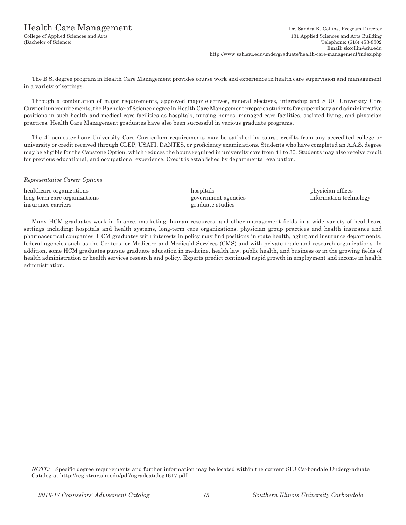## Health Care Management Dr. Sandra K. Collins, Program Director

College of Applied Sciences and Arts 131 Applied Sciences and Arts Building (Bachelor of Science) Telephone: (618) 453-8802 Email: skcollin@siu.edu http://www.sah.siu.edu/undergraduate/health-care-management/index.php

The B.S. degree program in Health Care Management provides course work and experience in health care supervision and management in a variety of settings.

Through a combination of major requirements, approved major electives, general electives, internship and SIUC University Core Curriculum requirements, the Bachelor of Science degree in Health Care Management prepares students for supervisory and administrative positions in such health and medical care facilities as hospitals, nursing homes, managed care facilities, assisted living, and physician practices. Health Care Management graduates have also been successful in various graduate programs.

The 41-semester-hour University Core Curriculum requirements may be satisfied by course credits from any accredited college or university or credit received through CLEP, USAFI, DANTES, or proficiency examinations. Students who have completed an A.A.S. degree may be eligible for the Capstone Option, which reduces the hours required in university core from 41 to 30. Students may also receive credit for previous educational, and occupational experience. Credit is established by departmental evaluation.

#### *Representative Career Options*

healthcare organizations hospitals hospitals physician offices hospitals physician offices long-term care organizations government agencies information technology insurance carriers graduate studies

Many HCM graduates work in finance, marketing, human resources, and other management fields in a wide variety of healthcare settings including: hospitals and health systems, long-term care organizations, physician group practices and health insurance and pharmaceutical companies. HCM graduates with interests in policy may find positions in state health, aging and insurance departments, federal agencies such as the Centers for Medicare and Medicaid Services (CMS) and with private trade and research organizations. In addition, some HCM graduates pursue graduate education in medicine, health law, public health, and business or in the growing fields of health administration or health services research and policy. Experts predict continued rapid growth in employment and income in health administration.

*NOTE:* Specific degree requirements and further information may be located within the current SIU Carbondale Undergraduate Catalog at http://registrar.siu.edu/pdf/ugradcatalog1617.pdf.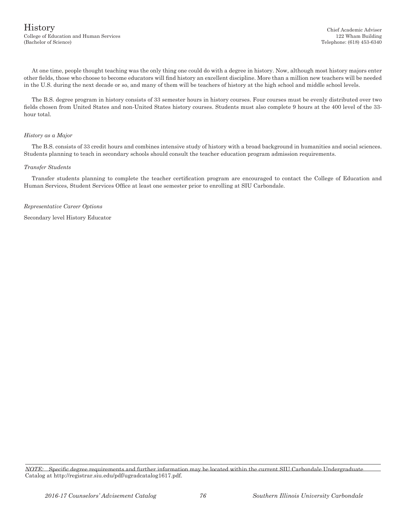## History Chief Academic Adviser College of Education and Human Services 122 Wham Building

At one time, people thought teaching was the only thing one could do with a degree in history. Now, although most history majors enter other fields, those who choose to become educators will find history an excellent discipline. More than a million new teachers will be needed in the U.S. during the next decade or so, and many of them will be teachers of history at the high school and middle school levels.

The B.S. degree program in history consists of 33 semester hours in history courses. Four courses must be evenly distributed over two fields chosen from United States and non-United States history courses. Students must also complete 9 hours at the 400 level of the 33 hour total.

#### *History as a Major*

The B.S. consists of 33 credit hours and combines intensive study of history with a broad background in humanities and social sciences. Students planning to teach in secondary schools should consult the teacher education program admission requirements.

#### *Transfer Students*

Transfer students planning to complete the teacher certification program are encouraged to contact the College of Education and Human Services, Student Services Office at least one semester prior to enrolling at SIU Carbondale.

*Representative Career Options*

Secondary level History Educator

*NOTE:* Specific degree requirements and further information may be located within the current SIU Carbondale Undergraduate Catalog at http://registrar.siu.edu/pdf/ugradcatalog1617.pdf.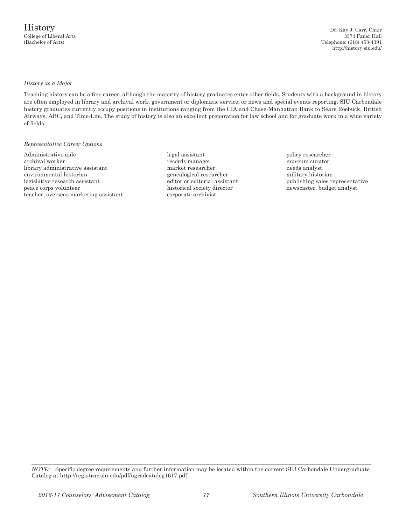College of Liberal Arts 3374 Faner Hall (Bachelor of Arts) Telephone: (618) 453-4391 http://history.siu.edu/

#### *History as a Major*

Teaching history can be a fine career, although the majority of history graduates enter other fields. Students with a background in history are often employed in library and archival work, government or diplomatic service, or news and special events reporting. SIU Carbondale history graduates currently occupy positions in institutions ranging from the CIA and Chase-Manhattan Bank to Sears Roebuck, British Airways, ABC**,** and Time-Life. The study of history is also an excellent preparation for law school and for graduate work in a wide variety of fields.

#### *Representative Career Options*

Administrative aide legal assistant and policy researcher archival worker **records manager** records manager archival worker museum curator library administrative assistant market researcher market researcher environmental historian market researcher military historian environmental historian genealogical researcher legislative research assistant editor or editorial assistant publishing sales representative peace corps volunteer historical society director newscaster, budget analyst teacher, overseas marketing assistant corporate archivist

*NOTE:* Specific degree requirements and further information may be located within the current SIU Carbondale Undergraduate Catalog at http://registrar.siu.edu/pdf/ugradcatalog1617.pdf.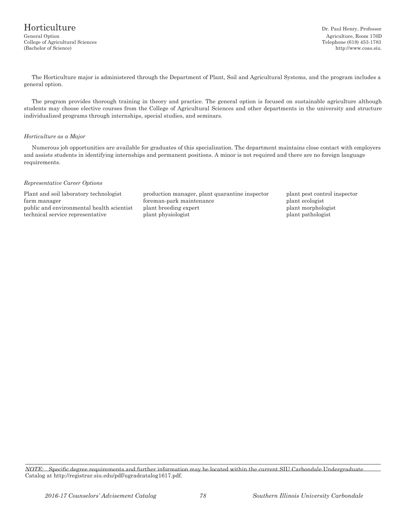The Horticulture major is administered through the Department of Plant, Soil and Agricultural Systems, and the program includes a general option.

The program provides thorough training in theory and practice. The general option is focused on sustainable agriculture although students may choose elective courses from the College of Agricultural Sciences and other departments in the university and structure individualized programs through internships, special studies, and seminars.

#### *Horticulture as a Major*

Numerous job opportunities are available for graduates of this specialization. The department maintains close contact with employers and assists students in identifying internships and permanent positions. A minor is not required and there are no foreign language requirements.

#### *Representative Career Options*

Plant and soil laboratory technologist production manager, plant quarantine inspector plant pest control inspector farm manager foreman-park maintenance plant ecologist public and environmental health scientist plant breeding expert plant morphologist plant morphologist technical service representative plant physiologist plant pathologist plant pathologist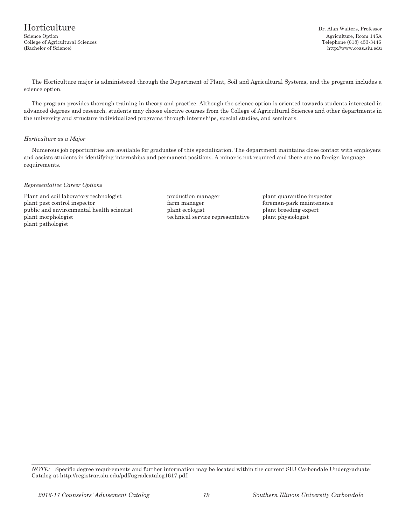The Horticulture major is administered through the Department of Plant, Soil and Agricultural Systems, and the program includes a science option.

The program provides thorough training in theory and practice. Although the science option is oriented towards students interested in advanced degrees and research, students may choose elective courses from the College of Agricultural Sciences and other departments in the university and structure individualized programs through internships, special studies, and seminars.

#### *Horticulture as a Major*

Numerous job opportunities are available for graduates of this specialization. The department maintains close contact with employers and assists students in identifying internships and permanent positions. A minor is not required and there are no foreign language requirements.

#### *Representative Career Options*

Plant and soil laboratory technologist production manager plant quarantine inspector plant pest control inspector farm manager foreman-park maintenance public and environmental health scientist plant ecologist plant breeding expert plant morphologist technical service representative plant physiologist plant pathologist

*NOTE:* Specific degree requirements and further information may be located within the current SIU Carbondale Undergraduate Catalog at http://registrar.siu.edu/pdf/ugradcatalog1617.pdf.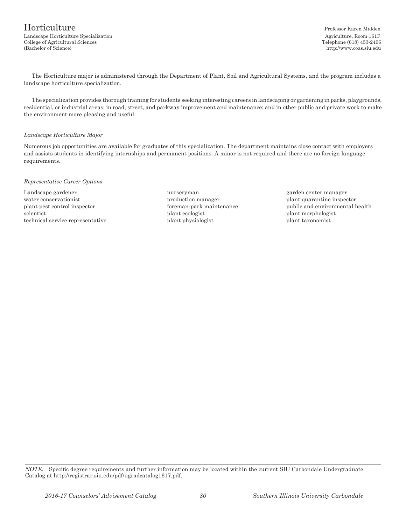## Horticulture Professor Karen Midden Landscape Horticulture Specialization and agriculture, Room 161F College of Agricultural Sciences Telephone (618) 453-2496

(Bachelor of Science) http://www.coas.siu.edu

The Horticulture major is administered through the Department of Plant, Soil and Agricultural Systems, and the program includes a landscape horticulture specialization.

The specialization provides thorough training for students seeking interesting careers in landscaping or gardening in parks, playgrounds, residential, or industrial areas; in road, street, and parkway improvement and maintenance; and in other public and private work to make the environment more pleasing and useful.

#### *Landscape Horticulture Major*

Numerous job opportunities are available for graduates of this specialization. The department maintains close contact with employers and assists students in identifying internships and permanent positions. A minor is not required and there are no foreign language requirements.

#### *Representative Career Options*

Landscape gardener nurseryman garden center manager water conservationist example is production manager plant quarantine inspector scientist plant ecologist plant morphologist plant morphologist plant morphologist plant morphologist technical service representative plant physiologist plant taxonomist

plant pest control inspector foreman-park maintenance public and environmental health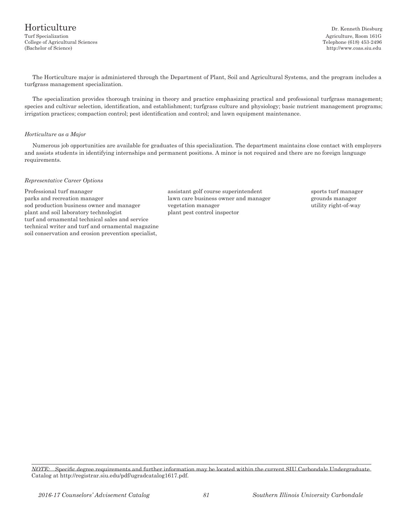The Horticulture major is administered through the Department of Plant, Soil and Agricultural Systems, and the program includes a turfgrass management specialization.

The specialization provides thorough training in theory and practice emphasizing practical and professional turfgrass management; species and cultivar selection, identification, and establishment; turfgrass culture and physiology; basic nutrient management programs; irrigation practices; compaction control; pest identification and control; and lawn equipment maintenance.

#### *Horticulture as a Major*

Numerous job opportunities are available for graduates of this specialization. The department maintains close contact with employers and assists students in identifying internships and permanent positions. A minor is not required and there are no foreign language requirements.

#### *Representative Career Options*

Professional turf manager assistant golf course superintendent sports turf manager parks and recreation manager lawn care business owner and manager grounds manager sod production business owner and manager vegetation manager utility right-of-way plant and soil laboratory technologist plant pest control inspector turf and ornamental technical sales and service technical writer and turf and ornamental magazine soil conservation and erosion prevention specialist,

*NOTE:* Specific degree requirements and further information may be located within the current SIU Carbondale Undergraduate Catalog at http://registrar.siu.edu/pdf/ugradcatalog1617.pdf.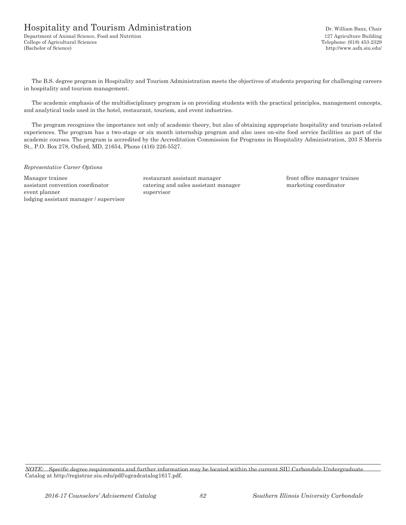## Hospitality and Tourism Administration Dr. William Banz, Chair

Department of Animal Science, Food and Nutrition 127 Agriculture Building College of Agricultural Sciences Telephone: (618) 453-2329 (Bachelor of Science) http://www.asfn.siu.edu/

The B.S. degree program in Hospitality and Tourism Administration meets the objectives of students preparing for challenging careers in hospitality and tourism management.

The academic emphasis of the multidisciplinary program is on providing students with the practical principles, management concepts, and analytical tools used in the hotel, restaurant, tourism, and event industries.

The program recognizes the importance not only of academic theory, but also of obtaining appropriate hospitality and tourism-related experiences. The program has a two-stage or six month internship program and also uses on-site food service facilities as part of the academic courses. The program is accredited by the Accreditation Commission for Programs in Hospitality Administration, 203 S Morris St., P.O. Box 278, Oxford, MD, 21654, Phone (416) 226-5527.

#### *Representative Career Options*

Manager trainee restaurant assistant manager front office manager trainee assistant convention coordinator catering and sales assistant manager marketing coordinator event planner supervisor lodging assistant manager / supervisor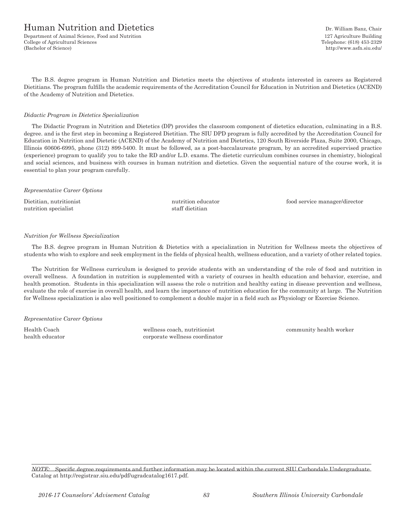## Human Nutrition and Dietetics **Dr. August** Dr. William Banz, Chair

Department of Animal Science, Food and Nutrition 127 Agriculture Building College of Agricultural Sciences Telephone: (618) 453-2329 (Bachelor of Science) http://www.asfn.siu.edu/

The B.S. degree program in Human Nutrition and Dietetics meets the objectives of students interested in careers as Registered Dietitians. The program fulfills the academic requirements of the Accreditation Council for Education in Nutrition and Dietetics (ACEND) of the Academy of Nutrition and Dietetics.

#### *Didactic Program in Dietetics Specialization*

The Didactic Program in Nutrition and Dietetics (DP) provides the classroom component of dietetics education, culminating in a B.S. degree. and is the first step in becoming a Registered Dietitian. The SIU DPD program is fully accredited by the Accreditation Council for Education in Nutrition and Dietetic (ACEND) of the Academy of Nutrition and Dietetics, 120 South Riverside Plaza, Suite 2000, Chicago, Illinois 60606-6995, phone (312) 899-5400. It must be followed, as a post-baccalaureate program, by an accredited supervised practice (experience) program to qualify you to take the RD and/or L.D. exams. The dietetic curriculum combines courses in chemistry, biological and social sciences, and business with courses in human nutrition and dietetics. Given the sequential nature of the course work, it is essential to plan your program carefully.

#### *Representative Career Options*

nutrition specialist staff dietitian

Dietitian, nutritionist nutrition educator food service manager/director

#### *Nutrition for Wellness Specialization*

The B.S. degree program in Human Nutrition & Dietetics with a specialization in Nutrition for Wellness meets the objectives of students who wish to explore and seek employment in the fields of physical health, wellness education, and a variety of other related topics.

The Nutrition for Wellness curriculum is designed to provide students with an understanding of the role of food and nutrition in overall wellness. A foundation in nutrition is supplemented with a variety of courses in health education and behavior, exercise, and health promotion. Students in this specialization will assess the role o nutrition and healthy eating in disease prevention and wellness, evaluate the role of exercise in overall health, and learn the importance of nutrition education for the community at large. The Nutrition for Wellness specialization is also well positioned to complement a double major in a field such as Physiology or Exercise Science.

*Representative Career Options*

Health Coach wellness coach, nutritionist community health worker health educator corporate wellness coordinator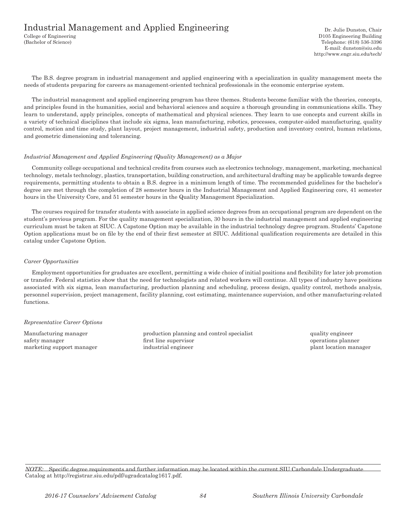## Industrial Management and Applied Engineering Dr. Julie Dunston, Chair

The B.S. degree program in industrial management and applied engineering with a specialization in quality management meets the needs of students preparing for careers as management-oriented technical professionals in the economic enterprise system.

The industrial management and applied engineering program has three themes. Students become familiar with the theories, concepts, and principles found in the humanities, social and behavioral sciences and acquire a thorough grounding in communications skills. They learn to understand, apply principles, concepts of mathematical and physical sciences. They learn to use concepts and current skills in a variety of technical disciplines that include six sigma, lean manufacturing, robotics, processes, computer-aided manufacturing, quality control, motion and time study, plant layout, project management, industrial safety, production and inventory control, human relations, and geometric dimensioning and tolerancing.

#### *Industrial Management and Applied Engineering (Quality Management) as a Major*

Community college occupational and technical credits from courses such as electronics technology, management, marketing, mechanical technology, metals technology, plastics, transportation, building construction, and architectural drafting may be applicable towards degree requirements, permitting students to obtain a B.S. degree in a minimum length of time. The recommended guidelines for the bachelor's degree are met through the completion of 28 semester hours in the Industrial Management and Applied Engineering core, 41 semester hours in the University Core, and 51 semester hours in the Quality Management Specialization.

The courses required for transfer students with associate in applied science degrees from an occupational program are dependent on the student's previous program. For the quality management specialization, 30 hours in the industrial management and applied engineering curriculum must be taken at SIUC. A Capstone Option may be available in the industrial technology degree program. Students' Capstone Option applications must be on file by the end of their first semester at SIUC. Additional qualification requirements are detailed in this catalog under Capstone Option.

#### *Career Opportunities*

Employment opportunities for graduates are excellent, permitting a wide choice of initial positions and flexibility for later job promotion or transfer. Federal statistics show that the need for technologists and related workers will continue. All types of industry have positions associated with six sigma, lean manufacturing, production planning and scheduling, process design, quality control, methods analysis, personnel supervision, project management, facility planning, cost estimating, maintenance supervision, and other manufacturing-related functions.

### *Representative Career Options*

Manufacturing manager production planning and control specialist quality engineer safety manager **first line supervisor** first line supervisor **operations** planner marketing support manager industrial engineer plant location manager plant location manager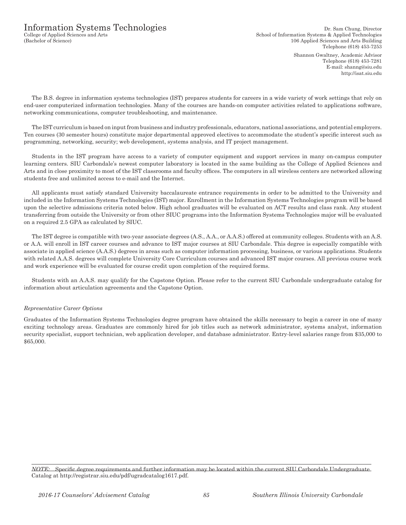Shannon Gwaltney, Academic Advisor Telephone (618) 453-7281 E-mail: shanng@siu.edu http://isat.siu.edu

The B.S. degree in information systems technologies (IST) prepares students for careers in a wide variety of work settings that rely on end-user computerized information technologies. Many of the courses are hands-on computer activities related to applications software, networking communications, computer troubleshooting, and maintenance.

The IST curriculum is based on input from business and industry professionals, educators, national associations, and potential employers. Ten courses (30 semester hours) constitute major departmental approved electives to accommodate the student's specific interest such as programming, networking, security; web development, systems analysis, and IT project management.

Students in the IST program have access to a variety of computer equipment and support services in many on-campus computer learning centers. SIU Carbondale's newest computer laboratory is located in the same building as the College of Applied Sciences and Arts and in close proximity to most of the IST classrooms and faculty offices. The computers in all wireless centers are networked allowing students free and unlimited access to e-mail and the Internet.

All applicants must satisfy standard University baccalaureate entrance requirements in order to be admitted to the University and included in the Information Systems Technologies (IST) major. Enrollment in the Information Systems Technologies program will be based upon the selective admissions criteria noted below. High school graduates will be evaluated on ACT results and class rank. Any student transferring from outside the University or from other SIUC programs into the Information Systems Technologies major will be evaluated on a required 2.5 GPA as calculated by SIUC.

The IST degree is compatible with two-year associate degrees (A.S., A.A., or A.A.S.) offered at community colleges. Students with an A.S. or A.A. will enroll in IST career courses and advance to IST major courses at SIU Carbondale. This degree is especially compatible with associate in applied science (A.A.S.) degrees in areas such as computer information processing, business, or various applications. Students with related A.A.S. degrees will complete University Core Curriculum courses and advanced IST major courses. All previous course work and work experience will be evaluated for course credit upon completion of the required forms.

Students with an A.A.S. may qualify for the Capstone Option. Please refer to the current SIU Carbondale undergraduate catalog for information about articulation agreements and the Capstone Option.

### *Representative Career Options*

Graduates of the Information Systems Technologies degree program have obtained the skills necessary to begin a career in one of many exciting technology areas. Graduates are commonly hired for job titles such as network administrator, systems analyst, information security specialist, support technician, web application developer, and database administrator. Entry-level salaries range from \$35,000 to \$65,000.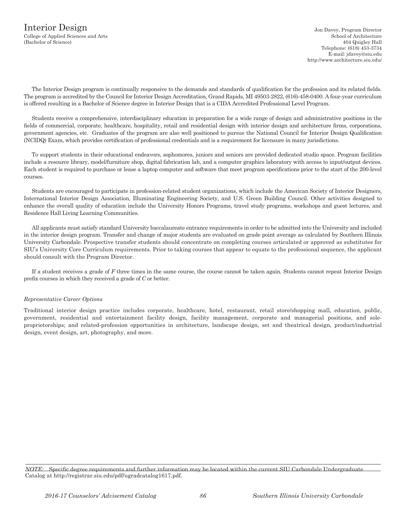Telephone: (618) 453-3734 E-mail: jdavey@siu.edu http://www.architecture.siu.edu/

The Interior Design program is continually responsive to the demands and standards of qualification for the profession and its related fields. The program is accredited by the Council for Interior Design Accreditation, Grand Rapids, MI 49503-2822, (616)-458-0400. A four-year curriculum is offered resulting in a Bachelor of Science degree in Interior Design that is a CIDA Accredited Professional Level Program.

Students receive a comprehensive, interdisciplinary education in preparation for a wide range of design and administrative positions in the fields of commercial, corporate, healthcare, hospitality, retail and residential design with interior design and architecture firms, corporations, government agencies, etc. Graduates of the program are also well positioned to pursue the National Council for Interior Design Qualification (NCIDQ) Exam, which provides certification of professional credentials and is a requirement for licensure in many jurisdictions.

To support students in their educational endeavors, sophomores, juniors and seniors are provided dedicated studio space. Program facilities include a resource library, model/furniture shop, digital fabrication lab, and a computer graphics laboratory with access to input/output devices. Each student is required to purchase or lease a laptop computer and software that meet program specifications prior to the start of the 200-level courses.

Students are encouraged to participate in profession-related student organizations, which include the American Society of Interior Designers, International Interior Design Association, Illuminating Engineering Society, and U.S. Green Building Council. Other activities designed to enhance the overall quality of education include the University Honors Programs, travel study programs, workshops and guest lectures, and Residence Hall Living Learning Communities.

All applicants must satisfy standard University baccalaureate entrance requirements in order to be admitted into the University and included in the interior design program. Transfer and change of major students are evaluated on grade point average as calculated by Southern Illinois University Carbondale. Prospective transfer students should concentrate on completing courses articulated or approved as substitutes for SIU's University Core Curriculum requirements. Prior to taking courses that appear to equate to the professional sequence, the applicant should consult with the Program Director.

If a student receives a grade of *F* three times in the same course, the course cannot be taken again. Students cannot repeat Interior Design prefix courses in which they received a grade of *C* or better.

### *Representative Career Options*

Traditional interior design practice includes corporate, healthcare, hotel, restaurant, retail store/shopping mall, education, public, government, residential and entertainment facility design, facility management, corporate and managerial positions, and soleproprietorships; and related-profession opportunities in architecture, landscape design, set and theatrical design, product/industrial design, event design, art, photography, and more.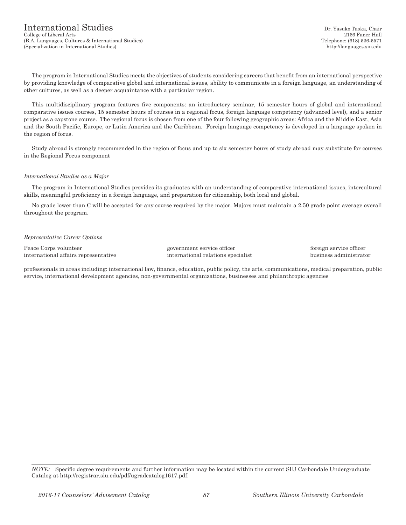The program in International Studies meets the objectives of students considering careers that benefit from an international perspective by providing knowledge of comparative global and international issues, ability to communicate in a foreign language, an understanding of other cultures, as well as a deeper acquaintance with a particular region.

This multidisciplinary program features five components: an introductory seminar, 15 semester hours of global and international comparative issues courses, 15 semester hours of courses in a regional focus, foreign language competency (advanced level), and a senior project as a capstone course. The regional focus is chosen from one of the four following geographic areas: Africa and the Middle East, Asia and the South Pacific, Europe, or Latin America and the Caribbean. Foreign language competency is developed in a language spoken in the region of focus.

Study abroad is strongly recommended in the region of focus and up to six semester hours of study abroad may substitute for courses in the Regional Focus component

#### *International Studies as a Major*

The program in International Studies provides its graduates with an understanding of comparative international issues, intercultural skills, meaningful proficiency in a foreign language, and preparation for citizenship, both local and global.

No grade lower than C will be accepted for any course required by the major. Majors must maintain a 2.50 grade point average overall throughout the program.

#### *Representative Career Options*

Peace Corps volunteer government service officer foreign service officer international affairs representative international relations specialist business administrator

professionals in areas including: international law, finance, education, public policy, the arts, communications, medical preparation, public service, international development agencies, non-governmental organizations, businesses and philanthropic agencies

*NOTE:* Specific degree requirements and further information may be located within the current SIU Carbondale Undergraduate Catalog at http://registrar.siu.edu/pdf/ugradcatalog1617.pdf.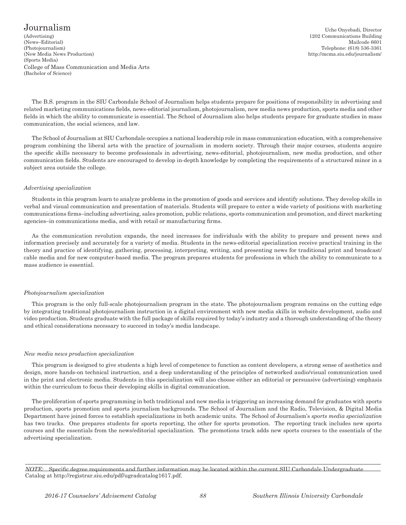## ${\rm J}\text{ourn}$ alism Uche Onyebadi, Director

(Advertising) 1202 Communications Building (News–Editorial) Mailcode 6601 (Photojournalism) Telephone: (618) 536-3361 (New Media News Production) http://mcma.siu.edu/journalism/ (Sports Media) College of Mass Communication and Media Arts (Bachelor of Science)

The B.S. program in the SIU Carbondale School of Journalism helps students prepare for positions of responsibility in advertising and related marketing communications fields, news-editorial journalism, photojournalism, new media news production, sports media and other fields in which the ability to communicate is essential. The School of Journalism also helps students prepare for graduate studies in mass communication, the social sciences, and law.

The School of Journalism at SIU Carbondale occupies a national leadership role in mass communication education, with a comprehensive program combining the liberal arts with the practice of journalism in modern society. Through their major courses, students acquire the specific skills necessary to become professionals in advertising, news-editorial, photojournalism, new media production, and other communication fields. Students are encouraged to develop in-depth knowledge by completing the requirements of a structured minor in a subject area outside the college.

#### *Advertising specialization*

Students in this program learn to analyze problems in the promotion of goods and services and identify solutions. They develop skills in verbal and visual communication and presentation of materials. Students will prepare to enter a wide variety of positions with marketing communications firms–including advertising, sales promotion, public relations, sports communication and promotion, and direct marketing agencies–in communications media, and with retail or manufacturing firms.

As the communication revolution expands, the need increases for individuals with the ability to prepare and present news and information precisely and accurately for a variety of media. Students in the news-editorial specialization receive practical training in the theory and practice of identifying, gathering, processing, interpreting, writing, and presenting news for traditional print and broadcast/ cable media and for new computer-based media. The program prepares students for professions in which the ability to communicate to a mass audience is essential.

### *Photojournalism specialization*

This program is the only full-scale photojournalism program in the state. The photojournalism program remains on the cutting edge by integrating traditional photojournalism instruction in a digital environment with new media skills in website development, audio and video production. Students graduate with the full package of skills required by today's industry and a thorough understanding of the theory and ethical considerations necessary to succeed in today's media landscape.

### *New media news production specialization*

This program is designed to give students a high level of competence to function as content developers, a strong sense of aesthetics and design, more hands-on technical instruction, and a deep understanding of the principles of networked audio/visual communication used in the print and electronic media. Students in this specialization will also choose either an editorial or persuasive (advertising) emphasis within the curriculum to focus their developing skills in digital communication.

The proliferation of sports programming in both traditional and new media is triggering an increasing demand for graduates with sports production, sports promotion and sports journalism backgrounds. The School of Journalism and the Radio, Television, & Digital Media Department have joined forces to establish specializations in both academic units. The School of Journalism's *sports media specialization*  has two tracks. One prepares students for sports reporting, the other for sports promotion. The reporting track includes new sports courses and the essentials from the news/editorial specialization. The promotions track adds new sports courses to the essentials of the advertising specialization.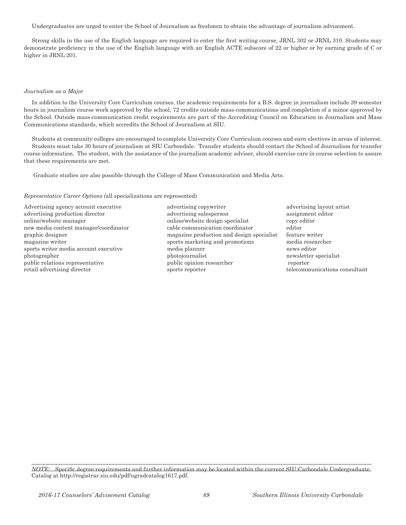Undergraduates are urged to enter the School of Journalism as freshmen to obtain the advantage of journalism advisement.

Strong skills in the use of the English language are required to enter the first writing course, JRNL 302 or JRNL 310. Students may demonstrate proficiency in the use of the English language with an English ACTE subscore of 22 or higher or by earning grade of C or higher in JRNL 201.

#### *Journalism as a Major*

In addition to the University Core Curriculum courses, the academic requirements for a B.S. degree in journalism include 39 semester hours in journalism course work approved by the school, 72 credits outside mass-communications and completion of a minor approved by the School. Outside mass-communication credit requirements are part of the Accrediting Council on Education in Journalism and Mass Communications standards, which accredits the School of Journalism at SIU.

Students at community colleges are encouraged to complete University Core Curriculum courses and earn electives in areas of interest. Students must take 30 hours of journalism at SIU Carbondale. Transfer students should contact the School of Journalism for transfer course information. The student, with the assistance of the journalism academic adviser, should exercise care in course selection to assure that these requirements are met.

Graduate studies are also possible through the College of Mass Communication and Media Arts.

*Representative Career Options (*all specializations are represented)

Advertising agency account executive advertising copywriter and advertising layout artist

- advertising production director and advertising salesperson assignment editor online/website manager online/website design specialist copy editor new media content manager/coordinator cable communication coordinator editor graphic designer magazine production and design specialist feature writer magazine writer sports marketing and promotions media researcher sports writer media account executive media planner media planner news editor photographer photojournalist newsletter specialist public relations representative public opinion researcher reporter reporter retail advertising director sports reporter that the example of the example of the example of the example of the example of the example of the example of the example of the example of the example of the example of the exam
- 

*NOTE:* Specific degree requirements and further information may be located within the current SIU Carbondale Undergraduate Catalog at http://registrar.siu.edu/pdf/ugradcatalog1617.pdf.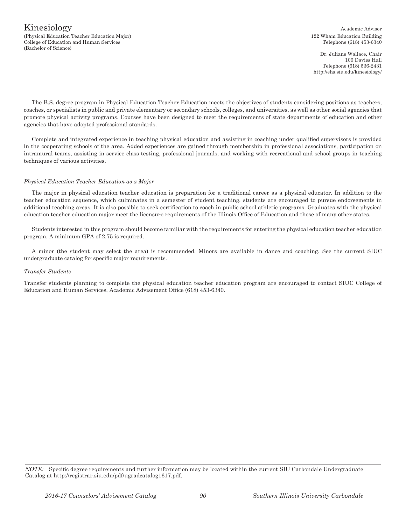#### **Kinesiology** Academic Advisor (Physical Education Teacher Education Major) 122 Wham Education Building College of Education and Human Services Telephone (618) 453-6340 (Bachelor of Science)

Dr. Juliane Wallace, Chair 106 Davies Hall Telephone (618) 536-2431 http://ehs.siu.edu/kinesiology/

The B.S. degree program in Physical Education Teacher Education meets the objectives of students considering positions as teachers, coaches, or specialists in public and private elementary or secondary schools, colleges, and universities, as well as other social agencies that promote physical activity programs. Courses have been designed to meet the requirements of state departments of education and other agencies that have adopted professional standards.

Complete and integrated experience in teaching physical education and assisting in coaching under qualified supervisors is provided in the cooperating schools of the area. Added experiences are gained through membership in professional associations, participation on intramural teams, assisting in service class testing, professional journals, and working with recreational and school groups in teaching techniques of various activities.

#### *Physical Education Teacher Education as a Major*

The major in physical education teacher education is preparation for a traditional career as a physical educator. In addition to the teacher education sequence, which culminates in a semester of student teaching, students are encouraged to pursue endorsements in additional teaching areas. It is also possible to seek certification to coach in public school athletic programs. Graduates with the physical education teacher education major meet the licensure requirements of the Illinois Office of Education and those of many other states.

Students interested in this program should become familiar with the requirements for entering the physical education teacher education program. A minimum GPA of 2.75 is required.

A minor (the student may select the area) is recommended. Minors are available in dance and coaching. See the current SIUC undergraduate catalog for specific major requirements.

#### *Transfer Students*

Transfer students planning to complete the physical education teacher education program are encouraged to contact SIUC College of Education and Human Services, Academic Advisement Office (618) 453-6340.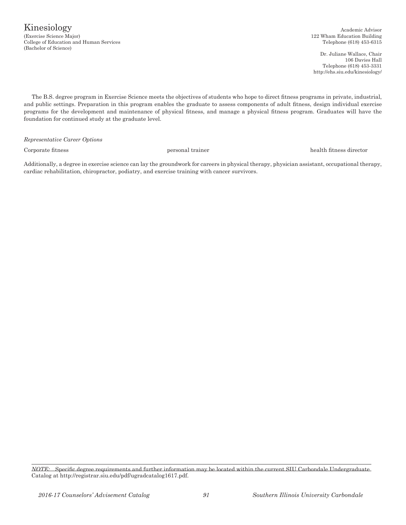Kinesiology (Exercise Science Major) 122 Wham Education Building College of Education and Human Services Telephone (618) 453-6315 (Bachelor of Science)

Academic Advisor

Dr. Juliane Wallace, Chair 106 Davies Hall Telephone (618) 453-3331 http://ehs.siu.edu/kinesiology/

The B.S. degree program in Exercise Science meets the objectives of students who hope to direct fitness programs in private, industrial, and public settings. Preparation in this program enables the graduate to assess components of adult fitness, design individual exercise programs for the development and maintenance of physical fitness, and manage a physical fitness program. Graduates will have the foundation for continued study at the graduate level.

*Representative Career Options*

Corporate fitness personal trainer health fitness director

Additionally, a degree in exercise science can lay the groundwork for careers in physical therapy, physician assistant, occupational therapy, cardiac rehabilitation, chiropractor, podiatry, and exercise training with cancer survivors.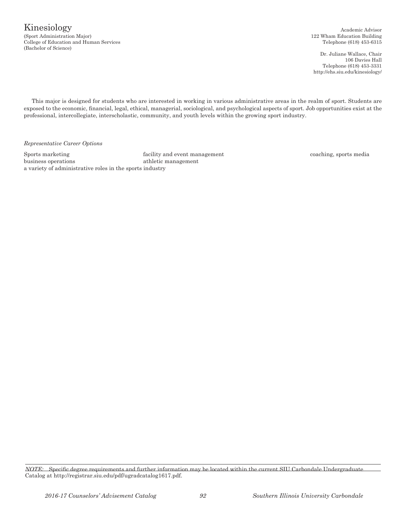College of Education and Human Services Telephone (618) 453-6315 (Bachelor of Science)

122 Wham Education Building

Dr. Juliane Wallace, Chair 106 Davies Hall Telephone (618) 453-3331 http://ehs.siu.edu/kinesiology/

This major is designed for students who are interested in working in various administrative areas in the realm of sport. Students are exposed to the economic, financial, legal, ethical, managerial, sociological, and psychological aspects of sport. Job opportunities exist at the professional, intercollegiate, interscholastic, community, and youth levels within the growing sport industry.

*Representative Career Options*

Sports marketing facility and event management coaching, sports media business operations athletic management a variety of administrative roles in the sports industry

*NOTE:* Specific degree requirements and further information may be located within the current SIU Carbondale Undergraduate Catalog at http://registrar.siu.edu/pdf/ugradcatalog1617.pdf.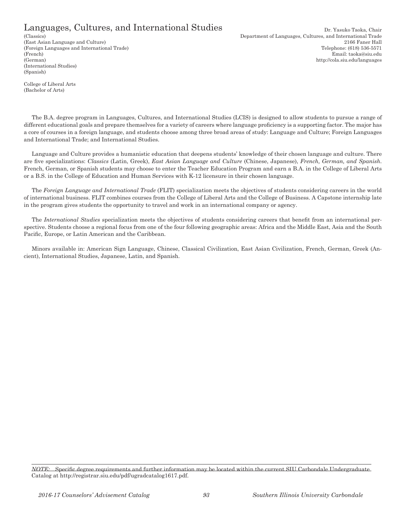## Languages, Cultures, and International Studies Dr. Yasuko Taoka, Chair

(German) http://cola.siu.edu/languages (International Studies) (Spanish)

(Classics) Department of Languages, Cultures, and International Trade (East Asian Language and Culture) 2166 Faner Hall (Foreign Languages and International Trade) Telephone: (618) 536-5571 (French) Email: taoka@siu.edu

College of Liberal Arts (Bachelor of Arts)

The B.A. degree program in Languages, Cultures, and International Studies (LCIS) is designed to allow students to pursue a range of different educational goals and prepare themselves for a variety of careers where language proficiency is a supporting factor. The major has a core of courses in a foreign language, and students choose among three broad areas of study: Language and Culture; Foreign Languages and International Trade; and International Studies.

Language and Culture provides a humanistic education that deepens students' knowledge of their chosen language and culture. There are five specializations: *Classics* (Latin, Greek), *East Asian Language and Culture* (Chinese, Japanese), *French, German, and Spanish*. French, German, or Spanish students may choose to enter the Teacher Education Program and earn a B.A. in the College of Liberal Arts or a B.S. in the College of Education and Human Services with K-12 licensure in their chosen language.

The *Foreign Language and International Trade* (FLIT) specialization meets the objectives of students considering careers in the world of international business. FLIT combines courses from the College of Liberal Arts and the College of Business. A Capstone internship late in the program gives students the opportunity to travel and work in an international company or agency.

The *International Studies* specialization meets the objectives of students considering careers that benefit from an international perspective. Students choose a regional focus from one of the four following geographic areas: Africa and the Middle East, Asia and the South Pacific, Europe, or Latin American and the Caribbean.

Minors available in: American Sign Language, Chinese, Classical Civilization, East Asian Civilization, French, German, Greek (Ancient), International Studies, Japanese, Latin, and Spanish.

*NOTE:* Specific degree requirements and further information may be located within the current SIU Carbondale Undergraduate Catalog at http://registrar.siu.edu/pdf/ugradcatalog1617.pdf.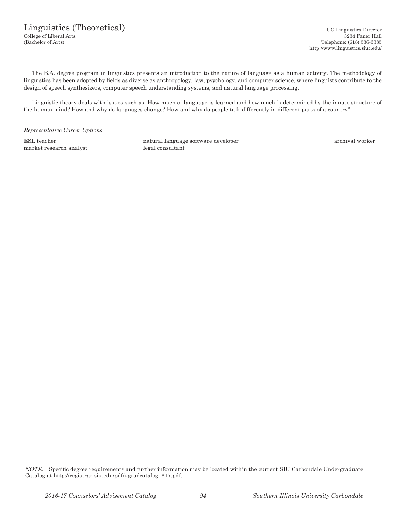## Linguistics (Theoretical) UG Linguistics Director

College of Liberal Arts 3234 Faner Hall (Bachelor of Arts) Telephone: (618) 536-3385 http://www.linguistics.siuc.edu/

The B.A. degree program in linguistics presents an introduction to the nature of language as a human activity. The methodology of linguistics has been adopted by fields as diverse as anthropology, law, psychology, and computer science, where linguists contribute to the design of speech synthesizers, computer speech understanding systems, and natural language processing.

Linguistic theory deals with issues such as: How much of language is learned and how much is determined by the innate structure of the human mind? How and why do languages change? How and why do people talk differently in different parts of a country?

*Representative Career Options*

market research analyst legal consultant

ESL teacher natural language software developer archival worker

*NOTE:* Specific degree requirements and further information may be located within the current SIU Carbondale Undergraduate Catalog at http://registrar.siu.edu/pdf/ugradcatalog1617.pdf.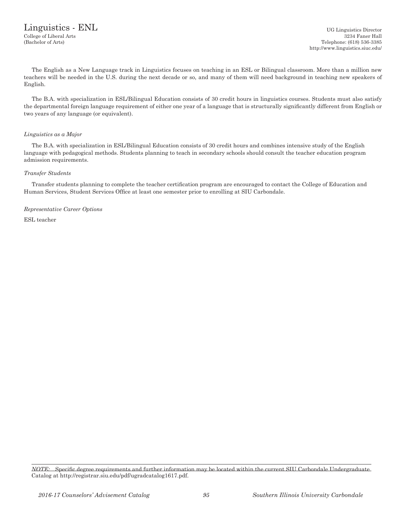The English as a New Language track in Linguistics focuses on teaching in an ESL or Bilingual classroom. More than a million new teachers will be needed in the U.S. during the next decade or so, and many of them will need background in teaching new speakers of English.

The B.A. with specialization in ESL/Bilingual Education consists of 30 credit hours in linguistics courses. Students must also satisfy the departmental foreign language requirement of either one year of a language that is structurally significantly different from English or two years of any language (or equivalent).

### *Linguistics as a Major*

The B.A. with specialization in ESL/Bilingual Education consists of 30 credit hours and combines intensive study of the English language with pedagogical methods. Students planning to teach in secondary schools should consult the teacher education program admission requirements.

### *Transfer Students*

Transfer students planning to complete the teacher certification program are encouraged to contact the College of Education and Human Services, Student Services Office at least one semester prior to enrolling at SIU Carbondale.

*Representative Career Options* ESL teacher

*NOTE:* Specific degree requirements and further information may be located within the current SIU Carbondale Undergraduate Catalog at http://registrar.siu.edu/pdf/ugradcatalog1617.pdf.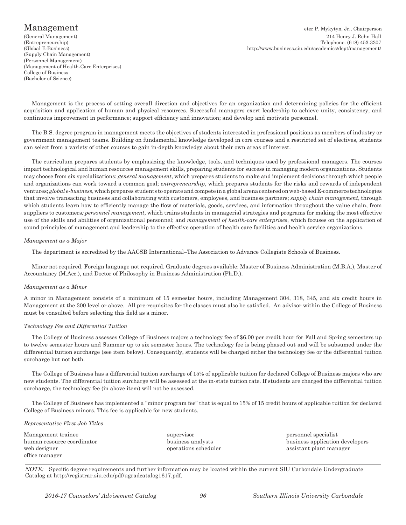(Supply Chain Management) (Personnel Management) (Management of Health-Care Enterprises) College of Business (Bachelor of Science)

Management eter P. Mykytyn, Jr., Chairperson (General Management) 214 Henry J. Rehn Hall Telephone: (618) 453-3307 (Global E-Business) http://www.business.siu.edu/academics/dept/management/

Management is the process of setting overall direction and objectives for an organization and determining policies for the efficient acquisition and application of human and physical resources. Successful managers exert leadership to achieve unity, consistency, and continuous improvement in performance; support efficiency and innovation; and develop and motivate personnel.

The B.S. degree program in management meets the objectives of students interested in professional positions as members of industry or government management teams. Building on fundamental knowledge developed in core courses and a restricted set of electives, students can select from a variety of other courses to gain in-depth knowledge about their own areas of interest.

The curriculum prepares students by emphasizing the knowledge, tools, and techniques used by professional managers. The courses impart technological and human resources management skills, preparing students for success in managing modern organizations. Students may choose from six specializations: *general management*, which prepares students to make and implement decisions through which people and organizations can work toward a common goal; *entrepreneurship*, which prepares students for the risks and rewards of independent ventures; *global e-business*, which prepares students to operate and compete in a global arena centered on web-based E-commerce technologies that involve transacting business and collaborating with customers, employees, and business partners; *supply chain management*, through which students learn how to efficiently manage the flow of materials, goods, services, and information throughout the value chain, from suppliers to customers*; personnel management*, which trains students in managerial strategies and programs for making the most effective use of the skills and abilities of organizational personnel; and *management of health-care enterprises*, which focuses on the application of sound principles of management and leadership to the effective operation of health care facilities and health service organizations.

#### *Management as a Major*

The department is accredited by the AACSB International–The Association to Advance Collegiate Schools of Business.

Minor not required. Foreign language not required. Graduate degrees available: Master of Business Administration (M.B.A.), Master of Accountancy (M.Acc.), and Doctor of Philosophy in Business Administration (Ph.D.).

#### *Management as a Minor*

A minor in Management consists of a minimum of 15 semester hours, including Management 304, 318, 345, and six credit hours in Management at the 300 level or above. All pre-requisites for the classes must also be satisfied. An advisor within the College of Business must be consulted before selecting this field as a minor.

#### *Technology Fee and Differential Tuition*

The College of Business assesses College of Business majors a technology fee of \$6.00 per credit hour for Fall and Spring semesters up to twelve semester hours and Summer up to six semester hours. The technology fee is being phased out and will be subsumed under the differential tuition surcharge (see item below). Consequently, students will be charged either the technology fee or the differential tuition surcharge but not both.

The College of Business has a differential tuition surcharge of 15% of applicable tuition for declared College of Business majors who are new students. The differential tuition surcharge will be assessed at the in-state tuition rate. If students are charged the differential tuition surcharge, the technology fee (in above item) will not be assessed.

The College of Business has implemented a "minor program fee" that is equal to 15% of 15 credit hours of applicable tuition for declared College of Business minors. This fee is applicable for new students.

#### *Representative First Job Titles*

| Management trainee         | supervisor           | personnel specialist            |
|----------------------------|----------------------|---------------------------------|
| human resource coordinator | business analysts    | business application developers |
| web designer               | operations scheduler | assistant plant manager         |
| office manager             |                      |                                 |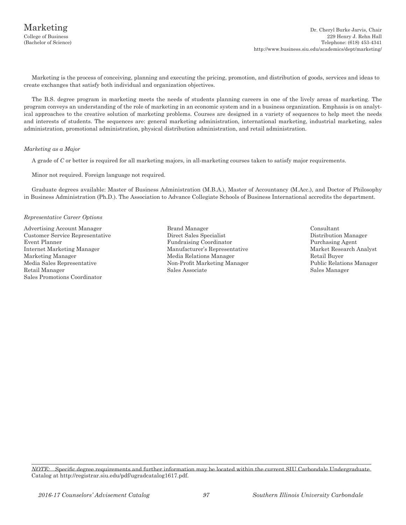Marketing is the process of conceiving, planning and executing the pricing, promotion, and distribution of goods, services and ideas to create exchanges that satisfy both individual and organization objectives.

The B.S. degree program in marketing meets the needs of students planning careers in one of the lively areas of marketing. The program conveys an understanding of the role of marketing in an economic system and in a business organization. Emphasis is on analytical approaches to the creative solution of marketing problems. Courses are designed in a variety of sequences to help meet the needs and interests of students. The sequences are: general marketing administration, international marketing, industrial marketing, sales administration, promotional administration, physical distribution administration, and retail administration.

#### *Marketing as a Major*

A grade of *C* or better is required for all marketing majors, in all-marketing courses taken to satisfy major requirements.

Minor not required. Foreign language not required.

Graduate degrees available: Master of Business Administration (M.B.A.), Master of Accountancy (M.Acc.), and Doctor of Philosophy in Business Administration (Ph.D.). The Association to Advance Collegiate Schools of Business International accredits the department.

#### *Representative Career Options*

Advertising Account Manager Brand Manager Consultant Customer Service Representative Direct Sales Specialist Event Planner<br>Fundraising Coordinat Internet Marketing Manager Manufacturer's Representative Market Research Analyst Marketing Manager Media Relations Manager Retail Buyer Retail Manager Sales Associate Sales Manager Sales Promotions Coordinator

- Fundraising Coordinator Purchasing Agent Non-Profit Marketing Manager
- 

*NOTE:* Specific degree requirements and further information may be located within the current SIU Carbondale Undergraduate Catalog at http://registrar.siu.edu/pdf/ugradcatalog1617.pdf.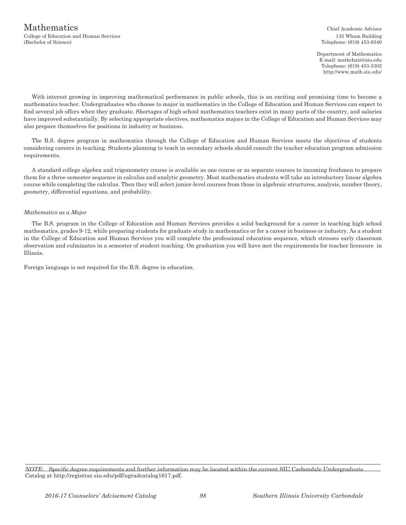Department of Mathematics E-mail: mathchair@siu.edu Telephone: (618) 453-5302 http://www.math.siu.edu/

With interest growing in improving mathematical performance in public schools, this is an exciting and promising time to become a mathematics teacher. Undergraduates who choose to major in mathematics in the College of Education and Human Services can expect to find several job offers when they graduate. Shortages of high school mathematics teachers exist in many parts of the country, and salaries have improved substantially. By selecting appropriate electives, mathematics majors in the College of Education and Human Services may also prepare themselves for positions in industry or business.

The B.S. degree program in mathematics through the College of Education and Human Services meets the objectives of students considering careers in teaching. Students planning to teach in secondary schools should consult the teacher education program admission requirements.

A standard college algebra and trigonometry course is available as one course or as separate courses to incoming freshmen to prepare them for a three-semester sequence in calculus and analytic geometry. Most mathematics students will take an introductory linear algebra course while completing the calculus. Then they will select junior-level courses from those in algebraic structures, analysis, number theory, geometry, differential equations, and probability.

#### *Mathematics as a Major*

The B.S. program in the College of Education and Human Services provides a solid background for a career in teaching high school mathematics, grades 9-12, while preparing students for graduate study in mathematics or for a career in business or industry. As a student in the College of Education and Human Services you will complete the professional education sequence, which stresses early classroom observation and culminates in a semester of student teaching. On graduation you will have met the requirements for teacher licensure in Illinois.

Foreign language is not required for the B.S. degree in education.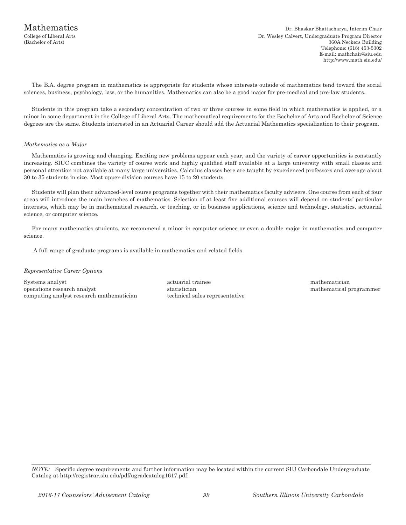The B.A. degree program in mathematics is appropriate for students whose interests outside of mathematics tend toward the social sciences, business, psychology, law, or the humanities. Mathematics can also be a good major for pre-medical and pre-law students.

Students in this program take a secondary concentration of two or three courses in some field in which mathematics is applied, or a minor in some department in the College of Liberal Arts. The mathematical requirements for the Bachelor of Arts and Bachelor of Science degrees are the same. Students interested in an Actuarial Career should add the Actuarial Mathematics specialization to their program.

#### *Mathematics as a Major*

Mathematics is growing and changing. Exciting new problems appear each year, and the variety of career opportunities is constantly increasing. SIUC combines the variety of course work and highly qualified staff available at a large university with small classes and personal attention not available at many large universities. Calculus classes here are taught by experienced professors and average about 30 to 35 students in size. Most upper-division courses have 15 to 20 students.

Students will plan their advanced-level course programs together with their mathematics faculty advisers. One course from each of four areas will introduce the main branches of mathematics. Selection of at least five additional courses will depend on students' particular interests, which may be in mathematical research, or teaching, or in business applications, science and technology, statistics, actuarial science, or computer science.

For many mathematics students, we recommend a minor in computer science or even a double major in mathematics and computer science.

A full range of graduate programs is available in mathematics and related fields.

#### *Representative Career Options*

Systems analyst **actuarial trainee** actuarial trainee mathematician mathematician operations research analyst statistician mathematical programmer computing analyst research mathematician technical sales representative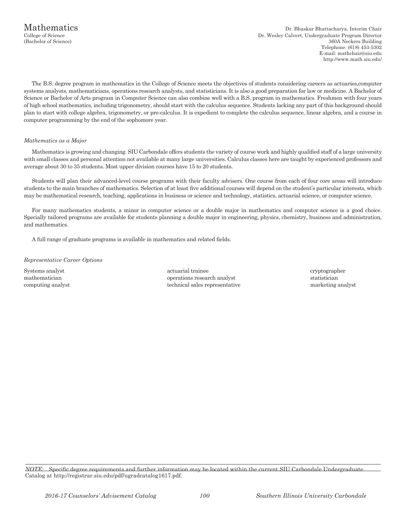The B.S. degree program in mathematics in the College of Science meets the objectives of students considering careers as actuaries,computer systems analysts, mathematicians, operations research analysts, and statisticians. It is also a good preparation for law or medicine. A Bachelor of Science or Bachelor of Arts program in Computer Science can also combine well with a B.S. program in mathematics. Freshmen with four years of high school mathematics, including trigonometry, should start with the calculus sequence. Students lacking any part of this background should plan to start with college algebra, trigonometry, or pre-calculus. It is expedient to complete the calculus sequence, linear algebra, and a course in computer programming by the end of the sophomore year.

#### *Mathematics as a Major*

Mathematics is growing and changing. SIU Carbondale offers students the variety of course work and highly qualified staff of a large university with small classes and personal attention not available at many large universities. Calculus classes here are taught by experienced professors and average about 30 to 35 students. Most upper division courses have 15 to 20 students.

Students will plan their advanced-level course programs with their faculty advisers. One course from each of four core areas will introduce students to the main branches of mathematics. Selection of at least five additional courses will depend on the student's particular interests, which may be mathematical research, teaching, applications in business or science and technology, statistics, actuarial science, or computer science.

For many mathematics students, a minor in computer science or a double major in mathematics and computer science is a good choice. Specially tailored programs are available for students planning a double major in engineering, physics, chemistry, business and administration, and mathematics.

A full range of graduate programs is available in mathematics and related fields.

#### *Representative Career Options*

Systems analyst actuarial trainee cryptographer cryptographer mathematician operations research analyst statistician operations research analyst statistician computing analyst technical sales representative marketing analyst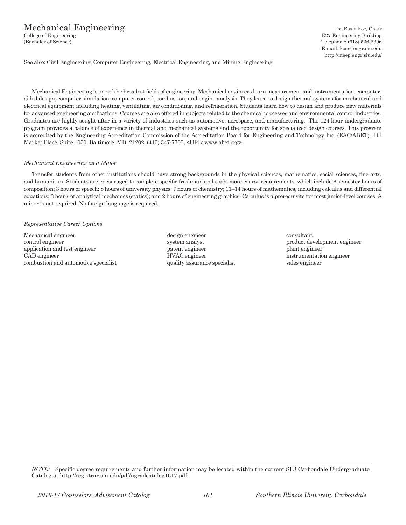# Mechanical Engineering<br>
College of Engineering Dr. Rasit Koc, Chair<br>
E27 Engineering Building

E27 Engineering Building (Bachelor of Science) Telephone: (618) 536-2396 E-mail: kocr@engr.siu.edu http://meep.engr.siu.edu/

See also: Civil Engineering, Computer Engineering, Electrical Engineering, and Mining Engineering.

Mechanical Engineering is one of the broadest fields of engineering. Mechanical engineers learn measurement and instrumentation, computeraided design, computer simulation, computer control, combustion, and engine analysis. They learn to design thermal systems for mechanical and electrical equipment including heating, ventilating, air conditioning, and refrigeration. Students learn how to design and produce new materials for advanced engineering applications. Courses are also offered in subjects related to the chemical processes and environmental control industries. Graduates are highly sought after in a variety of industries such as automotive, aerospace, and manufacturing. The 124-hour undergraduate program provides a balance of experience in thermal and mechanical systems and the opportunity for specialized design courses. This program is accredited by the Engineering Accreditation Commission of the Accreditation Board for Engineering and Technology Inc. (EAC/ABET), 111 Market Place, Suite 1050, Baltimore, MD. 21202, (410) 347-7700, <URL: www.abet.org>.

#### *Mechanical Engineering as a Major*

Transfer students from other institutions should have strong backgrounds in the physical sciences, mathematics, social sciences, fine arts, and humanities. Students are encouraged to complete specific freshman and sophomore course requirements, which include 6 semester hours of composition; 3 hours of speech; 8 hours of university physics; 7 hours of chemistry; 11–14 hours of mathematics, including calculus and differential equations; 3 hours of analytical mechanics (statics); and 2 hours of engineering graphics. Calculus is a prerequisite for most junior-level courses. A minor is not required. No foreign language is required.

#### *Representative Career Options*

Mechanical engineer design engineer consultant control engineer system analyst product development engineer application and test engineer patent engineer patent engineer plant engineer plant engineer CAD engineer HVAC engineer instrumentation engineer combustion and automotive specialist quality assurance specialist sales engineer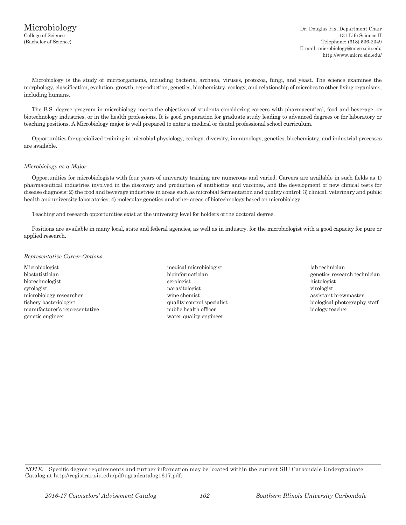Microbiology is the study of microorganisms, including bacteria, archaea, viruses, protozoa, fungi, and yeast. The science examines the morphology, classification, evolution, growth, reproduction, genetics, biochemistry, ecology, and relationship of microbes to other living organisms, including humans.

The B.S. degree program in microbiology meets the objectives of students considering careers with pharmaceutical, food and beverage, or biotechnology industries, or in the health professions. It is good preparation for graduate study leading to advanced degrees or for laboratory or teaching positions. A Microbiology major is well prepared to enter a medical or dental professional school curriculum.

Opportunities for specialized training in microbial physiology, ecology, diversity, immunology, genetics, biochemistry, and industrial processes are available.

#### *Microbiology as a Major*

Opportunities for microbiologists with four years of university training are numerous and varied. Careers are available in such fields as 1) pharmaceutical industries involved in the discovery and production of antibiotics and vaccines, and the development of new clinical tests for disease diagnosis; 2) the food and beverage industries in areas such as microbial fermentation and quality control; 3) clinical, veterinary and public health and university laboratories; 4) molecular genetics and other areas of biotechnology based on microbiology.

Teaching and research opportunities exist at the university level for holders of the doctoral degree.

Positions are available in many local, state and federal agencies, as well as in industry, for the microbiologist with a good capacity for pure or applied research.

#### *Representative Career Options*

Microbiologist medical microbiologist lab technician biostatistician bioinformatician bioinformatician genetics research technician biotechnologist serologist histologist cytologist parasitologist virologist microbiology researcher wine chemist assistant brewmaster fishery bacteriologist and the quality control specialist biological photography staff manufacturer's representative public health officer biology teacher biology teacher genetic engineer water quality engineer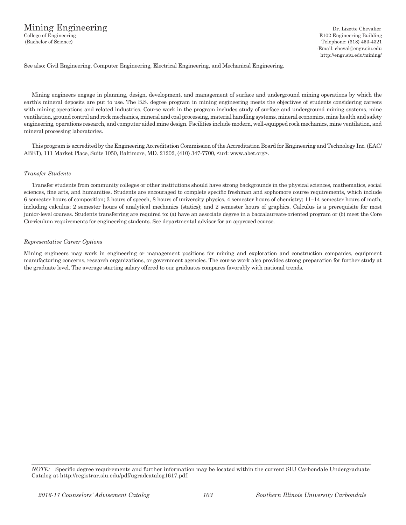See also: Civil Engineering, Computer Engineering, Electrical Engineering, and Mechanical Engineering.

Mining engineers engage in planning, design, development, and management of surface and underground mining operations by which the earth's mineral deposits are put to use. The B.S. degree program in mining engineering meets the objectives of students considering careers with mining operations and related industries. Course work in the program includes study of surface and underground mining systems, mine ventilation, ground control and rock mechanics, mineral and coal processing, material handling systems, mineral economics, mine health and safety engineering, operations research, and computer aided mine design. Facilities include modern, well-equipped rock mechanics, mine ventilation, and mineral processing laboratories.

This program is accredited by the Engineering Accreditation Commission of the Accreditation Board for Engineering and Technology Inc. (EAC/ ABET), 111 Market Place, Suite 1050, Baltimore, MD. 21202, (410) 347-7700, <url: www.abet.org>.

#### *Transfer Students*

Transfer students from community colleges or other institutions should have strong backgrounds in the physical sciences, mathematics, social sciences, fine arts, and humanities. Students are encouraged to complete specific freshman and sophomore course requirements, which include 6 semester hours of composition; 3 hours of speech, 8 hours of university physics, 4 semester hours of chemistry; 11–14 semester hours of math, including calculus; 2 semester hours of analytical mechanics (statics); and 2 semester hours of graphics. Calculus is a prerequisite for most junior-level courses. Students transferring are required to: (a) have an associate degree in a baccalaureate-oriented program or (b) meet the Core Curriculum requirements for engineering students. See departmental advisor for an approved course.

#### *Representative Career Options*

Mining engineers may work in engineering or management positions for mining and exploration and construction companies, equipment manufacturing concerns, research organizations, or government agencies. The course work also provides strong preparation for further study at the graduate level. The average starting salary offered to our graduates compares favorably with national trends.

*NOTE:* Specific degree requirements and further information may be located within the current SIU Carbondale Undergraduate Catalog at http://registrar.siu.edu/pdf/ugradcatalog1617.pdf.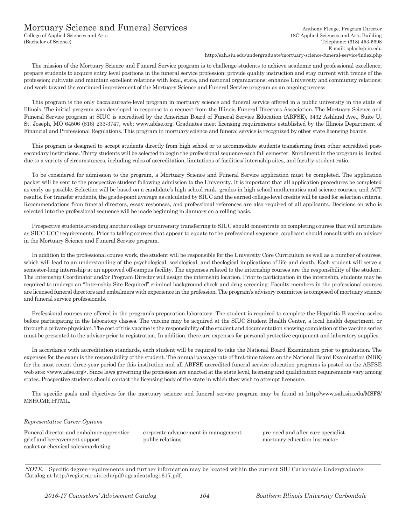# Mortuary Science and Funeral Services<br>
College of Applied Sciences and Arts<br>
Anthony Fleege, Program Director<br>
18C Applied Sciences and Arts Building

18C Applied Sciences and Arts Building (Bachelor of Science) Telephone: (618) 453-5698 E-mail: splash@siu.edu

http://sah.siu.edu/undergraduate/mortuary-science-funeral-service/index.php

The mission of the Mortuary Science and Funeral Service program is to challenge students to achieve academic and professional excellence; prepare students to acquire entry level positions in the funeral service profession; provide quality instruction and stay current with trends of the profession; cultivate and maintain excellent relations with local, state, and national organizations; enhance University and community relations; and work toward the continued improvement of the Mortuary Science and Funeral Service program as an ongoing process

This program is the only baccalaureate-level program in mortuary science and funeral service offered in a public university in the state of Illinois. The initial program was developed in response to a request from the Illinois Funeral Directors Association. The Mortuary Science and Funeral Service program at SIUC is accredited by the American Board of Funeral Service Education (ABFSE), 3432 Ashland Ave., Suite U, St. Joseph, MO 64506 (816) 233-3747, web: www.abfse.org. Graduates meet licensing requirements established by the Illinois Department of Financial and Professional Regulations. This program in mortuary science and funeral service is recognized by other state licensing boards.

This program is designed to accept students directly from high school or to accommodate students transferring from other accredited postsecondary institutions. Thirty students will be selected to begin the professional sequence each fall semester. Enrollment in the program is limited due to a variety of circumstances, including rules of accreditation, limitations of facilities/ internship sites, and faculty-student ratio.

To be considered for admission to the program, a Mortuary Science and Funeral Service application must be completed. The application packet will be sent to the prospective student following admission to the University. It is important that all application procedures be completed as early as possible. Selection will be based on a candidate's high school rank, grades in high school mathematics and science courses, and ACT results. For transfer students, the grade-point average as calculated by SIUC and the earned college-level credits will be used for selection criteria. Recommendations from funeral directors, essay responses, and professional references are also required of all applicants. Decisions on who is selected into the professional sequence will be made beginning in January on a rolling basis.

Prospective students attending another college or university transferring to SIUC should concentrate on completing courses that will articulate as SIUC UCC requirements. Prior to taking courses that appear to equate to the professional sequence, applicant should consult with an adviser in the Mortuary Science and Funeral Service program.

In addition to the professional course work, the student will be responsible for the University Core Curriculum as well as a number of courses, which will lead to an understanding of the psychological, sociological, and theological implications of life and death. Each student will serve a semester-long internship at an approved off-campus facility. The expenses related to the internship courses are the responsibility of the student. The Internship Coordinator and/or Program Director will assign the internship location. Prior to participation in the internship, students may be required to undergo an "Internship Site Required" criminal background check and drug screening. Faculty members in the professional courses are licensed funeral directors and embalmers with experience in the profession. The program's advisory committee is composed of mortuary science and funeral service professionals.

Professional courses are offered in the program's preparation laboratory. The student is required to complete the Hepatitis B vaccine series before participating in the laboratory classes. The vaccine may be acquired at the SIUC Student Health Center, a local health department, or through a private physician. The cost of this vaccine is the responsibility of the student and documentation showing completion of the vaccine series must be presented to the advisor prior to registration. In addition, there are expenses for personal protective equipment and laboratory supplies.

In accordance with accreditation standards, each student will be required to take the National Board Examination prior to graduation. The expenses for the exam is the responsibility of the student. The annual passage rate of first-time takers on the National Board Examination (NBE) for the most recent three-year period for this institution and all ABFSE accredited funeral service education programs is posted on the ABFSE web site: <www.afse.org>. Since laws governing the profession are enacted at the state level, licensing and qualification requirements vary among states. Prospective students should contact the licensing body of the state in which they wish to attempt licensure.

The specific goals and objectives for the mortuary science and funeral service program may be found at http://www.sah.siu.edu/MSFS/ MSHOME.HTML.

#### *Representative Career Options*

Funeral director and embalmer apprentice corporate advancement in management pre-need and after-care specialist grief and bereavement support public relations mortuary education instructor casket or chemical sales/marketing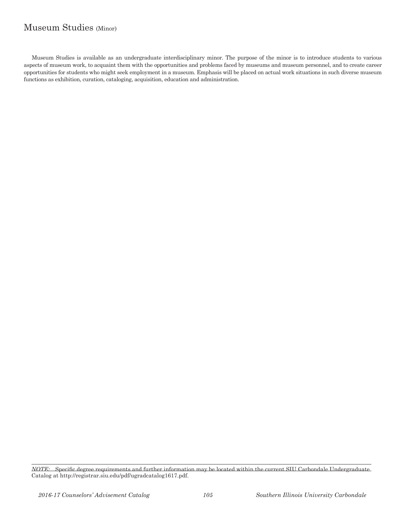## Museum Studies (Minor)

Museum Studies is available as an undergraduate interdisciplinary minor. The purpose of the minor is to introduce students to various aspects of museum work, to acquaint them with the opportunities and problems faced by museums and museum personnel, and to create career opportunities for students who might seek employment in a museum. Emphasis will be placed on actual work situations in such diverse museum functions as exhibition, curation, cataloging, acquisition, education and administration.

*NOTE:* Specific degree requirements and further information may be located within the current SIU Carbondale Undergraduate Catalog at http://registrar.siu.edu/pdf/ugradcatalog1617.pdf.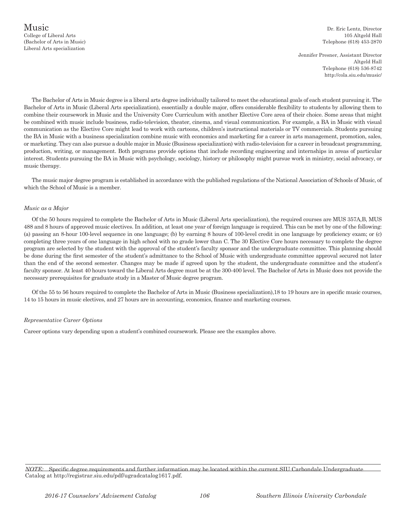Jennifer Presner, Assistant Director Altgeld Hall Telephone (618) 536-8742 http://cola.siu.edu/music/

The Bachelor of Arts in Music degree is a liberal arts degree individually tailored to meet the educational goals of each student pursuing it. The Bachelor of Arts in Music (Liberal Arts specialization), essentially a double major, offers considerable flexibility to students by allowing them to combine their coursework in Music and the University Core Curriculum with another Elective Core area of their choice. Some areas that might be combined with music include business, radio-television, theater, cinema, and visual communication. For example, a BA in Music with visual communication as the Elective Core might lead to work with cartoons, children's instructional materials or TV commercials. Students pursuing the BA in Music with a business specialization combine music with economics and marketing for a career in arts management, promotion, sales, or marketing. They can also pursue a double major in Music (Business specialization) with radio-television for a career in broadcast programming, production, writing, or management. Both programs provide options that include recording engineering and internships in areas of particular interest. Students pursuing the BA in Music with psychology, sociology, history or philosophy might pursue work in ministry, social advocacy, or music therapy.

The music major degree program is established in accordance with the published regulations of the National Association of Schools of Music, of which the School of Music is a member.

#### *Music as a Major*

Of the 50 hours required to complete the Bachelor of Arts in Music (Liberal Arts specialization), the required courses are MUS 357A,B, MUS 488 and 8 hours of approved music electives. In addition, at least one year of foreign language is required. This can be met by one of the following: (a) passing an 8-hour 100-level sequence in one language; (b) by earning 8 hours of 100-level credit in one language by proficiency exam; or (c) completing three years of one language in high school with no grade lower than C. The 30 Elective Core hours necessary to complete the degree program are selected by the student with the approval of the student's faculty sponsor and the undergraduate committee. This planning should be done during the first semester of the student's admittance to the School of Music with undergraduate committee approval secured not later than the end of the second semester. Changes may be made if agreed upon by the student, the undergraduate committee and the student's faculty sponsor. At least 40 hours toward the Liberal Arts degree must be at the 300-400 level. The Bachelor of Arts in Music does not provide the necessary prerequisites for graduate study in a Master of Music degree program.

Of the 55 to 56 hours required to complete the Bachelor of Arts in Music (Business specialization),18 to 19 hours are in specific music courses, 14 to 15 hours in music electives, and 27 hours are in accounting, economics, finance and marketing courses.

#### *Representative Career Options*

Career options vary depending upon a student's combined coursework. Please see the examples above.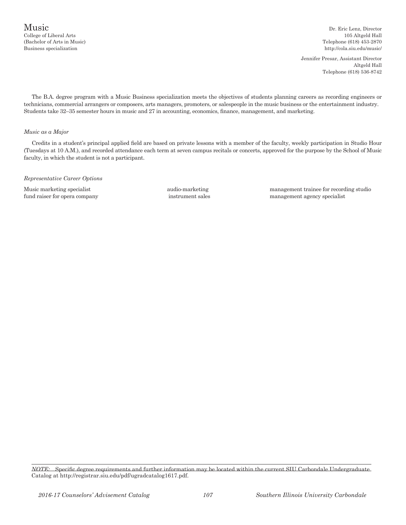(Bachelor of Arts in Music) Telephone (618) 453-2870

Jennifer Presar, Assistant Director Altgeld Hall Telephone (618) 536-8742

The B.A. degree program with a Music Business specialization meets the objectives of students planning careers as recording engineers or technicians, commercial arrangers or composers, arts managers, promoters, or salespeople in the music business or the entertainment industry. Students take 32–35 semester hours in music and 27 in accounting, economics, finance, management, and marketing.

#### *Music as a Major*

Credits in a student's principal applied field are based on private lessons with a member of the faculty, weekly participation in Studio Hour (Tuesdays at 10 A.M.), and recorded attendance each term at seven campus recitals or concerts, approved for the purpose by the School of Music faculty, in which the student is not a participant.

*Representative Career Options*

Music marketing specialist audio-marketing management trainee for recording studio fund raiser for opera company instrument sales management agency specialist

*NOTE:* Specific degree requirements and further information may be located within the current SIU Carbondale Undergraduate Catalog at http://registrar.siu.edu/pdf/ugradcatalog1617.pdf.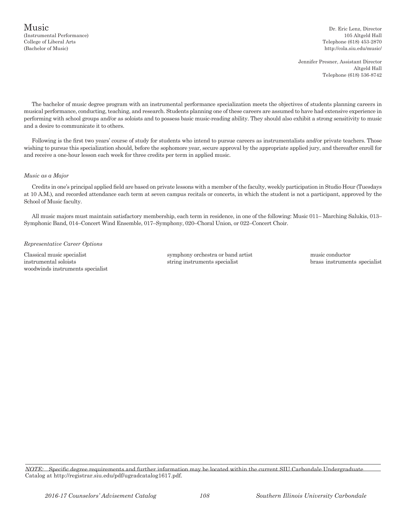Jennifer Presner, Assistant Director Altgeld Hall Telephone (618) 536-8742

The bachelor of music degree program with an instrumental performance specialization meets the objectives of students planning careers in musical performance, conducting, teaching, and research. Students planning one of these careers are assumed to have had extensive experience in performing with school groups and/or as soloists and to possess basic music-reading ability. They should also exhibit a strong sensitivity to music and a desire to communicate it to others.

Following is the first two years' course of study for students who intend to pursue careers as instrumentalists and/or private teachers. Those wishing to pursue this specialization should, before the sophomore year, secure approval by the appropriate applied jury, and thereafter enroll for and receive a one-hour lesson each week for three credits per term in applied music.

#### *Music as a Major*

Credits in one's principal applied field are based on private lessons with a member of the faculty, weekly participation in Studio Hour (Tuesdays at 10 A.M.), and recorded attendance each term at seven campus recitals or concerts, in which the student is not a participant, approved by the School of Music faculty.

All music majors must maintain satisfactory membership, each term in residence, in one of the following: Music 011– Marching Salukis, 013– Symphonic Band, 014–Concert Wind Ensemble, 017–Symphony, 020–Choral Union, or 022–Concert Choir.

#### *Representative Career Options*

instrumental soloists string instruments specialist brass instruments specialist woodwinds instruments specialist

Classical music specialist symphony orchestra or band artist music conductor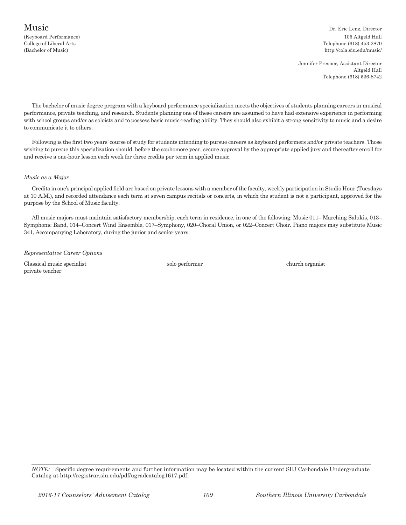(Keyboard Performance) 105 Altgeld Hall College of Liberal Arts Telephone (618) 453-2870 (Bachelor of Music) http://cola.siu.edu/music/

> Jennifer Presner, Assistant Director Altgeld Hall Telephone (618) 536-8742

The bachelor of music degree program with a keyboard performance specialization meets the objectives of students planning careers in musical performance, private teaching, and research. Students planning one of these careers are assumed to have had extensive experience in performing with school groups and/or as soloists and to possess basic music-reading ability. They should also exhibit a strong sensitivity to music and a desire to communicate it to others.

Following is the first two years' course of study for students intending to pursue careers as keyboard performers and/or private teachers. Those wishing to pursue this specialization should, before the sophomore year, secure approval by the appropriate applied jury and thereafter enroll for and receive a one-hour lesson each week for three credits per term in applied music.

### *Music as a Major*

Credits in one's principal applied field are based on private lessons with a member of the faculty, weekly participation in Studio Hour (Tuesdays at 10 A.M.), and recorded attendance each term at seven campus recitals or concerts, in which the student is not a participant, approved for the purpose by the School of Music faculty.

All music majors must maintain satisfactory membership, each term in residence, in one of the following: Music 011– Marching Salukis, 013– Symphonic Band, 014–Concert Wind Ensemble, 017–Symphony, 020–Choral Union, or 022–Concert Choir. Piano majors may substitute Music 341, Accompanying Laboratory, during the junior and senior years.

### *Representative Career Options*

Classical music specialist solo performer church organist private teacher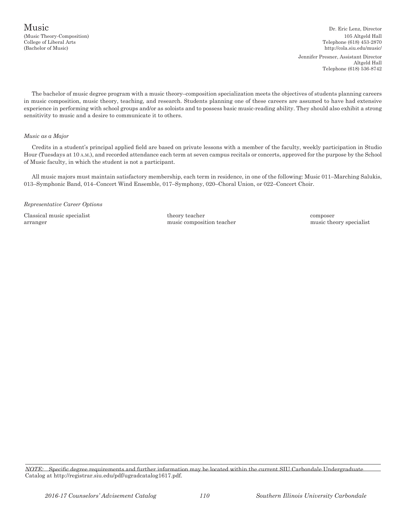(Music Theory-Composition) 105 Altgeld Hall College of Liberal Arts Telephone (618) 453-2870 (Bachelor of Music) http://cola.siu.edu/music/ Jennifer Presner, Assistant Director Altgeld Hall Telephone (618) 536-8742

The bachelor of music degree program with a music theory–composition specialization meets the objectives of students planning careers in music composition, music theory, teaching, and research. Students planning one of these careers are assumed to have had extensive experience in performing with school groups and/or as soloists and to possess basic music-reading ability. They should also exhibit a strong sensitivity to music and a desire to communicate it to others.

### *Music as a Major*

Credits in a student's principal applied field are based on private lessons with a member of the faculty, weekly participation in Studio Hour (Tuesdays at 10 a.m.), and recorded attendance each term at seven campus recitals or concerts, approved for the purpose by the School of Music faculty, in which the student is not a participant.

All music majors must maintain satisfactory membership, each term in residence, in one of the following: Music 011–Marching Salukis, 013–Symphonic Band, 014–Concert Wind Ensemble, 017–Symphony, 020–Choral Union, or 022–Concert Choir.

### *Representative Career Options*

Classical music specialist theory teacher composer arranger music composition teacher music theory specialist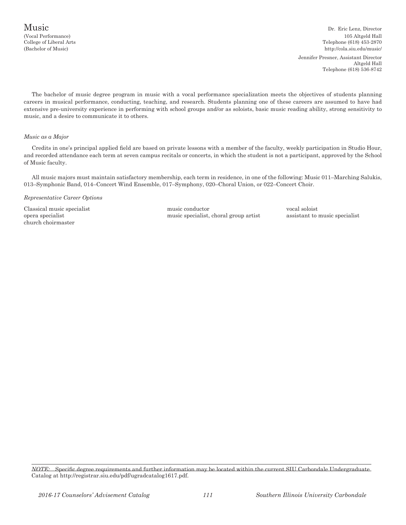Music Dr. Eric Lenz, Director (Vocal Performance) 105 Altgeld Hall College of Liberal Arts Telephone (618) 453-2870 (Bachelor of Music) http://cola.siu.edu/music/ Jennifer Presner, Assistant Director Altgeld Hall Telephone (618) 536-8742

The bachelor of music degree program in music with a vocal performance specialization meets the objectives of students planning careers in musical performance, conducting, teaching, and research. Students planning one of these careers are assumed to have had extensive pre-university experience in performing with school groups and/or as soloists, basic music reading ability, strong sensitivity to music, and a desire to communicate it to others.

### *Music as a Major*

Credits in one's principal applied field are based on private lessons with a member of the faculty, weekly participation in Studio Hour, and recorded attendance each term at seven campus recitals or concerts, in which the student is not a participant, approved by the School of Music faculty.

All music majors must maintain satisfactory membership, each term in residence, in one of the following: Music 011–Marching Salukis, 013–Symphonic Band, 014–Concert Wind Ensemble, 017–Symphony, 020–Choral Union, or 022–Concert Choir.

*Representative Career Options*

church choirmaster

Classical music specialist music specialist music conductor vocal soloist vocal soloist vocal soloist pera specialist conductor vocal soloist music specialist music specialist music specialist music specialist music specia opera specialist music specialist, choral group artist assistant to music specialist, choral group artist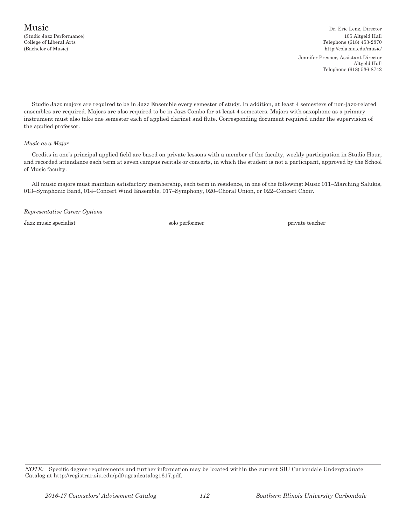Music Dr. Eric Lenz, Director (Studio Jazz Performance) 105 Altgeld Hall College of Liberal Arts Telephone (618) 453-2870 (Bachelor of Music) http://cola.siu.edu/music/ Jennifer Presner, Assistant Director Altgeld Hall Telephone (618) 536-8742

Studio Jazz majors are required to be in Jazz Ensemble every semester of study. In addition, at least 4 semesters of non-jazz-related ensembles are required. Majors are also required to be in Jazz Combo for at least 4 semesters. Majors with saxophone as a primary instrument must also take one semester each of applied clarinet and flute. Corresponding document required under the supervision of the applied professor.

### *Music as a Major*

Credits in one's principal applied field are based on private lessons with a member of the faculty, weekly participation in Studio Hour, and recorded attendance each term at seven campus recitals or concerts, in which the student is not a participant, approved by the School of Music faculty.

All music majors must maintain satisfactory membership, each term in residence, in one of the following: Music 011–Marching Salukis, 013–Symphonic Band, 014–Concert Wind Ensemble, 017–Symphony, 020–Choral Union, or 022–Concert Choir.

*Representative Career Options*

Jazz music specialist solo performer private teacher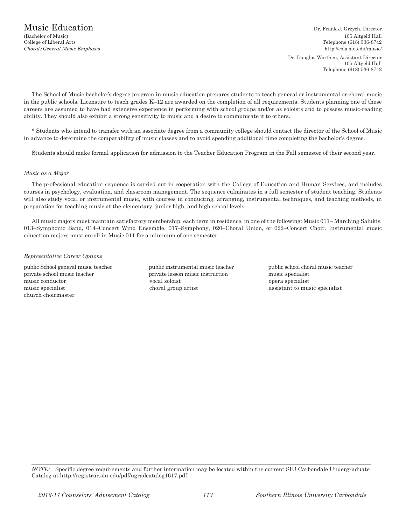(Bachelor of Music) 105 Altgeld Hall College of Liberal Arts Telephone (618) 536-8742 *Choral/General Music Emphasis* http://cola.siu.edu/music/ Dr. Douglas Worthen, Assistant Director

105 Altgeld Hall Telephone (618) 536-8742

The School of Music bachelor's degree program in music education prepares students to teach general or instrumental or choral music in the public schools. Licensure to teach grades K–12 are awarded on the completion of all requirements. Students planning one of these careers are assumed to have had extensive experience in performing with school groups and/or as soloists and to possess music-reading ability. They should also exhibit a strong sensitivity to music and a desire to communicate it to others.

\* Students who intend to transfer with an associate degree from a community college should contact the director of the School of Music in advance to determine the comparability of music classes and to avoid spending additional time completing the bachelor's degree.

Students should make formal application for admission to the Teacher Education Program in the Fall semester of their second year.

### *Music as a Major*

The professional education sequence is carried out in cooperation with the College of Education and Human Services, and includes courses in psychology, evaluation, and classroom management. The sequence culminates in a full semester of student teaching. Students will also study vocal or instrumental music, with courses in conducting, arranging, instrumental techniques, and teaching methods, in preparation for teaching music at the elementary, junior high, and high school levels.

All music majors must maintain satisfactory membership, each term in residence, in one of the following: Music 011– Marching Salukis, 013–Symphonic Band, 014–Concert Wind Ensemble, 017–Symphony, 020–Choral Union, or 022–Concert Choir. Instrumental music education majors must enroll in Music 011 for a minimum of one semester.

### *Representative Career Options*

private school music teacher private lesson music instruction music specialist music conductor vocal soloist opera specialist music specialist choral group artist assistant to music specialist church choirmaster

public School general music teacher public instrumental music teacher public school choral music teacher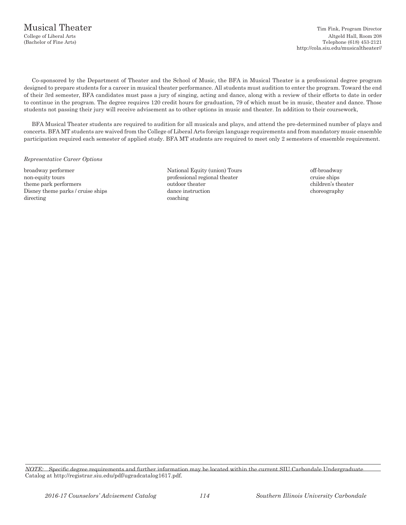Co-sponsored by the Department of Theater and the School of Music, the BFA in Musical Theater is a professional degree program designed to prepare students for a career in musical theater performance. All students must audition to enter the program. Toward the end of their 3rd semester, BFA candidates must pass a jury of singing, acting and dance, along with a review of their efforts to date in order to continue in the program. The degree requires 120 credit hours for graduation, 79 of which must be in music, theater and dance. Those students not passing their jury will receive advisement as to other options in music and theater. In addition to their coursework,

BFA Musical Theater students are required to audition for all musicals and plays, and attend the pre-determined number of plays and concerts. BFA MT students are waived from the College of Liberal Arts foreign language requirements and from mandatory music ensemble participation required each semester of applied study. BFA MT students are required to meet only 2 semesters of ensemble requirement.

### *Representative Career Options*

broadway performer **National Equity (union) Tours** off-broadway non-equity tours professional regional theater cruise ships cruise ships theme park performers outdoor theater children's theater Disney theme parks / cruise ships dance instruction choreography directing coaching coaching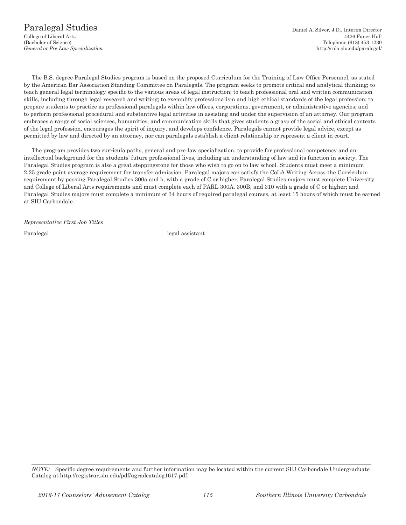The B.S. degree Paralegal Studies program is based on the proposed Curriculum for the Training of Law Office Personnel, as stated by the American Bar Association Standing Committee on Paralegals. The program seeks to promote critical and analytical thinking; to teach general legal terminology specific to the various areas of legal instruction; to teach professional oral and written communication skills, including through legal research and writing; to exemplify professionalism and high ethical standards of the legal profession; to prepare students to practice as professional paralegals within law offices, corporations, government, or administrative agencies; and to perform professional procedural and substantive legal activities in assisting and under the supervision of an attorney. Our program embraces a range of social sciences, humanities, and communication skills that gives students a grasp of the social and ethical contexts of the legal profession, encourages the spirit of inquiry, and develops confidence. Paralegals cannot provide legal advice, except as permitted by law and directed by an attorney, nor can paralegals establish a client relationship or represent a client in court.

The program provides two curricula paths, general and pre-law specialization, to provide for professional competency and an intellectual background for the students' future professional lives, including an understanding of law and its function in society. The Paralegal Studies program is also a great steppingstone for those who wish to go on to law school. Students must meet a minimum 2.25 grade point average requirement for transfer admission. Paralegal majors can satisfy the CoLA Writing-Across-the Curriculum requirement by passing Paralegal Studies 300a and b, with a grade of C or higher. Paralegal Studies majors must complete University and College of Liberal Arts requirements and must complete each of PARL 300A, 300B, and 310 with a grade of C or higher; and Paralegal Studies majors must complete a minimum of 34 hours of required paralegal courses, at least 15 hours of which must be earned at SIU Carbondale.

*Representative First Job Titles*

Paralegal legal assistant

*NOTE:* Specific degree requirements and further information may be located within the current SIU Carbondale Undergraduate Catalog at http://registrar.siu.edu/pdf/ugradcatalog1617.pdf.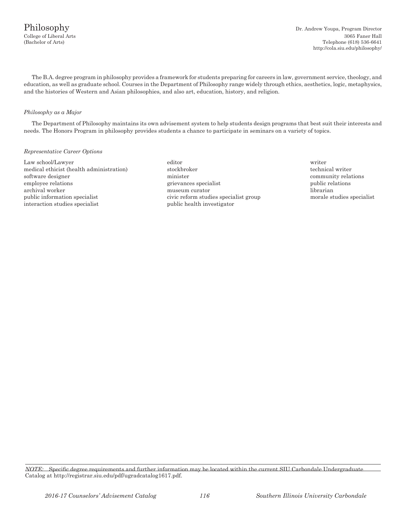The B.A. degree program in philosophy provides a framework for students preparing for careers in law, government service, theology, and education, as well as graduate school. Courses in the Department of Philosophy range widely through ethics, aesthetics, logic, metaphysics, and the histories of Western and Asian philosophies, and also art, education, history, and religion.

### *Philosophy as a Major*

The Department of Philosophy maintains its own advisement system to help students design programs that best suit their interests and needs. The Honors Program in philosophy provides students a chance to participate in seminars on a variety of topics.

### *Representative Career Options*

Law school/Lawyer editor writer medical ethicist (health administration) stockbroker stockbroker technical writer software designer minister minister community relations community relations employee relations employee relations grievances specialist public relations public relations archival worker museum curator librarian public information specialist civic reform studies specialist group morale studies specialist interaction studies specialist public health investigator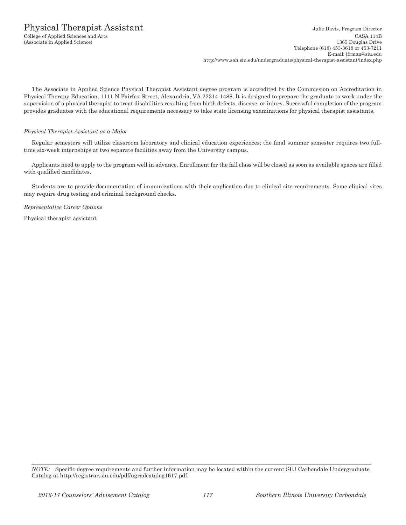The Associate in Applied Science Physical Therapist Assistant degree program is accredited by the Commission on Accreditation in Physical Therapy Education, 1111 N Fairfax Street, Alexandria, VA 22314-1488. It is designed to prepare the graduate to work under the supervision of a physical therapist to treat disabilities resulting from birth defects, disease, or injury. Successful completion of the program provides graduates with the educational requirements necessary to take state licensing examinations for physical therapist assistants.

### *Physical Therapist Assistant as a Major*

Regular semesters will utilize classroom laboratory and clinical education experiences; the final summer semester requires two fulltime six-week internships at two separate facilities away from the University campus.

Applicants need to apply to the program well in advance. Enrollment for the fall class will be closed as soon as available spaces are filled with qualified candidates.

Students are to provide documentation of immunizations with their application due to clinical site requirements. Some clinical sites may require drug testing and criminal background checks.

*Representative Career Options*

Physical therapist assistant

*NOTE:* Specific degree requirements and further information may be located within the current SIU Carbondale Undergraduate Catalog at http://registrar.siu.edu/pdf/ugradcatalog1617.pdf.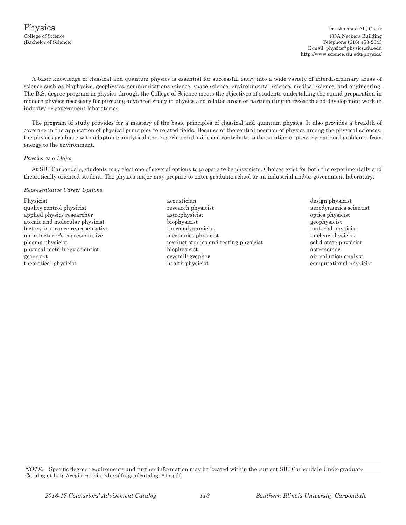A basic knowledge of classical and quantum physics is essential for successful entry into a wide variety of interdisciplinary areas of science such as biophysics, geophysics, communications science, space science, environmental science, medical science, and engineering. The B.S. degree program in physics through the College of Science meets the objectives of students undertaking the sound preparation in modern physics necessary for pursuing advanced study in physics and related areas or participating in research and development work in industry or government laboratories.

The program of study provides for a mastery of the basic principles of classical and quantum physics. It also provides a breadth of coverage in the application of physical principles to related fields. Because of the central position of physics among the physical sciences, the physics graduate with adaptable analytical and experimental skills can contribute to the solution of pressing national problems, from energy to the environment.

### *Physics as a Major*

At SIU Carbondale, students may elect one of several options to prepare to be physicists. Choices exist for both the experimentally and theoretically oriented student. The physics major may prepare to enter graduate school or an industrial and/or government laboratory.

### *Representative Career Options*

- Physicist acoustician acoustician design physicist acoustician design physicist acoustician design physicist quality control physicist research physicist research physicist aerodynamics scientist applied physics researcher astrophysicist optics physicist atomic and molecular physicist biophysicist geophysicist factory insurance representative thermodynamicist thermodynamicist material physicist manufacturer's representative mechanics physicist muclear physicist nuclear physicist plasma physicist product studies and testing physicist solid-state physicist physical metallurgy scientist biophysicist astronomer geodesist crystallographer crystallographer air pollution analyst theoretical physicist health physicist health physicist computational physicist computational physicist
	-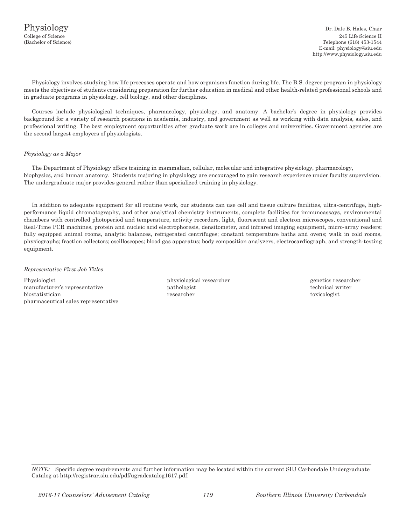Physiology involves studying how life processes operate and how organisms function during life. The B.S. degree program in physiology meets the objectives of students considering preparation for further education in medical and other health-related professional schools and in graduate programs in physiology, cell biology, and other disciplines.

Courses include physiological techniques, pharmacology, physiology, and anatomy. A bachelor's degree in physiology provides background for a variety of research positions in academia, industry, and government as well as working with data analysis, sales, and professional writing. The best employment opportunities after graduate work are in colleges and universities. Government agencies are the second largest employers of physiologists.

### *Physiology as a Major*

The Department of Physiology offers training in mammalian, cellular, molecular and integrative physiology, pharmacology, biophysics, and human anatomy. Students majoring in physiology are encouraged to gain research experience under faculty supervision. The undergraduate major provides general rather than specialized training in physiology.

In addition to adequate equipment for all routine work, our students can use cell and tissue culture facilities, ultra-centrifuge, highperformance liquid chromatography, and other analytical chemistry instruments, complete facilities for immunoassays, environmental chambers with controlled photoperiod and temperature, activity recorders, light, fluorescent and electron microscopes, conventional and Real-Time PCR machines, protein and nucleic acid electrophoresis, densitometer, and infrared imaging equipment, micro-array readers; fully equipped animal rooms, analytic balances, refrigerated centrifuges; constant temperature baths and ovens; walk in cold rooms, physiographs; fraction collectors; oscilloscopes; blood gas apparatus; body composition analyzers, electrocardiograph, and strength-testing equipment.

### *Representative First Job Titles*

Physiologist **physiological researcher** physiological researcher genetics researcher manufacturer's representative example in the pathologist technical writer technical writer biostatistician researcher toxicologist pharmaceutical sales representative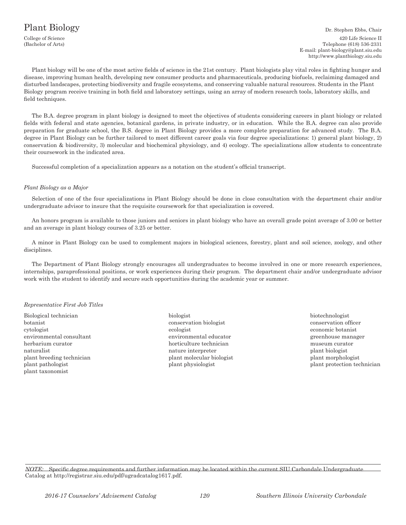### Plant Biology

 Dr. Stephen Ebbs, Chair College of Science 420 Life Science II (Bachelor of Arts) Telephone (618) 536-2331 E-mail: plant-biology@plant.siu.edu http://www.plantbiology.siu.edu

Plant biology will be one of the most active fields of science in the 21st century. Plant biologists play vital roles in fighting hunger and disease, improving human health, developing new consumer products and pharmaceuticals, producing biofuels, reclaiming damaged and disturbed landscapes, protecting biodiversity and fragile ecosystems, and conserving valuable natural resources. Students in the Plant Biology program receive training in both field and laboratory settings, using an array of modern research tools, laboratory skills, and field techniques.

The B.A. degree program in plant biology is designed to meet the objectives of students considering careers in plant biology or related fields with federal and state agencies, botanical gardens, in private industry, or in education. While the B.A. degree can also provide preparation for graduate school, the B.S. degree in Plant Biology provides a more complete preparation for advanced study. The B.A. degree in Plant Biology can be further tailored to meet different career goals via four degree specializations: 1) general plant biology, 2) conservation & biodiversity, 3) molecular and biochemical physiology, and 4) ecology. The specializations allow students to concentrate their coursework in the indicated area.

Successful completion of a specialization appears as a notation on the student's official transcript.

#### *Plant Biology as a Major*

Selection of one of the four specializations in Plant Biology should be done in close consultation with the department chair and/or undergraduate advisor to insure that the requisite coursework for that specialization is covered.

An honors program is available to those juniors and seniors in plant biology who have an overall grade point average of 3.00 or better and an average in plant biology courses of 3.25 or better.

A minor in Plant Biology can be used to complement majors in biological sciences, forestry, plant and soil science, zoology, and other disciplines.

The Department of Plant Biology strongly encourages all undergraduates to become involved in one or more research experiences, internships, paraprofessional positions, or work experiences during their program. The department chair and/or undergraduate advisor work with the student to identify and secure such opportunities during the academic year or summer.

### *Representative First Job Titles*

- Biological technician biologist biologist biologist biotechnologist biotechnologist biotechnologist biotechnologist biotechnologist biotechnologist biotechnologist biotechnologist biotechnologist biotechnologist biotechnol botanist conservation biologist conservation officer cytologist ecologist economic botanist environmental consultant environmental educator greenhouse manager herbarium curator horticulture technician museum curator naturalist naturalist naturalist naturalist naturalist naturalist plant biologist plant breeding technician plant molecular biologist plant morphologist plant pathologist plant physiologist plant protection technician plant taxonomist
	-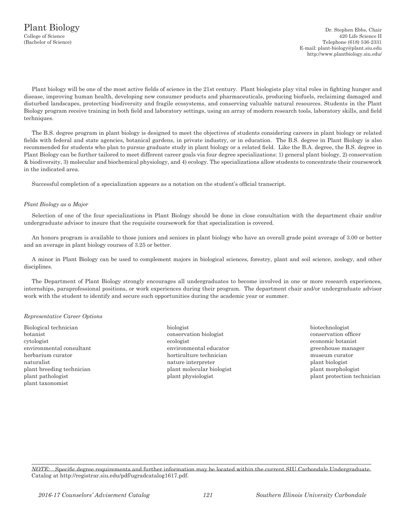Plant biology will be one of the most active fields of science in the 21st century. Plant biologists play vital roles in fighting hunger and disease, improving human health, developing new consumer products and pharmaceuticals, producing biofuels, reclaiming damaged and disturbed landscapes, protecting biodiversity and fragile ecosystems, and conserving valuable natural resources. Students in the Plant Biology program receive training in both field and laboratory settings, using an array of modern research tools, laboratory skills, and field techniques.

The B.S. degree program in plant biology is designed to meet the objectives of students considering careers in plant biology or related fields with federal and state agencies, botanical gardens, in private industry, or in education. The B.S. degree in Plant Biology is also recommended for students who plan to pursue graduate study in plant biology or a related field. Like the B.A. degree, the B.S. degree in Plant Biology can be further tailored to meet different career goals via four degree specializations: 1) general plant biology, 2) conservation & biodiversity, 3) molecular and biochemical physiology, and 4) ecology. The specializations allow students to concentrate their coursework in the indicated area.

Successful completion of a specialization appears as a notation on the student's official transcript.

### *Plant Biology as a Major*

Selection of one of the four specializations in Plant Biology should be done in close consultation with the department chair and/or undergraduate advisor to insure that the requisite coursework for that specialization is covered.

An honors program is available to those juniors and seniors in plant biology who have an overall grade point average of 3.00 or better and an average in plant biology courses of 3.25 or better.

A minor in Plant Biology can be used to complement majors in biological sciences, forestry, plant and soil science, zoology, and other disciplines.

The Department of Plant Biology strongly encourages all undergraduates to become involved in one or more research experiences, internships, paraprofessional positions, or work experiences during their program. The department chair and/or undergraduate advisor work with the student to identify and secure such opportunities during the academic year or summer.

### *Representative Career Options*

- Biological technician biologist biotechnologist biotechnologist biotechnologist biotechnologist biotechnologist botanist conservation biologist conservation officer cytologist ecologist economic botanist environmental consultant environmental educator environmental example of the environmental educator environmental educator herbarium curator **horticulture technician** museum curator **museum curator** horticulture technician naturalist naturalist naturalist naturalist naturalist naturalist plant biologist plant breeding technician plant molecular biologist plant morphologist plant morphologist plant pathologist plant physiologist plant physiologist plant protection technician plant taxonomist
	-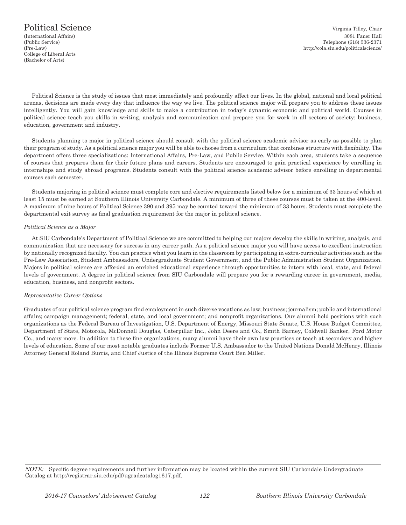### Political Science Virginia Tilley, Chair

College of Liberal Arts (Bachelor of Arts)

Political Science is the study of issues that most immediately and profoundly affect our lives. In the global, national and local political arenas, decisions are made every day that influence the way we live. The political science major will prepare you to address these issues intelligently. You will gain knowledge and skills to make a contribution in today's dynamic economic and political world. Courses in political science teach you skills in writing, analysis and communication and prepare you for work in all sectors of society: business, education, government and industry.

Students planning to major in political science should consult with the political science academic advisor as early as possible to plan their program of study. As a political science major you will be able to choose from a curriculum that combines structure with flexibility. The department offers three specializations: International Affairs, Pre-Law, and Public Service. Within each area, students take a sequence of courses that prepares them for their future plans and careers. Students are encouraged to gain practical experience by enrolling in internships and study abroad programs. Students consult with the political science academic advisor before enrolling in departmental courses each semester.

Students majoring in political science must complete core and elective requirements listed below for a minimum of 33 hours of which at least 15 must be earned at Southern Illinois University Carbondale. A minimum of three of these courses must be taken at the 400-level. A maximum of nine hours of Political Science 390 and 395 may be counted toward the minimum of 33 hours. Students must complete the departmental exit survey as final graduation requirement for the major in political science.

### *Political Science as a Major*

At SIU Carbondale's Department of Political Science we are committed to helping our majors develop the skills in writing, analysis, and communication that are necessary for success in any career path. As a political science major you will have access to excellent instruction by nationally recognized faculty. You can practice what you learn in the classroom by participating in extra-curricular activities such as the Pre-Law Association, Student Ambassadors, Undergraduate Student Government, and the Public Administration Student Organization. Majors in political science are afforded an enriched educational experience through opportunities to intern with local, state, and federal levels of government. A degree in political science from SIU Carbondale will prepare you for a rewarding career in government, media, education, business, and nonprofit sectors.

### *Representative Career Options*

Graduates of our political science program find employment in such diverse vocations as law; business; journalism; public and international affairs; campaign management; federal, state, and local government; and nonprofit organizations. Our alumni hold positions with such organizations as the Federal Bureau of Investigation, U.S. Department of Energy, Missouri State Senate, U.S. House Budget Committee, Department of State, Motorola, McDonnell Douglas, Caterpillar Inc., John Deere and Co., Smith Barney, Coldwell Banker, Ford Motor Co., and many more. In addition to these fine organizations, many alumni have their own law practices or teach at secondary and higher levels of education. Some of our most notable graduates include Former U.S. Ambassador to the United Nations Donald McHenry, Illinois Attorney General Roland Burris, and Chief Justice of the Illinois Supreme Court Ben Miller.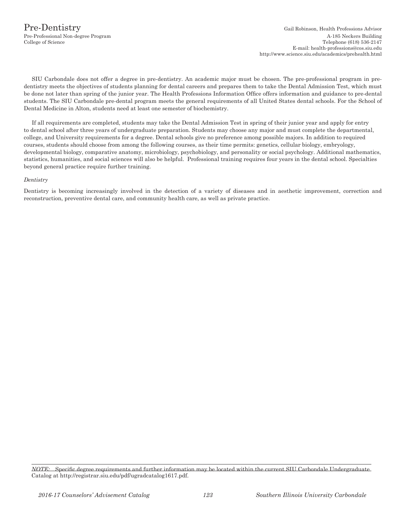SIU Carbondale does not offer a degree in pre-dentistry. An academic major must be chosen. The pre-professional program in predentistry meets the objectives of students planning for dental careers and prepares them to take the Dental Admission Test, which must be done not later than spring of the junior year. The Health Professions Information Office offers information and guidance to pre-dental students. The SIU Carbondale pre-dental program meets the general requirements of all United States dental schools. For the School of Dental Medicine in Alton, students need at least one semester of biochemistry.

If all requirements are completed, students may take the Dental Admission Test in spring of their junior year and apply for entry to dental school after three years of undergraduate preparation. Students may choose any major and must complete the departmental, college, and University requirements for a degree. Dental schools give no preference among possible majors. In addition to required courses, students should choose from among the following courses, as their time permits: genetics, cellular biology, embryology, developmental biology, comparative anatomy, microbiology, psychobiology, and personality or social psychology. Additional mathematics, statistics, humanities, and social sciences will also be helpful. Professional training requires four years in the dental school. Specialties beyond general practice require further training.

### *Dentistry*

Dentistry is becoming increasingly involved in the detection of a variety of diseases and in aesthetic improvement, correction and reconstruction, preventive dental care, and community health care, as well as private practice.

*NOTE:* Specific degree requirements and further information may be located within the current SIU Carbondale Undergraduate Catalog at http://registrar.siu.edu/pdf/ugradcatalog1617.pdf.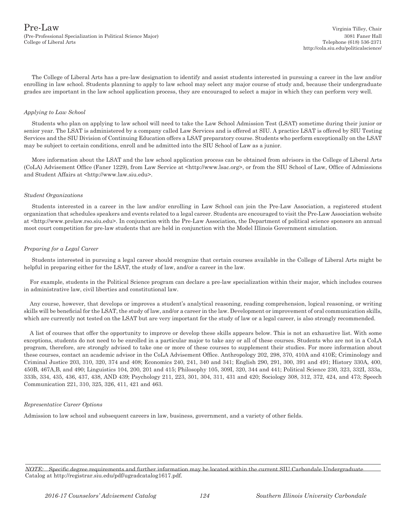$\Pr$ e- $\text{Law}$  Virginia Tilley, Chair (Pre-Professional Specialization in Political Science Major) 3081 Faner Hall

The College of Liberal Arts has a pre-law designation to identify and assist students interested in pursuing a career in the law and/or enrolling in law school. Students planning to apply to law school may select any major course of study and, because their undergraduate grades are important in the law school application process, they are encouraged to select a major in which they can perform very well.

### *Applying to Law School*

Students who plan on applying to law school will need to take the Law School Admission Test (LSAT) sometime during their junior or senior year. The LSAT is administered by a company called Law Services and is offered at SIU. A practice LSAT is offered by SIU Testing Services and the SIU Division of Continuing Education offers a LSAT preparatory course. Students who perform exceptionally on the LSAT may be subject to certain conditions, enroll and be admitted into the SIU School of Law as a junior.

More information about the LSAT and the law school application process can be obtained from advisors in the College of Liberal Arts (CoLA) Advisement Office (Faner 1229), from Law Service at <http://www.lsac.org>, or from the SIU School of Law, Office of Admissions and Student Affairs at <http://www.law.siu.edu>.

#### *Student Organizations*

Students interested in a career in the law and/or enrolling in Law School can join the Pre-Law Association, a registered student organization that schedules speakers and events related to a legal career. Students are encouraged to visit the Pre-Law Association website at <http://www.prelaw.rso.siu.edu>. In conjunction with the Pre-Law Association, the Department of political science sponsors an annual moot court competition for pre-law students that are held in conjunction with the Model Illinois Government simulation.

### *Preparing for a Legal Career*

Students interested in pursuing a legal career should recognize that certain courses available in the College of Liberal Arts might be helpful in preparing either for the LSAT, the study of law, and/or a career in the law.

For example, students in the Political Science program can declare a pre-law specialization within their major, which includes courses in administrative law, civil liberties and constitutional law.

Any course, however, that develops or improves a student's analytical reasoning, reading comprehension, logical reasoning, or writing skills will be beneficial for the LSAT, the study of law, and/or a career in the law. Development or improvement of oral communication skills, which are currently not tested on the LSAT but are very important for the study of law or a legal career, is also strongly recommended.

A list of courses that offer the opportunity to improve or develop these skills appears below. This is not an exhaustive list. With some exceptions, students do not need to be enrolled in a particular major to take any or all of these courses. Students who are not in a CoLA program, therefore, are strongly advised to take one or more of these courses to supplement their studies. For more information about these courses, contact an academic advisor in the CoLA Advisement Office. Anthropology 202, 298, 370, 410A and 410E; Criminology and Criminal Justice 203, 310, 320, 374 and 408; Economics 240, 241, 340 and 341; English 290, 291, 300, 391 and 491; History 330A, 400, 450B, 467A,B, and 490; Linguistics 104, 200, 201 and 415; Philosophy 105, 309I, 320, 344 and 441; Political Science 230, 323, 332I, 333a, 333b, 334, 435, 436, 437, 438, AND 439; Psychology 211, 223, 301, 304, 311, 431 and 420; Sociology 308, 312, 372, 424, and 473; Speech Communication 221, 310, 325, 326, 411, 421 and 463.

### *Representative Career Options*

Admission to law school and subsequent careers in law, business, government, and a variety of other fields.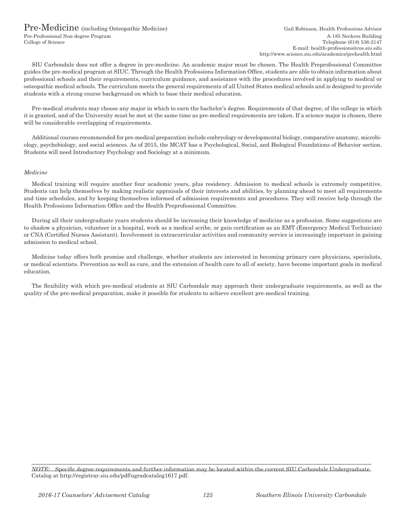### Pre-Medicine (including Osteopathic Medicine) Gail Robinson, Health Professions Advisor

SIU Carbondale does not offer a degree in pre-medicine. An academic major must be chosen. The Health Preprofessional Committee guides the pre-medical program at SIUC. Through the Health Professions Information Office, students are able to obtain information about professional schools and their requirements, curriculum guidance, and assistance with the procedures involved in applying to medical or osteopathic medical schools. The curriculum meets the general requirements of all United States medical schools and is designed to provide students with a strong course background on which to base their medical education.

Pre-medical students may choose any major in which to earn the bachelor's degree. Requirements of that degree, of the college in which it is granted, and of the University must be met at the same time as pre-medical requirements are taken. If a science major is chosen, there will be considerable overlapping of requirements.

Additional courses recommended for pre-medical preparation include embryology or developmental biology, comparative anatomy, microbiology, psychobiology, and social sciences. As of 2015, the MCAT has a Psychological, Social, and Biological Foundations of Behavior section. Students will need Introductory Psychology and Sociology at a minimum.

### *Medicine*

Medical training will require another four academic years, plus residency. Admission to medical schools is extremely competitive. Students can help themselves by making realistic appraisals of their interests and abilities, by planning ahead to meet all requirements and time schedules, and by keeping themselves informed of admission requirements and procedures. They will receive help through the Health Professions Information Office and the Health Preprofessional Committee.

During all their undergraduate years students should be increasing their knowledge of medicine as a profession. Some suggestions are to shadow a physician, volunteer in a hospital, work as a medical scribe, or gain certification as an EMT (Emergency Medical Technician) or CNA (Certified Nurses Assistant). Involvement in extracurricular activities and community service is increasingly important in gaining admission to medical school.

Medicine today offers both promise and challenge, whether students are interested in becoming primary care physicians, specialists, or medical scientists. Prevention as well as cure, and the extension of health care to all of society, have become important goals in medical education.

The flexibility with which pre-medical students at SIU Carbondale may approach their undergraduate requirements, as well as the quality of the pre-medical preparation, make it possible for students to achieve excellent pre-medical training.

*NOTE:* Specific degree requirements and further information may be located within the current SIU Carbondale Undergraduate Catalog at http://registrar.siu.edu/pdf/ugradcatalog1617.pdf.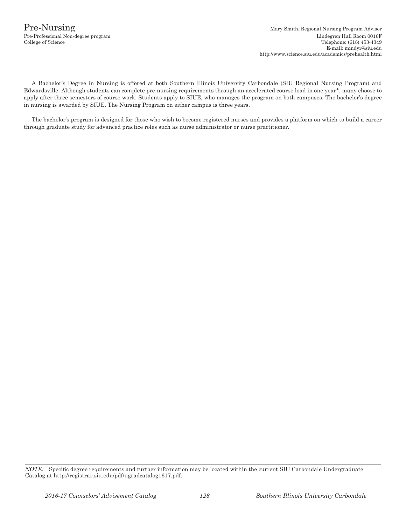A Bachelor's Degree in Nursing is offered at both Southern Illinois University Carbondale (SIU Regional Nursing Program) and Edwardsville. Although students can complete pre-nursing requirements through an accelerated course load in one year\*, many choose to apply after three semesters of course work. Students apply to SIUE, who manages the program on both campuses. The bachelor's degree in nursing is awarded by SIUE. The Nursing Program on either campus is three years.

The bachelor's program is designed for those who wish to become registered nurses and provides a platform on which to build a career through graduate study for advanced practice roles such as nurse administrator or nurse practitioner.

*NOTE:* Specific degree requirements and further information may be located within the current SIU Carbondale Undergraduate Catalog at http://registrar.siu.edu/pdf/ugradcatalog1617.pdf.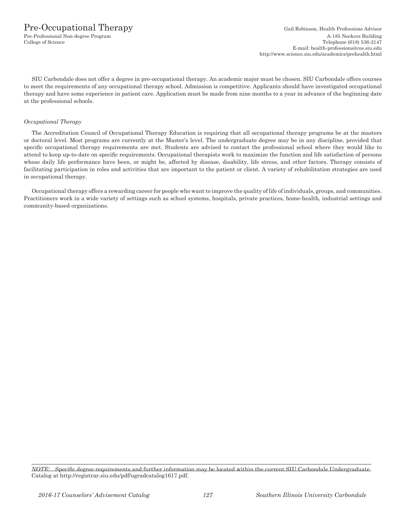SIU Carbondale does not offer a degree in pre-occupational therapy. An academic major must be chosen. SIU Carbondale offers courses to meet the requirements of any occupational therapy school. Admission is competitive. Applicants should have investigated occupational therapy and have some experience in patient care. Application must be made from nine months to a year in advance of the beginning date at the professional schools.

### *Occupational Therapy*

The Accreditation Council of Occupational Therapy Education is requiring that all occupational therapy programs be at the masters or doctoral level. Most programs are currently at the Master's level. The undergraduate degree may be in any discipline, provided that specific occupational therapy requirements are met. Students are advised to contact the professional school where they would like to attend to keep up-to-date on specific requirements. Occupational therapists work to maximize the function and life satisfaction of persons whose daily life performance have been, or might be, affected by disease, disability, life stress, and other factors. Therapy consists of facilitating participation in roles and activities that are important to the patient or client. A variety of rehabilitation strategies are used in occupational therapy.

Occupational therapy offers a rewarding career for people who want to improve the quality of life of individuals, groups, and communities. Practitioners work in a wide variety of settings such as school systems, hospitals, private practices, home-health, industrial settings and community-based organizations.

*NOTE:* Specific degree requirements and further information may be located within the current SIU Carbondale Undergraduate Catalog at http://registrar.siu.edu/pdf/ugradcatalog1617.pdf.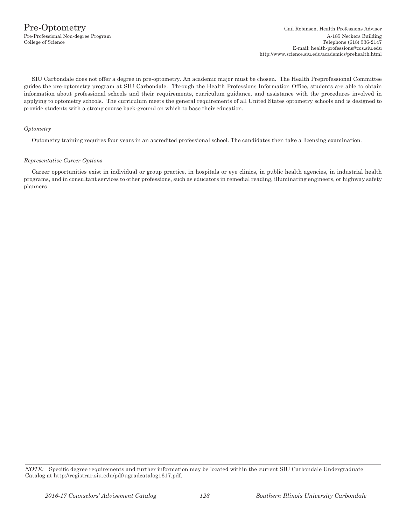SIU Carbondale does not offer a degree in pre-optometry. An academic major must be chosen. The Health Preprofessional Committee guides the pre-optometry program at SIU Carbondale. Through the Health Professions Information Office, students are able to obtain information about professional schools and their requirements, curriculum guidance, and assistance with the procedures involved in applying to optometry schools. The curriculum meets the general requirements of all United States optometry schools and is designed to provide students with a strong course back-ground on which to base their education.

### *Optometry*

Optometry training requires four years in an accredited professional school. The candidates then take a licensing examination.

#### *Representative Career Options*

Career opportunities exist in individual or group practice, in hospitals or eye clinics, in public health agencies, in industrial health programs, and in consultant services to other professions, such as educators in remedial reading, illuminating engineers, or highway safety planners

*NOTE:* Specific degree requirements and further information may be located within the current SIU Carbondale Undergraduate Catalog at http://registrar.siu.edu/pdf/ugradcatalog1617.pdf.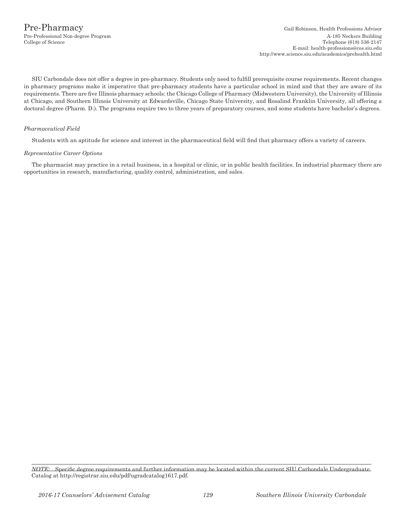SIU Carbondale does not offer a degree in pre-pharmacy. Students only need to fulfill prerequisite course requirements. Recent changes in pharmacy programs make it imperative that pre-pharmacy students have a particular school in mind and that they are aware of its requirements. There are five Illinois pharmacy schools: the Chicago College of Pharmacy (Midwestern University), the University of Illinois at Chicago, and Southern Illinois University at Edwardsville, Chicago State University, and Rosalind Franklin University, all offering a doctoral degree (Pharm. D.). The programs require two to three years of preparatory courses, and some students have bachelor's degrees.

### *Pharmaceutical Field*

Students with an aptitude for science and interest in the pharmaceutical field will find that pharmacy offers a variety of careers.

### *Representative Career Options*

The pharmacist may practice in a retail business, in a hospital or clinic, or in public health facilities. In industrial pharmacy there are opportunities in research, manufacturing, quality control, administration, and sales.

*NOTE:* Specific degree requirements and further information may be located within the current SIU Carbondale Undergraduate Catalog at http://registrar.siu.edu/pdf/ugradcatalog1617.pdf.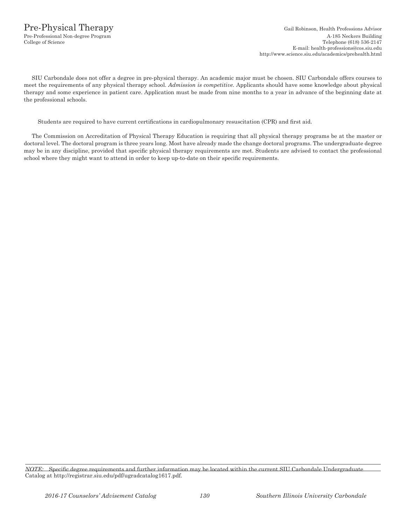# Pre-Physical Therapy Gail Robinson, Health Professions Advisor

SIU Carbondale does not offer a degree in pre-physical therapy. An academic major must be chosen. SIU Carbondale offers courses to meet the requirements of any physical therapy school. *Admission is competitive.* Applicants should have some knowledge about physical therapy and some experience in patient care. Application must be made from nine months to a year in advance of the beginning date at the professional schools.

Students are required to have current certifications in cardiopulmonary resuscitation (CPR) and first aid.

The Commission on Accreditation of Physical Therapy Education is requiring that all physical therapy programs be at the master or doctoral level. The doctoral program is three years long. Most have already made the change doctoral programs. The undergraduate degree may be in any discipline, provided that specific physical therapy requirements are met. Students are advised to contact the professional school where they might want to attend in order to keep up-to-date on their specific requirements.

*NOTE:* Specific degree requirements and further information may be located within the current SIU Carbondale Undergraduate Catalog at http://registrar.siu.edu/pdf/ugradcatalog1617.pdf.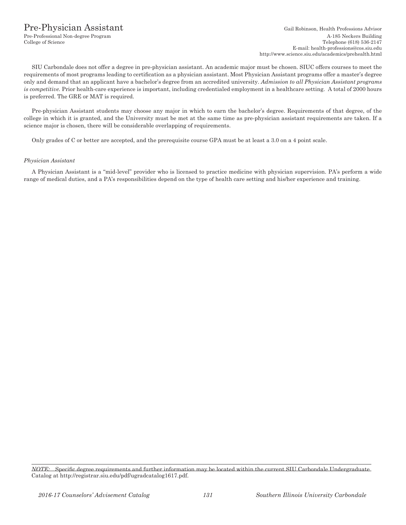### Pre-Physician Assistant Gail Robinson, Health Professions Advisor

SIU Carbondale does not offer a degree in pre-physician assistant. An academic major must be chosen. SIUC offers courses to meet the requirements of most programs leading to certification as a physician assistant. Most Physician Assistant programs offer a master's degree only and demand that an applicant have a bachelor's degree from an accredited university. *Admission to all Physician Assistant programs is competitive.* Prior health-care experience is important, including credentialed employment in a healthcare setting. A total of 2000 hours is preferred. The GRE or MAT is required.

Pre-physician Assistant students may choose any major in which to earn the bachelor's degree. Requirements of that degree, of the college in which it is granted, and the University must be met at the same time as pre-physician assistant requirements are taken. If a science major is chosen, there will be considerable overlapping of requirements.

Only grades of C or better are accepted, and the prerequisite course GPA must be at least a 3.0 on a 4 point scale.

### *Physician Assistant*

A Physician Assistant is a "mid-level" provider who is licensed to practice medicine with physician supervision. PA's perform a wide range of medical duties, and a PA's responsibilities depend on the type of health care setting and his/her experience and training.

*NOTE:* Specific degree requirements and further information may be located within the current SIU Carbondale Undergraduate Catalog at http://registrar.siu.edu/pdf/ugradcatalog1617.pdf.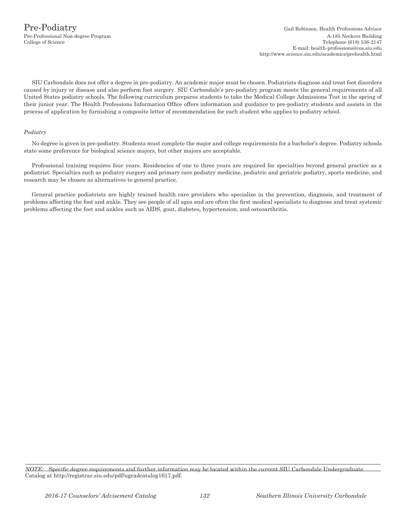SIU Carbondale does not offer a degree in pre-podiatry. An academic major must be chosen. Podiatrists diagnose and treat foot disorders caused by injury or disease and also perform foot surgery. SIU Carbondale's pre-podiatry program meets the general requirements of all United States podiatry schools. The following curriculum prepares students to take the Medical College Admissions Test in the spring of their junior year. The Health Professions Information Office offers information and guidance to pre-podiatry students and assists in the process of application by furnishing a composite letter of recommendation for each student who applies to podiatry school.

### *Podiatry*

No degree is given in pre-podiatry. Students must complete the major and college requirements for a bachelor's degree. Podiatry schools state some preference for biological science majors, but other majors are acceptable.

Professional training requires four years. Residencies of one to three years are required for specialties beyond general practice as a podiatrist. Specialties such as podiatry surgery and primary care podiatry medicine, pediatric and geriatric podiatry, sports medicine, and research may be chosen as alternatives to general practice.

General practice podiatrists are highly trained health care providers who specialize in the prevention, diagnosis, and treatment of problems affecting the foot and ankle. They see people of all ages and are often the first medical specialists to diagnose and treat systemic problems affecting the feet and ankles such as AIDS, gout, diabetes, hypertension, and osteoarthritis.

*NOTE:* Specific degree requirements and further information may be located within the current SIU Carbondale Undergraduate Catalog at http://registrar.siu.edu/pdf/ugradcatalog1617.pdf.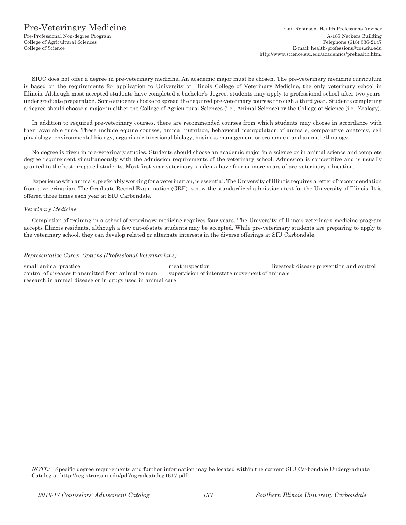## Pre-Veterinary Medicine Gail Robinson, Health Professions Advisor

College of Agricultural Sciences

SIUC does not offer a degree in pre-veterinary medicine. An academic major must be chosen. The pre-veterinary medicine curriculum is based on the requirements for application to University of Illinois College of Veterinary Medicine, the only veterinary school in Illinois. Although most accepted students have completed a bachelor's degree, students may apply to professional school after two years' undergraduate preparation. Some students choose to spread the required pre-veterinary courses through a third year. Students completing a degree should choose a major in either the College of Agricultural Sciences (i.e., Animal Science) or the College of Science (i.e., Zoology).

In addition to required pre-veterinary courses, there are recommended courses from which students may choose in accordance with their available time. These include equine courses, animal nutrition, behavioral manipulation of animals, comparative anatomy, cell physiology, environmental biology, organismic functional biology, business management or economics, and animal ethnology.

No degree is given in pre-veterinary studies. Students should choose an academic major in a science or in animal science and complete degree requirement simultaneously with the admission requirements of the veterinary school. Admission is competitive and is usually granted to the best-prepared students. Most first-year veterinary students have four or more years of pre-veterinary education.

Experience with animals, preferably working for a veterinarian, is essential. The University of Illinois requires a letter of recommendation from a veterinarian. The Graduate Record Examination (GRE) is now the standardized admissions test for the University of Illinois. It is offered three times each year at SIU Carbondale.

### *Veterinary Medicine*

Completion of training in a school of veterinary medicine requires four years. The University of Illinois veterinary medicine program accepts Illinois residents, although a few out-of-state students may be accepted. While pre-veterinary students are preparing to apply to the veterinary school, they can develop related or alternate interests in the diverse offerings at SIU Carbondale.

### *Representative Career Options (Professional Veterinarians)*

small animal practice meat inspection meat inspection livestock disease prevention and control control of diseases transmitted from animal to man supervision of interstate movement of animals research in animal disease or in drugs used in animal care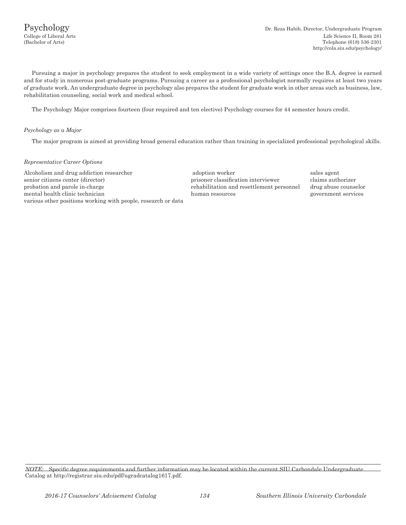Pursuing a major in psychology prepares the student to seek employment in a wide variety of settings once the B.A. degree is earned and for study in numerous post-graduate programs. Pursuing a career as a professional psychologist normally requires at least two years of graduate work. An undergraduate degree in psychology also prepares the student for graduate work in other areas such as business, law, rehabilitation counseling, social work and medical school.

The Psychology Major comprises fourteen (four required and ten elective) Psychology courses for 44 semester hours credit.

### *Psychology as a Major*

The major program is aimed at providing broad general education rather than training in specialized professional psychological skills.

### *Representative Career Options*

Alcoholism and drug addiction researcher adoption worker sales agent sales agent senior citizens center (director) prisoner classification interviewer claims authorizer probation and parole in-charge rehabilitation and resettlement personnel drug abuse counselor mental health clinic technician human resources government services various other positions working with people, research or data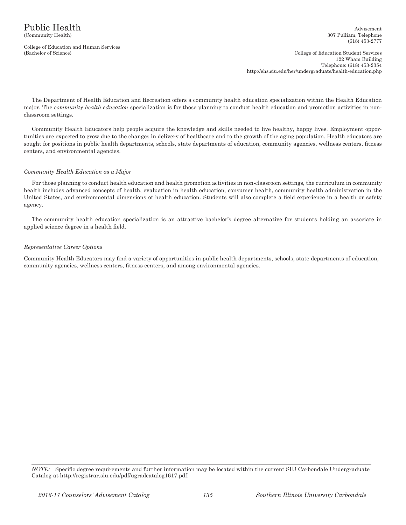College of Education and Human Services

(Bachelor of Science) College of Education Student Services 122 Wham Building Telephone: (618) 453-2354 http://ehs.siu.edu/her/undergraduate/health-education.php

The Department of Health Education and Recreation offers a community health education specialization within the Health Education major. The *community health education* specialization is for those planning to conduct health education and promotion activities in nonclassroom settings.

Community Health Educators help people acquire the knowledge and skills needed to live healthy, happy lives. Employment opportunities are expected to grow due to the changes in delivery of healthcare and to the growth of the aging population. Health educators are sought for positions in public health departments, schools, state departments of education, community agencies, wellness centers, fitness centers, and environmental agencies.

### *Community Health Education as a Major*

For those planning to conduct health education and health promotion activities in non-classroom settings, the curriculum in community health includes advanced concepts of health, evaluation in health education, consumer health, community health administration in the United States, and environmental dimensions of health education. Students will also complete a field experience in a health or safety agency.

The community health education specialization is an attractive bachelor's degree alternative for students holding an associate in applied science degree in a health field.

### *Representative Career Options*

Community Health Educators may find a variety of opportunities in public health departments, schools, state departments of education, community agencies, wellness centers, fitness centers, and among environmental agencies.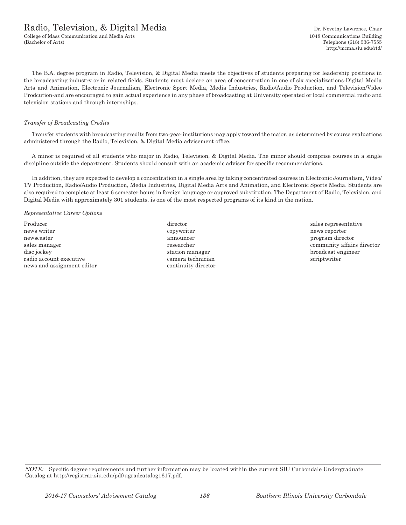### Radio, Television, & Digital Media Dr. Novotny Lawrence, Chair

College of Mass Communication and Media Arts 1048 Communications Building (Bachelor of Arts) Telephone (618) 536-7555

http://mcma.siu.edu/rtd/

The B.A. degree program in Radio, Television, & Digital Media meets the objectives of students preparing for leadership positions in the broadcasting industry or in related fields. Students must declare an area of concentration in one of six specializations-Digital Media Arts and Animation, Electronic Journalism, Electronic Sport Media, Media Industries, Radio/Audio Production, and Television/Video Prodcution-and are encouraged to gain actual experience in any phase of broadcasting at University operated or local commercial radio and television stations and through internships.

### *Transfer of Broadcasting Credits*

Transfer students with broadcasting credits from two-year institutions may apply toward the major, as determined by course evaluations administered through the Radio, Television, & Digital Media advisement office.

A minor is required of all students who major in Radio, Television, & Digital Media. The minor should comprise courses in a single discipline outside the department. Students should consult with an academic adviser for specific recommendations.

In addition, they are expected to develop a concentration in a single area by taking concentrated courses in Electronic Journalism, Video/ TV Production, Radio/Audio Production, Media Industries, Digital Media Arts and Animation, and Electronic Sports Media. Students are also required to complete at least 6 semester hours in foreign language or approved substitution. The Department of Radio, Television, and Digital Media with approximately 301 students, is one of the most respected programs of its kind in the nation.

*Representative Career Options*

Producer and the director director of the sales representative sales representative news writer the component of the component of the copywriter the copywriter that the control of the control of the control of the control of the control of the control of the control of the control of the control of the co newscaster announcer announcer program director sales manager **researcher** researcher community affairs director disc jockey station manager broadcast engineer radio account executive camera technician scriptwriter news and assignment editor continuity director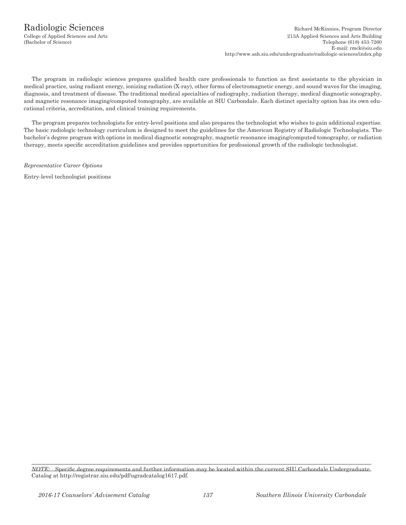The program in radiologic sciences prepares qualified health care professionals to function as first assistants to the physician in medical practice, using radiant energy, ionizing radiation (X-ray), other forms of electromagnetic energy, and sound waves for the imaging, diagnosis, and treatment of disease. The traditional medical specialties of radiography, radiation therapy, medical diagnostic sonography, and magnetic resonance imaging/computed tomography, are available at SIU Carbondale. Each distinct specialty option has its own educational criteria, accreditation, and clinical training requirements.

The program prepares technologists for entry-level positions and also prepares the technologist who wishes to gain additional expertise. The basic radiologic technology curriculum is designed to meet the guidelines for the American Registry of Radiologic Technologists. The bachelor's degree program with options in medical diagnostic sonography, magnetic resonance imaging/computed tomography, or radiation therapy, meets specific accreditation guidelines and provides opportunities for professional growth of the radiologic technologist.

*Representative Career Options*

Entry-level technologist positions

*NOTE:* Specific degree requirements and further information may be located within the current SIU Carbondale Undergraduate Catalog at http://registrar.siu.edu/pdf/ugradcatalog1617.pdf.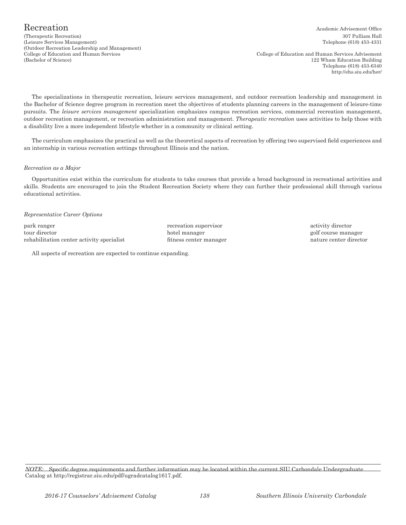(Therapeutic Recreation) 307 Pulliam Hall (Leisure Services Management) Telephone (618) 453-4331 (Outdoor Recreation Leadership and Management)

College of Education and Human Services College of Education and Human Services Advisement (Bachelor of Science) 122 Wham Education Building Telephone (618) 453-6340 http://ehs.siu.edu/her/

The specializations in therapeutic recreation, leisure services management, and outdoor recreation leadership and management in the Bachelor of Science degree program in recreation meet the objectives of students planning careers in the management of leisure-time pursuits. The *leisure services management* specialization emphasizes campus recreation services, commercial recreation management, outdoor recreation management, or recreation administration and management. *Therapeutic recreation* uses activities to help those with a disability live a more independent lifestyle whether in a community or clinical setting.

The curriculum emphasizes the practical as well as the theoretical aspects of recreation by offering two supervised field experiences and an internship in various recreation settings throughout Illinois and the nation.

### *Recreation as a Major*

Opportunities exist within the curriculum for students to take courses that provide a broad background in recreational activities and skills. Students are encouraged to join the Student Recreation Society where they can further their professional skill through various educational activities.

### *Representative Career Options*

park ranger **recreation** supervisor activity director tour director hotel manager golf course manager rehabilitation center activity specialist fitness center manager nature center director

All aspects of recreation are expected to continue expanding.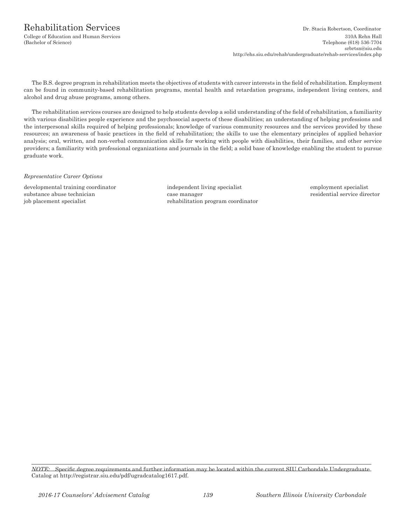### Rehabilitation Services Dr. Stacia Robertson, Coordinator

College of Education and Human Services 310A Rehn Hall Telephone (618) 536-7704 srbrtsn@siu.edu http://ehs.siu.edu/rehab/undergraduate/rehab-services/index.php

The B.S. degree program in rehabilitation meets the objectives of students with career interests in the field of rehabilitation. Employment can be found in community-based rehabilitation programs, mental health and retardation programs, independent living centers, and alcohol and drug abuse programs, among others.

The rehabilitation services courses are designed to help students develop a solid understanding of the field of rehabilitation, a familiarity with various disabilities people experience and the psychosocial aspects of these disabilities; an understanding of helping professions and the interpersonal skills required of helping professionals; knowledge of various community resources and the services provided by these resources; an awareness of basic practices in the field of rehabilitation; the skills to use the elementary principles of applied behavior analysis; oral, written, and non-verbal communication skills for working with people with disabilities, their families, and other service providers; a familiarity with professional organizations and journals in the field; a solid base of knowledge enabling the student to pursue graduate work.

*Representative Career Options*

developmental training coordinator independent living specialist employment specialist substance abuse technician case manager case manager residential service director job placement specialist rehabilitation program coordinator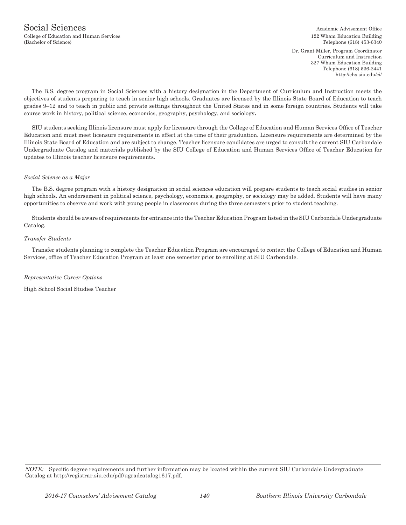Dr. Grant Miller, Program Coordinator Curriculum and Instruction 327 Wham Education Building Telephone (618) 536-2441 http://ehs.siu.edu/ci/

The B.S. degree program in Social Sciences with a history designation in the Department of Curriculum and Instruction meets the objectives of students preparing to teach in senior high schools. Graduates are licensed by the Illinois State Board of Education to teach grades 9–12 and to teach in public and private settings throughout the United States and in some foreign countries. Students will take course work in history, political science, economics, geography, psychology, and sociology**.**

SIU students seeking Illinois licensure must apply for licensure through the College of Education and Human Services Office of Teacher Education and must meet licensure requirements in effect at the time of their graduation. Licensure requirements are determined by the Illinois State Board of Education and are subject to change. Teacher licensure candidates are urged to consult the current SIU Carbondale Undergraduate Catalog and materials published by the SIU College of Education and Human Services Office of Teacher Education for updates to Illinois teacher licensure requirements.

### *Social Science as a Major*

The B.S. degree program with a history designation in social sciences education will prepare students to teach social studies in senior high schools. An endorsement in political science, psychology, economics, geography, or sociology may be added. Students will have many opportunities to observe and work with young people in classrooms during the three semesters prior to student teaching.

Students should be aware of requirements for entrance into the Teacher Education Program listed in the SIU Carbondale Undergraduate Catalog.

### *Transfer Students*

Transfer students planning to complete the Teacher Education Program are encouraged to contact the College of Education and Human Services, office of Teacher Education Program at least one semester prior to enrolling at SIU Carbondale.

### *Representative Career Options*

High School Social Studies Teacher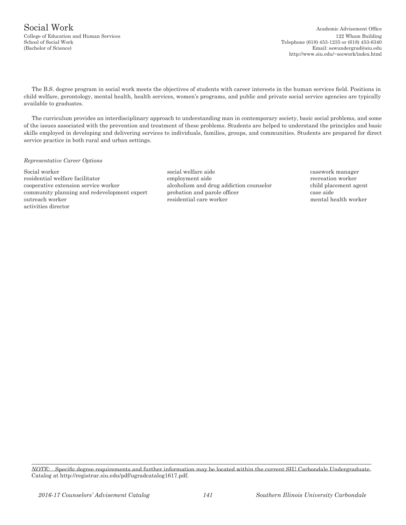# Social Work Academic Advisement Office

The B.S. degree program in social work meets the objectives of students with career interests in the human services field. Positions in child welfare, gerontology, mental health, health services, women's programs, and public and private social service agencies are typically available to graduates.

The curriculum provides an interdisciplinary approach to understanding man in contemporary society, basic social problems, and some of the issues associated with the prevention and treatment of these problems. Students are helped to understand the principles and basic skills employed in developing and delivering services to individuals, families, groups, and communities. Students are prepared for direct service practice in both rural and urban settings.

### *Representative Career Options*

Social worker social welfare aide casework manager residential welfare facilitator employment aide recreation worker cooperative extension service worker alcoholism and drug addiction counselor child placement agent community planning and redevelopment expert probation and parole officer case aide outreach worker residential care worker mental health worker activities director

*NOTE:* Specific degree requirements and further information may be located within the current SIU Carbondale Undergraduate Catalog at http://registrar.siu.edu/pdf/ugradcatalog1617.pdf.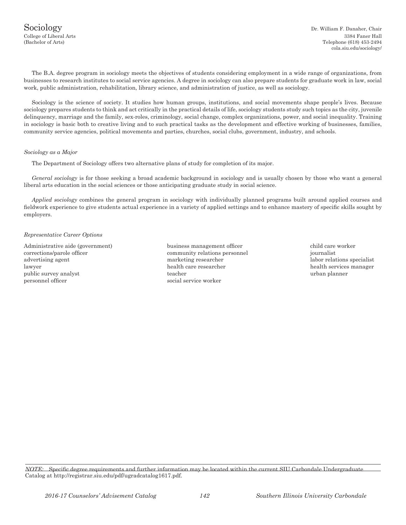The B.A. degree program in sociology meets the objectives of students considering employment in a wide range of organizations, from businesses to research institutes to social service agencies. A degree in sociology can also prepare students for graduate work in law, social work, public administration, rehabilitation, library science, and administration of justice, as well as sociology.

Sociology is the science of society. It studies how human groups, institutions, and social movements shape people's lives. Because sociology prepares students to think and act critically in the practical details of life, sociology students study such topics as the city, juvenile delinquency, marriage and the family, sex-roles, criminology, social change, complex organizations, power, and social inequality. Training in sociology is basic both to creative living and to such practical tasks as the development and effective working of businesses, families, community service agencies, political movements and parties, churches, social clubs, government, industry, and schools.

### *Sociology as a Major*

The Department of Sociology offers two alternative plans of study for completion of its major.

*General sociology* is for those seeking a broad academic background in sociology and is usually chosen by those who want a general liberal arts education in the social sciences or those anticipating graduate study in social science.

*Applied sociology* combines the general program in sociology with individually planned programs built around applied courses and fieldwork experience to give students actual experience in a variety of applied settings and to enhance mastery of specific skills sought by employers.

### *Representative Career Options*

Administrative aide (government) business management officer child care worker corrections/parole officer community relations personnel journalist advertising agent marketing researcher labor relations specialist lawyer health care researcher health services manager public survey analyst teacher urban planner personnel officer social service worker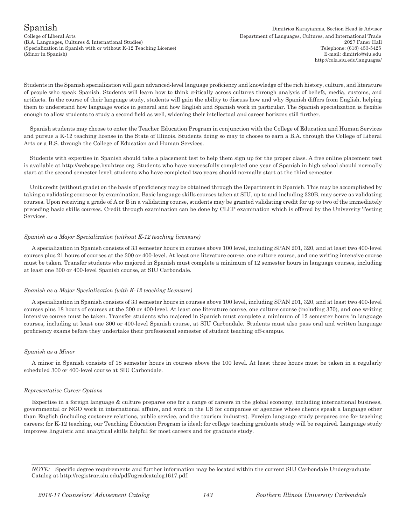College of Liberal Arts Department of Languages, Cultures, and International Trade (B.A. Languages, Cultures & International Studies) 2027 Faner Hall (Specialization in Spanish with or without K-12 Teaching License) Telephone: (618) 453-5425 (Minor in Spanish) E-mail: dimitrio*@*siu.edu

Students in the Spanish specialization will gain advanced-level language proficiency and knowledge of the rich history, culture, and literature of people who speak Spanish. Students will learn how to think critically across cultures through analysis of beliefs, media, customs, and artifacts. In the course of their language study, students will gain the ability to discuss how and why Spanish differs from English, helping them to understand how language works in general and how English and Spanish work in particular. The Spanish specialization is flexible enough to allow students to study a second field as well, widening their intellectual and career horizons still further.

Spanish students may choose to enter the Teacher Education Program in conjunction with the College of Education and Human Services and pursue a K-12 teaching license in the State of Illinois. Students doing so may to choose to earn a B.A. through the College of Liberal Arts or a B.S. through the College of Education and Human Services.

Students with expertise in Spanish should take a placement test to help them sign up for the proper class. A free online placement test is available at http://webcape.byuhtrsc.org. Students who have successfully completed one year of Spanish in high school should normally start at the second semester level; students who have completed two years should normally start at the third semester.

Unit credit (without grade) on the basis of proficiency may be obtained through the Department in Spanish. This may be accomplished by taking a validating course or by examination. Basic language skills courses taken at SIU, up to and including 320B, may serve as validating courses. Upon receiving a grade of A or B in a validating course, students may be granted validating credit for up to two of the immediately preceding basic skills courses. Credit through examination can be done by CLEP examination which is offered by the University Testing Services.

### *Spanish as a Major Specialization (without K-12 teaching licensure)*

A specialization in Spanish consists of 33 semester hours in courses above 100 level, including SPAN 201, 320, and at least two 400-level courses plus 21 hours of courses at the 300 or 400-level. At least one literature course, one culture course, and one writing intensive course must be taken. Transfer students who majored in Spanish must complete a minimum of 12 semester hours in language courses, including at least one 300 or 400-level Spanish course, at SIU Carbondale.

### *Spanish as a Major Specialization (with K-12 teaching licensure)*

A specialization in Spanish consists of 33 semester hours in courses above 100 level, including SPAN 201, 320, and at least two 400-level courses plus 18 hours of courses at the 300 or 400-level. At least one literature course, one culture course (including 370), and one writing intensive course must be taken. Transfer students who majored in Spanish must complete a minimum of 12 semester hours in language courses, including at least one 300 or 400-level Spanish course, at SIU Carbondale. Students must also pass oral and written language proficiency exams before they undertake their professional semester of student teaching off-campus.

### *Spanish as a Minor*

A minor in Spanish consists of 18 semester hours in courses above the 100 level. At least three hours must be taken in a regularly scheduled 300 or 400-level course at SIU Carbondale.

### *Representative Career Options*

Expertise in a foreign language & culture prepares one for a range of careers in the global economy, including international business, governmental or NGO work in international affairs, and work in the US for companies or agencies whose clients speak a language other than English (including customer relations, public service, and the tourism industry). Foreign language study prepares one for teaching careers: for K-12 teaching, our Teaching Education Program is ideal; for college teaching graduate study will be required. Language study improves linguistic and analytical skills helpful for most careers and for graduate study.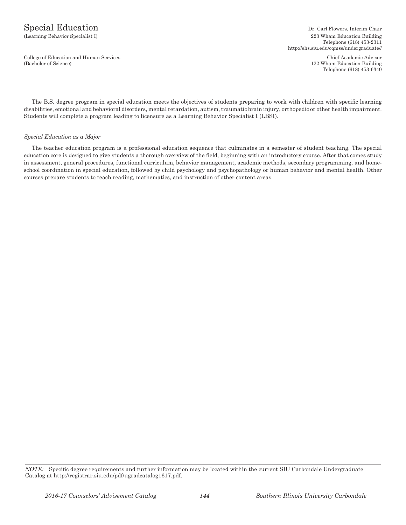College of Education and Human Services Chief Academic Advisor<br>
(Bachelor of Science) 22 Wham Education Building

(Learning Behavior Specialist I) 223 Wham Education Building Telephone (618) 453-2311 http://ehs.siu.edu/cqmse/undergraduate//

> 122 Wham Education Building Telephone (618) 453-6340

The B.S. degree program in special education meets the objectives of students preparing to work with children with specific learning disabilities, emotional and behavioral disorders, mental retardation, autism, traumatic brain injury, orthopedic or other health impairment. Students will complete a program leading to licensure as a Learning Behavior Specialist I (LBSI).

### *Special Education as a Major*

The teacher education program is a professional education sequence that culminates in a semester of student teaching. The special education core is designed to give students a thorough overview of the field, beginning with an introductory course. After that comes study in assessment, general procedures, functional curriculum, behavior management, academic methods, secondary programming, and homeschool coordination in special education, followed by child psychology and psychopathology or human behavior and mental health. Other courses prepare students to teach reading, mathematics, and instruction of other content areas.

*NOTE:* Specific degree requirements and further information may be located within the current SIU Carbondale Undergraduate Catalog at http://registrar.siu.edu/pdf/ugradcatalog1617.pdf.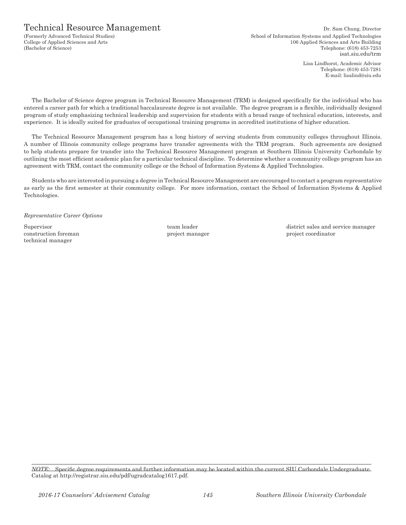## Technical Resource Management Dr. Sam Chung, Director

(Formerly Advanced Technical Studies) School of Information Systems and Applied Technologies College of Applied Sciences and Arts 106 Applied Sciences and Arts Building (Bachelor of Science) Telephone: (618) 453-7253 isat.siu.edu/trm

> Lisa Lindhorst, Academic Advisor Telephone: (618) 453-7281 E-mail: lisalind@siu.edu

The Bachelor of Science degree program in Technical Resource Management (TRM) is designed specifically for the individual who has entered a career path for which a traditional baccalaureate degree is not available. The degree program is a flexible, individually designed program of study emphasizing technical leadership and supervision for students with a broad range of technical education, interests, and experience. It is ideally suited for graduates of occupational training programs in accredited institutions of higher education.

The Technical Resource Management program has a long history of serving students from community colleges throughout Illinois. A number of Illinois community college programs have transfer agreements with the TRM program. Such agreements are designed to help students prepare for transfer into the Technical Resource Management program at Southern Illinois University Carbondale by outlining the most efficient academic plan for a particular technical discipline. To determine whether a community college program has an agreement with TRM, contact the community college or the School of Information Systems & Applied Technologies.

Students who are interested in pursuing a degree in Technical Resource Management are encouraged to contact a program representative as early as the first semester at their community college. For more information, contact the School of Information Systems & Applied Technologies.

*Representative Career Options*

construction foreman project manager project manager project coordinator technical manager

Supervisor **Example 2** team leader team and service manager district sales and service manager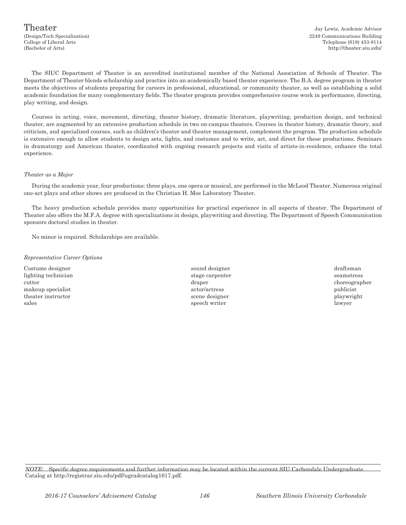(Design/Tech Specialization) 2249 Communications Building College of Liberal Arts Telephone (618) 453-8114 (Bachelor of Arts) http://theater.siu.edu/

The SIUC Department of Theater is an accredited institutional member of the National Association of Schools of Theater. The Department of Theater blends scholarship and practice into an academically based theater experience. The B.A. degree program in theater meets the objectives of students preparing for careers in professional, educational, or community theater, as well as establishing a solid academic foundation for many complementary fields. The theater program provides comprehensive course work in performance, directing, play writing, and design.

Courses in acting, voice, movement, directing, theater history, dramatic literature, playwriting, production design, and technical theater, are augmented by an extensive production schedule in two on-campus theaters. Courses in theater history, dramatic theory, and criticism, and specialized courses, such as children's theater and theater management, complement the program. The production schedule is extensive enough to allow students to design sets, lights, and costumes and to write, act, and direct for these productions. Seminars in dramaturgy and American theater, coordinated with ongoing research projects and visits of artists-in-residence, enhance the total experience.

#### *Theater as a Major*

During the academic year, four productions: three plays, one opera or musical, are performed in the McLeod Theater. Numerous original one-act plays and other shows are produced in the Christian H. Moe Laboratory Theater.

The heavy production schedule provides many opportunities for practical experience in all aspects of theater. The Department of Theater also offers the M.F.A. degree with specializations in design, playwriting and directing. The Department of Speech Communication sponsors doctoral studies in theater.

No minor is required. Scholarships are available.

#### *Representative Career Options*

lighting technician stage carpenter seamstress seamstress seamstress seamstress cutter draper choreographer makeup specialist actor/actress publicist theater instructor scene designer scene designer playwright sales speech writer and the lawyer lawyer

- Costume designer sound designer draftsman
	-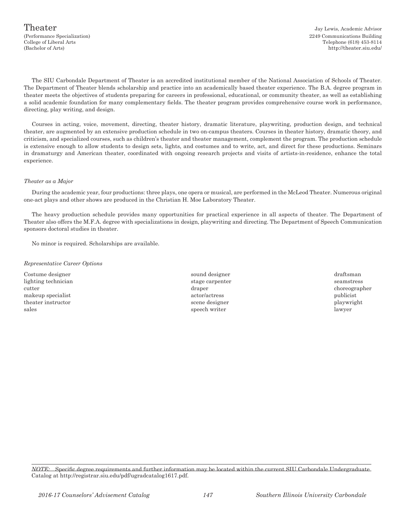The SIU Carbondale Department of Theater is an accredited institutional member of the National Association of Schools of Theater. The Department of Theater blends scholarship and practice into an academically based theater experience. The B.A. degree program in theater meets the objectives of students preparing for careers in professional, educational, or community theater, as well as establishing a solid academic foundation for many complementary fields. The theater program provides comprehensive course work in performance, directing, play writing, and design.

Courses in acting, voice, movement, directing, theater history, dramatic literature, playwriting, production design, and technical theater, are augmented by an extensive production schedule in two on-campus theaters. Courses in theater history, dramatic theory, and criticism, and specialized courses, such as children's theater and theater management, complement the program. The production schedule is extensive enough to allow students to design sets, lights, and costumes and to write, act, and direct for these productions. Seminars in dramaturgy and American theater, coordinated with ongoing research projects and visits of artists-in-residence, enhance the total experience.

### *Theater as a Major*

During the academic year, four productions: three plays, one opera or musical, are performed in the McLeod Theater. Numerous original one-act plays and other shows are produced in the Christian H. Moe Laboratory Theater.

The heavy production schedule provides many opportunities for practical experience in all aspects of theater. The Department of Theater also offers the M.F.A. degree with specializations in design, playwriting and directing. The Department of Speech Communication sponsors doctoral studies in theater.

No minor is required. Scholarships are available.

#### *Representative Career Options*

Costume designer sound designer draftsman lighting technician stage carpenter seamstress seamstress cutter draper choreographer makeup specialist actor/actress publicist theater instructor scene designer playwright scene designer playwright

- sales and the speech writer that is speech writer that is a speech writer that  $\sim$  lawyer
-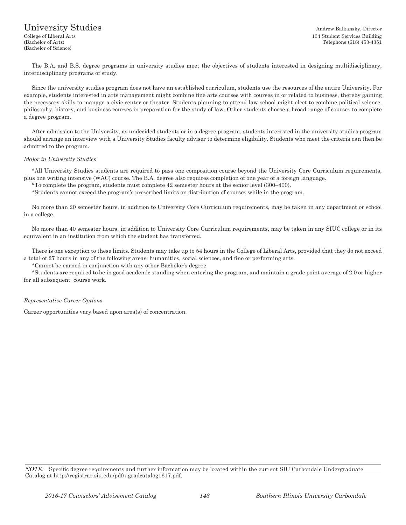# University Studies Andrew Balkansky, Director

(Bachelor of Science)

College of Liberal Arts 134 Student Services Building (Bachelor of Arts) Telephone (618) 453-4351

The B.A. and B.S. degree programs in university studies meet the objectives of students interested in designing multidisciplinary, interdisciplinary programs of study.

Since the university studies program does not have an established curriculum, students use the resources of the entire University. For example, students interested in arts management might combine fine arts courses with courses in or related to business, thereby gaining the necessary skills to manage a civic center or theater. Students planning to attend law school might elect to combine political science, philosophy, history, and business courses in preparation for the study of law. Other students choose a broad range of courses to complete a degree program.

After admission to the University, as undecided students or in a degree program, students interested in the university studies program should arrange an interview with a University Studies faculty adviser to determine eligibility. Students who meet the criteria can then be admitted to the program.

#### *Major in University Studies*

\*All University Studies students are required to pass one composition course beyond the University Core Curriculum requirements, plus one writing intensive (WAC) course. The B.A. degree also requires completion of one year of a foreign language.

\*To complete the program, students must complete 42 semester hours at the senior level (300–400).

\*Students cannot exceed the program's prescribed limits on distribution of courses while in the program.

No more than 20 semester hours, in addition to University Core Curriculum requirements, may be taken in any department or school in a college.

No more than 40 semester hours, in addition to University Core Curriculum requirements, may be taken in any SIUC college or in its equivalent in an institution from which the student has transferred.

There is one exception to these limits. Students may take up to 54 hours in the College of Liberal Arts, provided that they do not exceed a total of 27 hours in any of the following areas: humanities, social sciences, and fine or performing arts.

\*Cannot be earned in conjunction with any other Bachelor's degree.

\*Students are required to be in good academic standing when entering the program, and maintain a grade point average of 2.0 or higher for all subsequent course work.

#### *Representative Career Options*

Career opportunities vary based upon area(s) of concentration.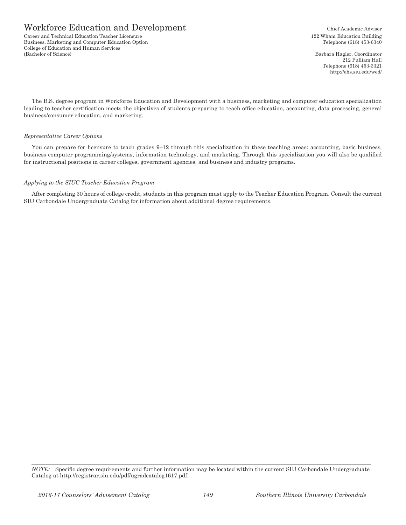Career and Technical Education Teacher Licensure 122 Wham Education Building Business, Marketing and Computer Education Option Telephone (618) 453-6340 College of Education and Human Services (Bachelor of Science) Barbara Hagler, Coordinator

212 Pulliam Hall Telephone (618) 453-3321 http://ehs.siu.edu/wed/

The B.S. degree program in Workforce Education and Development with a business, marketing and computer education specialization leading to teacher certification meets the objectives of students preparing to teach office education, accounting, data processing, general business/consumer education, and marketing.

## *Representative Career Options*

You can prepare for licensure to teach grades 9–12 through this specialization in these teaching areas: accounting, basic business, business computer programming/systems, information technology, and marketing. Through this specialization you will also be qualified for instructional positions in career colleges, government agencies, and business and industry programs.

### *Applying to the SIUC Teacher Education Program*

After completing 30 hours of college credit, students in this program must apply to the Teacher Education Program. Consult the current SIU Carbondale Undergraduate Catalog for information about additional degree requirements.

*NOTE:* Specific degree requirements and further information may be located within the current SIU Carbondale Undergraduate Catalog at http://registrar.siu.edu/pdf/ugradcatalog1617.pdf.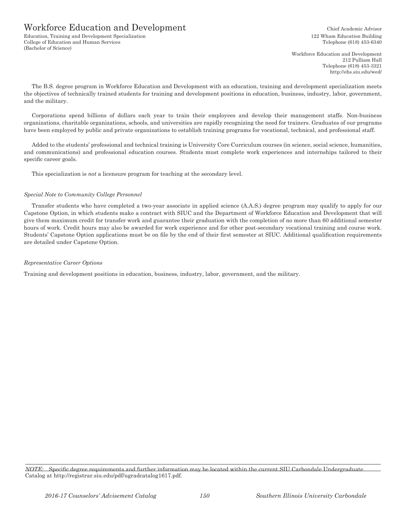Education, Training and Development Specialization 122 Wham Education Building College of Education and Human Services Telephone (618) 453-6340 (Bachelor of Science)

Workforce Education and Development 212 Pulliam Hall Telephone (618) 453-3321 http://ehs.siu.edu/wed/

The B.S. degree program in Workforce Education and Development with an education, training and development specialization meets the objectives of technically trained students for training and development positions in education, business, industry, labor, government, and the military.

Corporations spend billions of dollars each year to train their employees and develop their management staffs. Non-business organizations, charitable organizations, schools, and universities are rapidly recognizing the need for trainers. Graduates of our programs have been employed by public and private organizations to establish training programs for vocational, technical, and professional staff.

Added to the students' professional and technical training is University Core Curriculum courses (in science, social science, humanities, and communications) and professional education courses. Students must complete work experiences and internships tailored to their specific career goals.

This specialization is *not* a licensure program for teaching at the secondary level.

## *Special Note to Community College Personnel*

Transfer students who have completed a two-year associate in applied science (A.A.S.) degree program may qualify to apply for our Capstone Option, in which students make a contract with SIUC and the Department of Workforce Education and Development that will give them maximum credit for transfer work and guarantee their graduation with the completion of no more than 60 additional semester hours of work. Credit hours may also be awarded for work experience and for other post-secondary vocational training and course work. Students' Capstone Option applications must be on file by the end of their first semester at SIUC. Additional qualification requirements are detailed under Capstone Option.

## *Representative Career Options*

Training and development positions in education, business, industry, labor, government, and the military.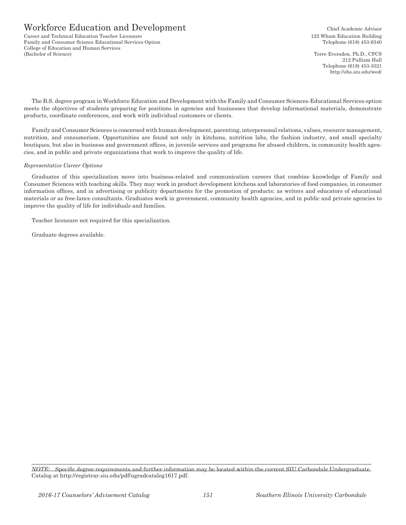Career and Technical Education Teacher Licensure 122 Wham Education Building Family and Consumer Science Educational Services Option Telephone (618) 453-6340 College of Education and Human Services (Bachelor of Science) Terre Eversden, Ph.D., CFCS

212 Pulliam Hall Telephone (618) 453-3321 http://ehs.siu.edu/wed/

The B.S. degree program in Workforce Education and Development with the Family and Consumer Sciences-Educational Services option meets the objectives of students preparing for positions in agencies and businesses that develop informational materials, demonstrate products, coordinate conferences, and work with individual customers or clients.

Family and Consumer Sciences is concerned with human development, parenting, interpersonal relations, values, resource management, nutrition, and consumerism. Opportunities are found not only in kitchens, nutrition labs, the fashion industry, and small specialty boutiques, but also in business and government offices, in juvenile services and programs for abused children, in community health agencies, and in public and private organizations that work to improve the quality of life.

### *Representative Career Options*

Graduates of this specialization move into business-related and communication careers that combine knowledge of Family and Consumer Sciences with teaching skills. They may work in product development kitchens and laboratories of food companies, in consumer information offices, and in advertising or publicity departments for the promotion of products; as writers and educators of educational materials or as free-lance consultants. Graduates work in government, community health agencies, and in public and private agencies to improve the quality of life for individuals and families.

Teacher licensure not required for this specialization.

Graduate degrees available.

*NOTE:* Specific degree requirements and further information may be located within the current SIU Carbondale Undergraduate Catalog at http://registrar.siu.edu/pdf/ugradcatalog1617.pdf.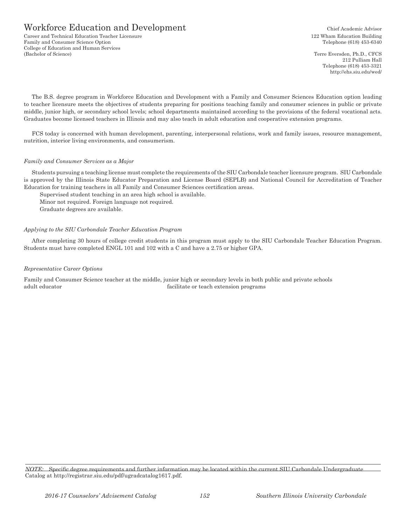Career and Technical Education Teacher Licensure 122 Wham Education Building Family and Consumer Science Option Telephone (618) 453-6340 College of Education and Human Services (Bachelor of Science) Terre Eversden, Ph.D., CFCS

212 Pulliam Hall Telephone (618) 453-3321 http://ehs.siu.edu/wed/

The B.S. degree program in Workforce Education and Development with a Family and Consumer Sciences Education option leading to teacher licensure meets the objectives of students preparing for positions teaching family and consumer sciences in public or private middle, junior high, or secondary school levels; school departments maintained according to the provisions of the federal vocational acts. Graduates become licensed teachers in Illinois and may also teach in adult education and cooperative extension programs.

FCS today is concerned with human development, parenting, interpersonal relations, work and family issues, resource management, nutrition, interior living environments, and consumerism.

## *Family and Consumer Services as a Major*

Students pursuing a teaching license must complete the requirements of the SIU Carbondale teacher licensure program. SIU Carbondale is approved by the Illinois State Educator Preparation and License Board (SEPLB) and National Council for Accreditation of Teacher Education for training teachers in all Family and Consumer Sciences certification areas.

Supervised student teaching in an area high school is available.

Minor not required. Foreign language not required.

Graduate degrees are available.

## *Applying to the SIU Carbondale Teacher Education Program*

After completing 30 hours of college credit students in this program must apply to the SIU Carbondale Teacher Education Program. Students must have completed ENGL 101 and 102 with a C and have a 2.75 or higher GPA.

## *Representative Career Options*

Family and Consumer Science teacher at the middle, junior high or secondary levels in both public and private schools adult educator facilitate or teach extension programs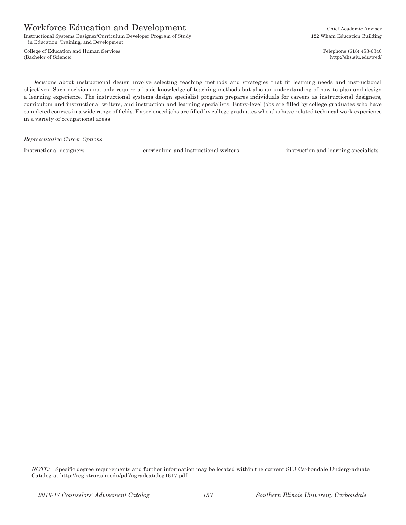Instructional Systems Designer/Curriculum Developer Program of Study 122 Wham Education Building in Education, Training, and Development

College of Education and Human Services Telephone (618) 453-6340 (Bachelor of Science) http://ehs.siu.edu/wed/

Decisions about instructional design involve selecting teaching methods and strategies that fit learning needs and instructional objectives. Such decisions not only require a basic knowledge of teaching methods but also an understanding of how to plan and design a learning experience. The instructional systems design specialist program prepares individuals for careers as instructional designers, curriculum and instructional writers, and instruction and learning specialists. Entry-level jobs are filled by college graduates who have completed courses in a wide range of fields. Experienced jobs are filled by college graduates who also have related technical work experience in a variety of occupational areas.

*Representative Career Options*

Instructional designers curriculum and instructional writers instruction and learning specialists

*NOTE:* Specific degree requirements and further information may be located within the current SIU Carbondale Undergraduate Catalog at http://registrar.siu.edu/pdf/ugradcatalog1617.pdf.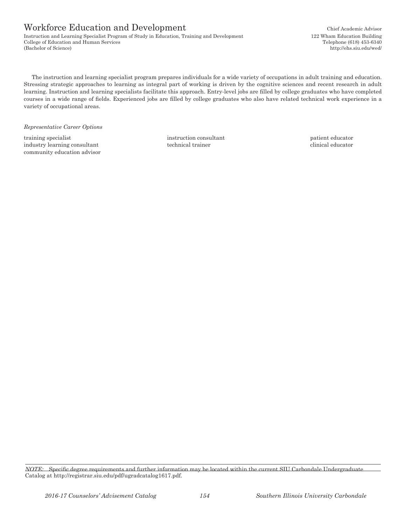Instruction and Learning Specialist Program of Study in Education, Training and Development 122 Wham Education Building College of Education and Human Services Telephone (618) 453-6340 (Bachelor of Science) http://ehs.siu.edu/wed/

The instruction and learning specialist program prepares individuals for a wide variety of occupations in adult training and education. Stressing strategic approaches to learning as integral part of working is driven by the cognitive sciences and recent research in adult learning. Instruction and learning specialists facilitate this approach. Entry-level jobs are filled by college graduates who have completed courses in a wide range of fields. Experienced jobs are filled by college graduates who also have related technical work experience in a variety of occupational areas.

*Representative Career Options*

training specialist instruction consultant intervention consultant patient educator industry learning consultant technical trainer  $\blacksquare$ industry learning consultant technical trainer community education advisor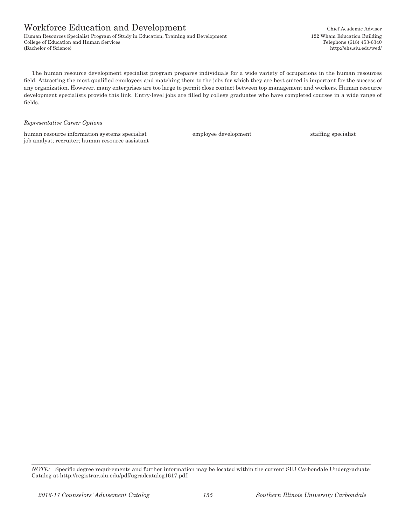Human Resources Specialist Program of Study in Education, Training and Development 122 Wham Education Building College of Education and Human Services Telephone (618) 453-6340 (Bachelor of Science) http://ehs.siu.edu/wed/

The human resource development specialist program prepares individuals for a wide variety of occupations in the human resources field. Attracting the most qualified employees and matching them to the jobs for which they are best suited is important for the success of any organization. However, many enterprises are too large to permit close contact between top management and workers. Human resource development specialists provide this link. Entry-level jobs are filled by college graduates who have completed courses in a wide range of fields.

#### *Representative Career Options*

human resource information systems specialist employee development staffing specialist job analyst; recruiter; human resource assistant

*NOTE:* Specific degree requirements and further information may be located within the current SIU Carbondale Undergraduate Catalog at http://registrar.siu.edu/pdf/ugradcatalog1617.pdf.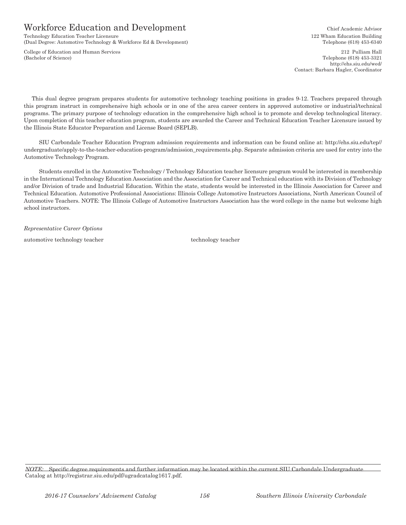Technology Education Teacher Licensure 122 Wham Education Building (Dual Degree: Automotive Technology & Workforce Ed & Development) Telephone (618) 453-6340

(Bachelor of Science) Telephone (618) 453-3321

College of Education and Human Services 212 Pulliam Hall http://ehs.siu.edu/wed/ Contact: Barbara Hagler, Coordinator

This dual degree program prepares students for automotive technology teaching positions in grades 9-12. Teachers prepared through this program instruct in comprehensive high schools or in one of the area career centers in approved automotive or industrial/technical programs. The primary purpose of technology education in the comprehensive high school is to promote and develop technological literacy. Upon completion of this teacher education program, students are awarded the Career and Technical Education Teacher Licensure issued by the Illinois State Educator Preparation and License Board (SEPLB).

SIU Carbondale Teacher Education Program admission requirements and information can be found online at: http://ehs.siu.edu/tep// undergraduate/apply-to-the-teacher-education-program/admission\_requirements.php. Separate admission criteria are used for entry into the Automotive Technology Program.

Students enrolled in the Automotive Technology / Technology Education teacher licensure program would be interested in membership in the International Technology Education Association and the Association for Career and Technical education with its Division of Technology and/or Division of trade and Industrial Education. Within the state, students would be interested in the Illinois Association for Career and Technical Education. Automotive Professional Associations: Illinois College Automotive Instructors Associations, North American Council of Automotive Teachers. NOTE: The Illinois College of Automotive Instructors Association has the word college in the name but welcome high school instructors.

*Representative Career Options*

automotive technology teacher technology teacher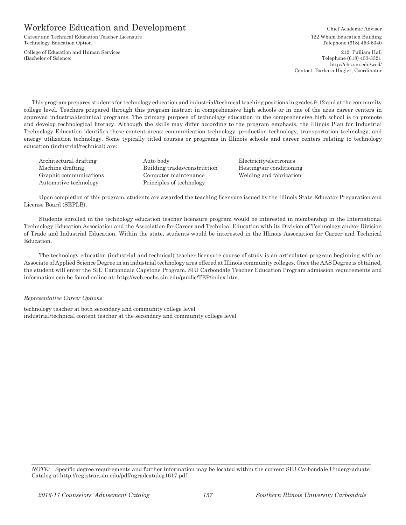Career and Technical Education Teacher Licensure 122 Wham Education Building Technology Education Option Telephone (618) 453-6340

College of Education and Human Services 212 Pulliam Hall<br>
(Bachelor of Science) 2013 Pulliam Hall<br>
(Bachelor of Science)

Telephone (618) 453-3321 http://ehs.siu.edu/wed/ Contact: Barbara Hagler, Coordinator

This program prepares students for technology education and industrial/technical teaching positions in grades 9-12 and at the community college level. Teachers prepared through this program instruct in comprehensive high schools or in one of the area career centers in approved industrial/technical programs. The primary purpose of technology education in the comprehensive high school is to promote and develop technological literacy. Although the skills may differ according to the program emphasis, the Illinois Plan for Industrial Technology Education identifies these content areas: communication technology, production technology, transportation technology, and energy utilization technology. Some typically titled courses or programs in Illinois schools and career centers relating to technology education (industrial/technical) are:

Architectural drafting Auto body Electricity/electronics Machine drafting The Building trades/construction Heating/air conditioning Graphic communications Computer maintenance Welding and fabrication Automotive technology Principles of technology

Upon completion of this program, students are awarded the teaching licensure issued by the Illinois State Educator Preparation and License Board (SEPLB).

Students enrolled in the technology education teacher licensure program would be interested in membership in the International Technology Education Association and the Association for Career and Technical Education with its Division of Technology and/or Division of Trade and Industrial Education. Within the state, students would be interested in the Illinois Association for Career and Technical Education.

The technology education (industrial and technical) teacher licensure course of study is an articulated program beginning with an Associate of Applied Science Degree in an industrial technology area offered at Illinois community colleges. Once the AAS Degree is obtained, the student will enter the SIU Carbondale Capstone Program. SIU Carbondale Teacher Education Program admission requirements and information can be found online at: http://web.coehs.siu.edu/public/TEP/index.htm.

#### *Representative Career Options*

technology teacher at both secondary and community college level industrial/technical content teacher at the secondary and community college level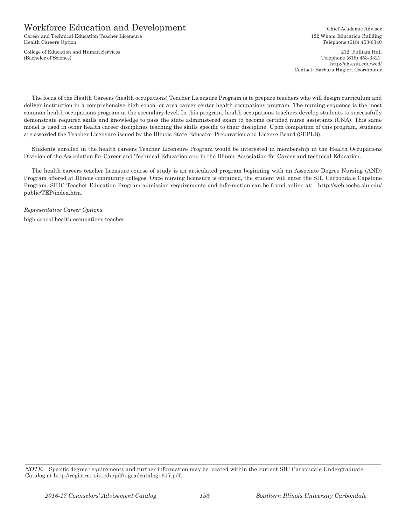Career and Technical Education Teacher Licensure 122 Wham Education Building Health Careers Option Telephone (618) 453-6340

College of Education and Human Services 212 Pulliam Hall (Bachelor of Science) Telephone (618) 453-3321

http://ehs.siu.edu/wed/ Contact: Barbara Hagler, Coordinator

The focus of the Health Careers (health occupations) Teacher Licensure Program is to prepare teachers who will design curriculum and deliver instruction in a comprehensive high school or area career center health occupations program. The nursing sequence is the most common health occupations program at the secondary level. In this program, health occupations teachers develop students to successfully demonstrate required skills and knowledge to pass the state administered exam to become certified nurse assistants (CNA). This same model is used in other health career disciplines teaching the skills specific to their discipline. Upon completion of this program, students are awarded the Teacher Licensure issued by the Illinois State Educator Preparation and License Board (SEPLB).

Students enrolled in the health careers Teacher Licensure Program would be interested in membership in the Health Occupations Division of the Association for Career and Technical Education and in the Illinois Association for Career and technical Education.

The health careers teacher licensure course of study is an articulated program beginning with an Associate Degree Nursing (AND) Program offered at Illinois community colleges. Once nursing licensure is obtained, the student will enter the SIU Carbondale Capstone Program. SIUC Teacher Education Program admission requirements and information can be found online at: http://web.coehs.siu.edu/ public/TEP/index.htm.

*Representative Career Options* high school health occupations teacher